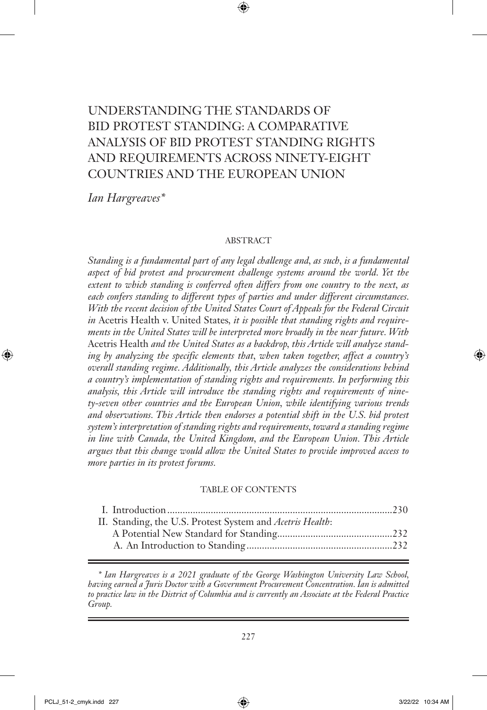# UNDERSTANDING THE STANDARDS OF BID PROTEST STANDING: A COMPARATIVE ANALYSIS OF BID PROTEST STANDING RIGHTS AND REQUIREMENTS ACROSS NINETY-EIGHT COUNTRIES AND THE EUROPEAN UNION

*Ian Hargreaves\**

#### ABSTRACT

*Standing is a fundamental part of any legal challenge and, as such, is a fundamental aspect of bid protest and procurement challenge systems around the world. Yet the extent to which standing is conferred often differs from one country to the next, as each confers standing to different types of parties and under different circumstances. With the recent decision of the United States Court of Appeals for the Federal Circuit in* Acetris Health v. United States*, it is possible that standing rights and requirements in the United States will be interpreted more broadly in the near future. With*  Acetris Health *and the United States as a backdrop, this Article will analyze standing by analyzing the specific elements that, when taken together, affect a country's overall standing regime. Additionally, this Article analyzes the considerations behind a country's implementation of standing rights and requirements. In performing this analysis, this Article will introduce the standing rights and requirements of ninety-seven other countries and the European Union, while identifying various trends and observations. This Article then endorses a potential shift in the U.S. bid protest system's interpretation of standing rights and requirements, toward a standing regime in line with Canada, the United Kingdom, and the European Union. This Article argues that this change would allow the United States to provide improved access to more parties in its protest forums.*

#### TABLE OF CONTENTS

| II. Standing, the U.S. Protest System and Acetris Health: |  |
|-----------------------------------------------------------|--|
|                                                           |  |
|                                                           |  |
|                                                           |  |

*<sup>\*</sup> Ian Hargreaves is a 2021 graduate of the George Washington University Law School, having earned a Juris Doctor with a Government Procurement Concentration. Ian is admitted to practice law in the District of Columbia and is currently an Associate at the Federal Practice Group.*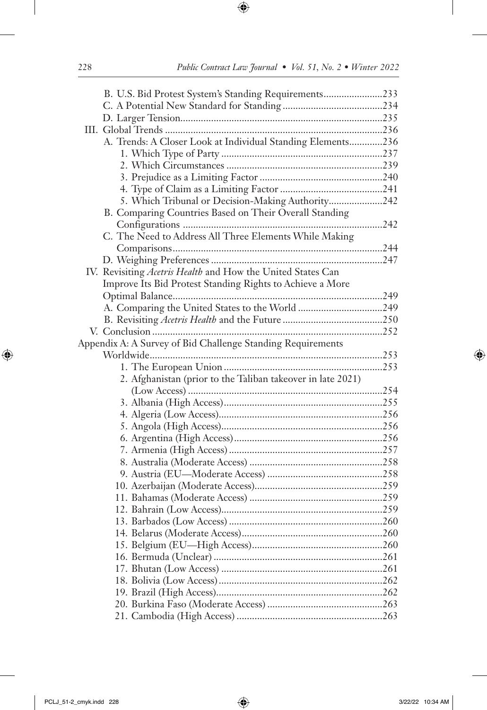| B. U.S. Bid Protest System's Standing Requirements233       |  |
|-------------------------------------------------------------|--|
|                                                             |  |
|                                                             |  |
|                                                             |  |
| A. Trends: A Closer Look at Individual Standing Elements236 |  |
|                                                             |  |
|                                                             |  |
|                                                             |  |
|                                                             |  |
| 5. Which Tribunal or Decision-Making Authority242           |  |
| B. Comparing Countries Based on Their Overall Standing      |  |
|                                                             |  |
| C. The Need to Address All Three Elements While Making      |  |
|                                                             |  |
|                                                             |  |
| IV. Revisiting Acetris Health and How the United States Can |  |
| Improve Its Bid Protest Standing Rights to Achieve a More   |  |
|                                                             |  |
|                                                             |  |
|                                                             |  |
|                                                             |  |
| Appendix A: A Survey of Bid Challenge Standing Requirements |  |
|                                                             |  |
|                                                             |  |
| 2. Afghanistan (prior to the Taliban takeover in late 2021) |  |
|                                                             |  |
|                                                             |  |
|                                                             |  |
|                                                             |  |
|                                                             |  |
|                                                             |  |
|                                                             |  |
|                                                             |  |
|                                                             |  |
|                                                             |  |
|                                                             |  |
|                                                             |  |
|                                                             |  |
|                                                             |  |
|                                                             |  |
|                                                             |  |
|                                                             |  |
|                                                             |  |
|                                                             |  |
|                                                             |  |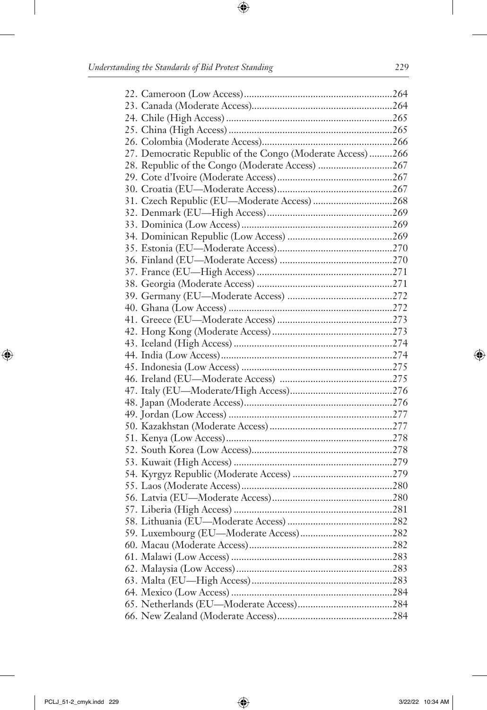| 27. Democratic Republic of the Congo (Moderate Access) 266 |  |
|------------------------------------------------------------|--|
|                                                            |  |
|                                                            |  |
|                                                            |  |
|                                                            |  |
|                                                            |  |
|                                                            |  |
|                                                            |  |
|                                                            |  |
|                                                            |  |
|                                                            |  |
|                                                            |  |
|                                                            |  |
|                                                            |  |
|                                                            |  |
|                                                            |  |
|                                                            |  |
|                                                            |  |
|                                                            |  |
|                                                            |  |
|                                                            |  |
|                                                            |  |
|                                                            |  |
|                                                            |  |
|                                                            |  |
|                                                            |  |
|                                                            |  |
|                                                            |  |
|                                                            |  |
|                                                            |  |
|                                                            |  |
|                                                            |  |
|                                                            |  |
|                                                            |  |
|                                                            |  |
|                                                            |  |
|                                                            |  |
|                                                            |  |
|                                                            |  |
|                                                            |  |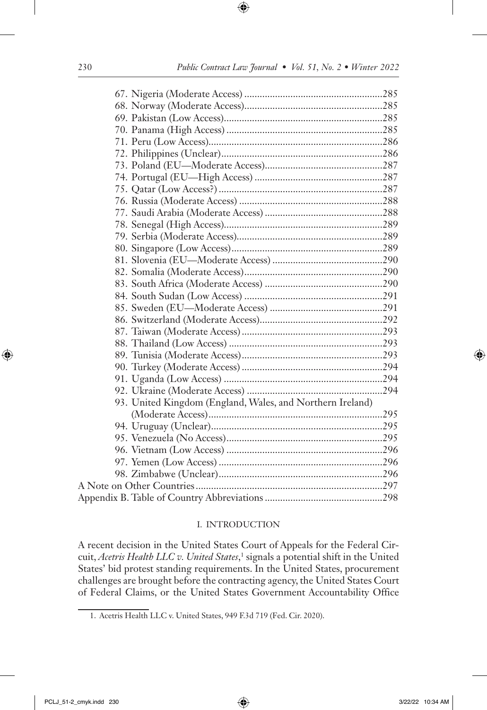| 93. United Kingdom (England, Wales, and Northern Ireland) |  |
|-----------------------------------------------------------|--|
|                                                           |  |
|                                                           |  |
|                                                           |  |
|                                                           |  |
|                                                           |  |
|                                                           |  |
|                                                           |  |
|                                                           |  |

#### I. INTRODUCTION

A recent decision in the United States Court of Appeals for the Federal Circuit, *Acetris Health LLC v. United States*,<sup>1</sup> signals a potential shift in the United States' bid protest standing requirements. In the United States, procurement challenges are brought before the contracting agency, the United States Court of Federal Claims, or the United States Government Accountability Office

<sup>1.</sup> Acetris Health LLC v. United States, 949 F.3d 719 (Fed. Cir. 2020).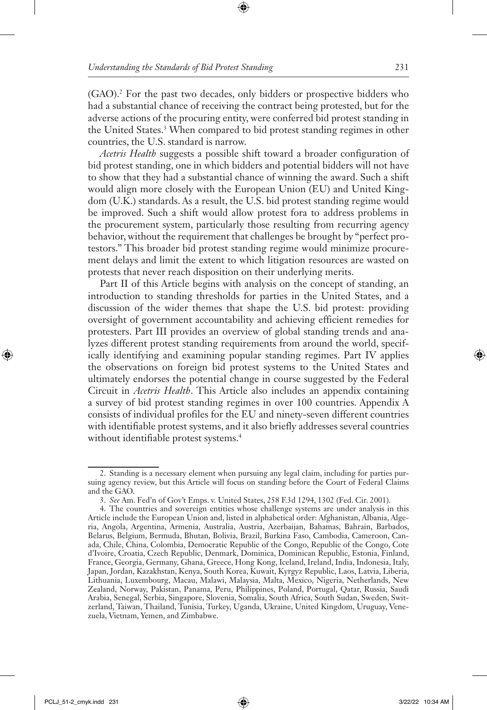(GAO).2 For the past two decades, only bidders or prospective bidders who had a substantial chance of receiving the contract being protested, but for the adverse actions of the procuring entity, were conferred bid protest standing in the United States.<sup>3</sup> When compared to bid protest standing regimes in other countries, the U.S. standard is narrow.

*Acetris Health* suggests a possible shift toward a broader configuration of bid protest standing, one in which bidders and potential bidders will not have to show that they had a substantial chance of winning the award. Such a shift would align more closely with the European Union (EU) and United Kingdom (U.K.) standards. As a result, the U.S. bid protest standing regime would be improved. Such a shift would allow protest fora to address problems in the procurement system, particularly those resulting from recurring agency behavior, without the requirement that challenges be brought by "perfect protestors." This broader bid protest standing regime would minimize procurement delays and limit the extent to which litigation resources are wasted on protests that never reach disposition on their underlying merits.

Part II of this Article begins with analysis on the concept of standing, an introduction to standing thresholds for parties in the United States, and a discussion of the wider themes that shape the U.S. bid protest: providing oversight of government accountability and achieving efficient remedies for protesters. Part III provides an overview of global standing trends and analyzes different protest standing requirements from around the world, specifically identifying and examining popular standing regimes. Part IV applies the observations on foreign bid protest systems to the United States and ultimately endorses the potential change in course suggested by the Federal Circuit in *Acetris Health*. This Article also includes an appendix containing a survey of bid protest standing regimes in over 100 countries. Appendix A consists of individual profiles for the EU and ninety-seven different countries with identifiable protest systems, and it also briefly addresses several countries without identifiable protest systems.<sup>4</sup>

<sup>2.</sup> Standing is a necessary element when pursuing any legal claim, including for parties pursuing agency review, but this Article will focus on standing before the Court of Federal Claims and the GAO.

<sup>3.</sup> *See* Am. Fed'n of Gov't Emps. v. United States, 258 F.3d 1294, 1302 (Fed. Cir. 2001).

<sup>4.</sup> The countries and sovereign entities whose challenge systems are under analysis in this Article include the European Union and, listed in alphabetical order: Afghanistan, Albania, Algeria, Angola, Argentina, Armenia, Australia, Austria, Azerbaijan, Bahamas, Bahrain, Barbados, Belarus, Belgium, Bermuda, Bhutan, Bolivia, Brazil, Burkina Faso, Cambodia, Cameroon, Canada, Chile, China, Colombia, Democratic Republic of the Congo, Republic of the Congo, Cote d'Ivoire, Croatia, Czech Republic, Denmark, Dominica, Dominican Republic, Estonia, Finland, France, Georgia, Germany, Ghana, Greece, Hong Kong, Iceland, Ireland, India, Indonesia, Italy, Japan, Jordan, Kazakhstan, Kenya, South Korea, Kuwait, Kyrgyz Republic, Laos, Latvia, Liberia, Lithuania, Luxembourg, Macau, Malawi, Malaysia, Malta, Mexico, Nigeria, Netherlands, New Zealand, Norway, Pakistan, Panama, Peru, Philippines, Poland, Portugal, Qatar, Russia, Saudi Arabia, Senegal, Serbia, Singapore, Slovenia, Somalia, South Africa, South Sudan, Sweden, Switzerland, Taiwan, Thailand, Tunisia, Turkey, Uganda, Ukraine, United Kingdom, Uruguay, Venezuela, Vietnam, Yemen, and Zimbabwe.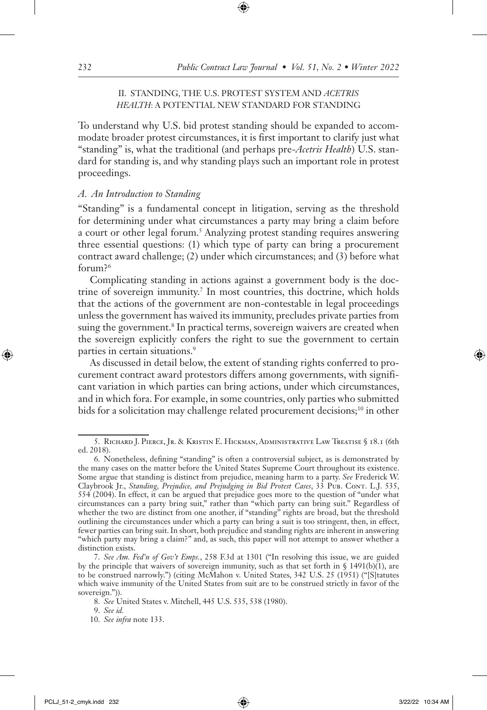### II. STANDING, THE U.S. PROTEST SYSTEM AND *ACETRIS HEALTH*: A POTENTIAL NEW STANDARD FOR STANDING

To understand why U.S. bid protest standing should be expanded to accommodate broader protest circumstances, it is first important to clarify just what "standing" is, what the traditional (and perhaps pre-*Acetris Health*) U.S. standard for standing is, and why standing plays such an important role in protest proceedings.

#### *A. An Introduction to Standing*

"Standing" is a fundamental concept in litigation, serving as the threshold for determining under what circumstances a party may bring a claim before a court or other legal forum.<sup>5</sup> Analyzing protest standing requires answering three essential questions: (1) which type of party can bring a procurement contract award challenge; (2) under which circumstances; and (3) before what forum?6

Complicating standing in actions against a government body is the doctrine of sovereign immunity.7 In most countries, this doctrine, which holds that the actions of the government are non-contestable in legal proceedings unless the government has waived its immunity, precludes private parties from suing the government.<sup>8</sup> In practical terms, sovereign waivers are created when the sovereign explicitly confers the right to sue the government to certain parties in certain situations.<sup>9</sup>

As discussed in detail below, the extent of standing rights conferred to procurement contract award protestors differs among governments, with significant variation in which parties can bring actions, under which circumstances, and in which fora. For example, in some countries, only parties who submitted bids for a solicitation may challenge related procurement decisions;<sup>10</sup> in other

<sup>5.</sup> Richard J. Pierce, Jr. & Kristin E. Hickman, Administrative Law Treatise § 18.1 (6th ed. 2018).

<sup>6.</sup> Nonetheless, defining "standing" is often a controversial subject, as is demonstrated by the many cases on the matter before the United States Supreme Court throughout its existence. Some argue that standing is distinct from prejudice, meaning harm to a party. *See* Frederick W. Claybrook Jr., *Standing, Prejudice, and Prejudging in Bid Protest Cases*, 33 Pub. Cont. L.J. 535, 554 (2004). In effect, it can be argued that prejudice goes more to the question of "under what circumstances can a party bring suit," rather than "which party can bring suit." Regardless of whether the two are distinct from one another, if "standing" rights are broad, but the threshold outlining the circumstances under which a party can bring a suit is too stringent, then, in effect, fewer parties can bring suit. In short, both prejudice and standing rights are inherent in answering "which party may bring a claim?" and, as such, this paper will not attempt to answer whether a distinction exists.

<sup>7.</sup> *See Am. Fed'n of Gov't Emps.*, 258 F.3d at 1301 ("In resolving this issue, we are guided by the principle that waivers of sovereign immunity, such as that set forth in  $\S$  1491(b)(1), are to be construed narrowly.") (citing McMahon v. United States, 342 U.S. 25 (1951) ("[S]tatutes which waive immunity of the United States from suit are to be construed strictly in favor of the sovereign.")).

<sup>8.</sup> *See* United States v. Mitchell, 445 U.S. 535, 538 (1980).

<sup>9.</sup> *See id.*

<sup>10.</sup> *See infra* note 133.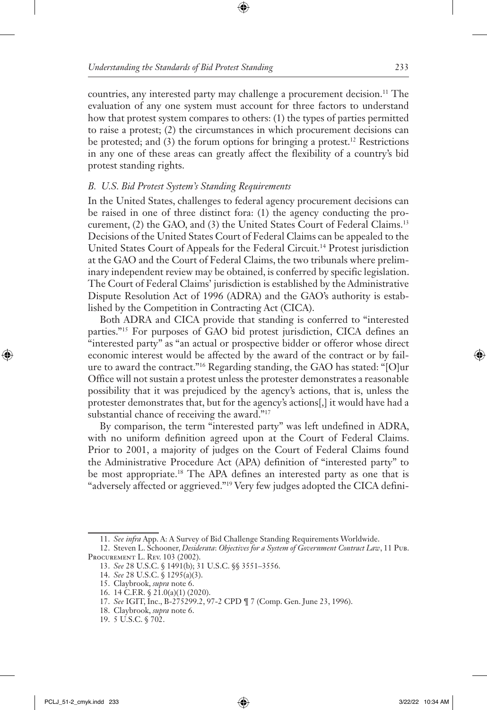countries, any interested party may challenge a procurement decision.<sup>11</sup> The evaluation of any one system must account for three factors to understand how that protest system compares to others: (1) the types of parties permitted to raise a protest; (2) the circumstances in which procurement decisions can be protested; and (3) the forum options for bringing a protest.<sup>12</sup> Restrictions in any one of these areas can greatly affect the flexibility of a country's bid protest standing rights.

## *B. U.S. Bid Protest System's Standing Requirements*

In the United States, challenges to federal agency procurement decisions can be raised in one of three distinct fora: (1) the agency conducting the procurement, (2) the GAO, and (3) the United States Court of Federal Claims.13 Decisions of the United States Court of Federal Claims can be appealed to the United States Court of Appeals for the Federal Circuit.14 Protest jurisdiction at the GAO and the Court of Federal Claims, the two tribunals where preliminary independent review may be obtained, is conferred by specific legislation. The Court of Federal Claims' jurisdiction is established by the Administrative Dispute Resolution Act of 1996 (ADRA) and the GAO's authority is established by the Competition in Contracting Act (CICA).

Both ADRA and CICA provide that standing is conferred to "interested parties."15 For purposes of GAO bid protest jurisdiction, CICA defines an "interested party" as "an actual or prospective bidder or offeror whose direct economic interest would be affected by the award of the contract or by failure to award the contract."16 Regarding standing, the GAO has stated: "[O]ur Office will not sustain a protest unless the protester demonstrates a reasonable possibility that it was prejudiced by the agency's actions, that is, unless the protester demonstrates that, but for the agency's actions[,] it would have had a substantial chance of receiving the award."<sup>17</sup>

By comparison, the term "interested party" was left undefined in ADRA, with no uniform definition agreed upon at the Court of Federal Claims. Prior to 2001, a majority of judges on the Court of Federal Claims found the Administrative Procedure Act (APA) definition of "interested party" to be most appropriate.18 The APA defines an interested party as one that is "adversely affected or aggrieved."19 Very few judges adopted the CICA defini-

<sup>11.</sup> *See infra* App. A: A Survey of Bid Challenge Standing Requirements Worldwide.

<sup>12.</sup> Steven L. Schooner, *Desiderata*: *Objectives for a System of Government Contract Law*, 11 Pub. Procurement L. Rev. 103 (2002).

<sup>13.</sup> *See* 28 U.S.C. § 1491(b); 31 U.S.C. §§ 3551–3556.

<sup>14.</sup> *See* 28 U.S.C. § 1295(a)(3).

<sup>15.</sup> Claybrook, *supra* note 6.

<sup>16.</sup> 14 C.F.R. § 21.0(a)(1) (2020).

<sup>17.</sup> *See* IGIT, Inc., B-275299.2, 97-2 CPD ¶ 7 (Comp. Gen. June 23, 1996).

<sup>18.</sup> Claybrook, *supra* note 6.

<sup>19.</sup> 5 U.S.C. § 702.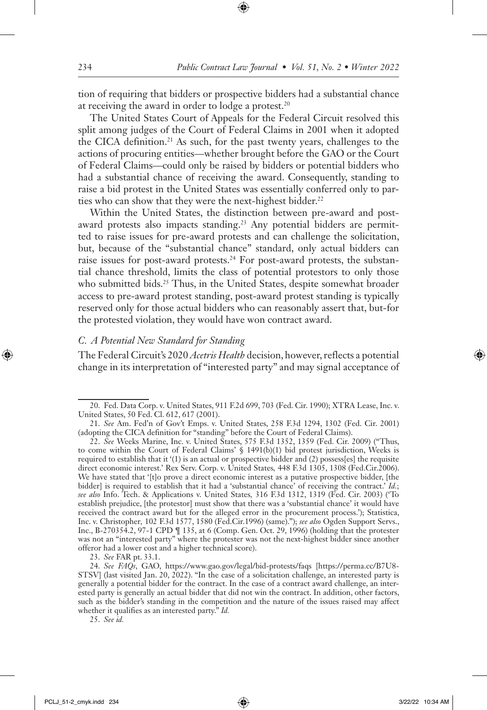tion of requiring that bidders or prospective bidders had a substantial chance at receiving the award in order to lodge a protest.20

The United States Court of Appeals for the Federal Circuit resolved this split among judges of the Court of Federal Claims in 2001 when it adopted the CICA definition.<sup>21</sup> As such, for the past twenty years, challenges to the actions of procuring entities—whether brought before the GAO or the Court of Federal Claims—could only be raised by bidders or potential bidders who had a substantial chance of receiving the award. Consequently, standing to raise a bid protest in the United States was essentially conferred only to parties who can show that they were the next-highest bidder.<sup>22</sup>

Within the United States, the distinction between pre-award and postaward protests also impacts standing.<sup>23</sup> Any potential bidders are permitted to raise issues for pre-award protests and can challenge the solicitation, but, because of the "substantial chance" standard, only actual bidders can raise issues for post-award protests.<sup>24</sup> For post-award protests, the substantial chance threshold, limits the class of potential protestors to only those who submitted bids.<sup>25</sup> Thus, in the United States, despite somewhat broader access to pre-award protest standing, post-award protest standing is typically reserved only for those actual bidders who can reasonably assert that, but-for the protested violation, they would have won contract award.

#### *C. A Potential New Standard for Standing*

The Federal Circuit's 2020 *Acetris Health* decision, however, reflects a potential change in its interpretation of "interested party" and may signal acceptance of

23. *See* FAR pt. 33.1.

<sup>20.</sup> Fed. Data Corp. v. United States, 911 F.2d 699, 703 (Fed. Cir. 1990); XTRA Lease, Inc. v. United States, 50 Fed. Cl. 612, 617 (2001).

<sup>21.</sup> *See* Am. Fed'n of Gov't Emps. v. United States, 258 F.3d 1294, 1302 (Fed. Cir. 2001) (adopting the CICA definition for "standing" before the Court of Federal Claims).

<sup>22.</sup> *See* Weeks Marine, Inc. v. United States, 575 F.3d 1352, 1359 (Fed. Cir. 2009) ("Thus, to come within the Court of Federal Claims'  $\S$  1491(b)(1) bid protest jurisdiction, Weeks is required to establish that it '(1) is an actual or prospective bidder and (2) possess[es] the requisite direct economic interest.' Rex Serv. Corp. v. United States*,* 448 F.3d 1305, 1308 (Fed.Cir.2006). We have stated that '[t]o prove a direct economic interest as a putative prospective bidder, [the bidder] is required to establish that it had a 'substantial chance' of receiving the contract.' *Id.*; *see also* Info. Tech. & Applications v. United States*,* 316 F.3d 1312, 1319 (Fed. Cir. 2003) ('To establish prejudice, [the protestor] must show that there was a 'substantial chance' it would have received the contract award but for the alleged error in the procurement process.'); Statistica, Inc. v. Christopher*,* 102 F.3d 1577, 1580 (Fed.Cir.1996) (same)."); *see also* Ogden Support Servs., Inc., B-270354.2, 97-1 CPD ¶ 135, at 6 (Comp. Gen. Oct. 29, 1996) (holding that the protester was not an "interested party" where the protester was not the next-highest bidder since another offeror had a lower cost and a higher technical score).

<sup>24.</sup> *See FAQs*, GAO, https://www.gao.gov/legal/bid-protests/faqs [https://perma.cc/B7U8- STSV] (last visited Jan. 20, 2022). "In the case of a solicitation challenge, an interested party is generally a potential bidder for the contract. In the case of a contract award challenge, an interested party is generally an actual bidder that did not win the contract. In addition, other factors, such as the bidder's standing in the competition and the nature of the issues raised may affect whether it qualifies as an interested party." *Id.*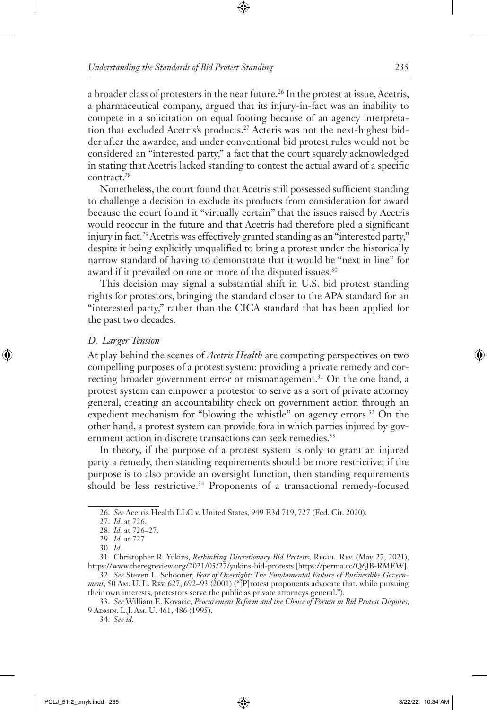a broader class of protesters in the near future.<sup>26</sup> In the protest at issue, Acetris, a pharmaceutical company, argued that its injury-in-fact was an inability to compete in a solicitation on equal footing because of an agency interpretation that excluded Acetris's products.27 Acteris was not the next-highest bidder after the awardee, and under conventional bid protest rules would not be considered an "interested party," a fact that the court squarely acknowledged in stating that Acetris lacked standing to contest the actual award of a specific contract.28

Nonetheless, the court found that Acetris still possessed sufficient standing to challenge a decision to exclude its products from consideration for award because the court found it "virtually certain" that the issues raised by Acetris would reoccur in the future and that Acetris had therefore pled a significant injury in fact.29 Acetris was effectively granted standing as an "interested party," despite it being explicitly unqualified to bring a protest under the historically narrow standard of having to demonstrate that it would be "next in line" for award if it prevailed on one or more of the disputed issues.<sup>30</sup>

This decision may signal a substantial shift in U.S. bid protest standing rights for protestors, bringing the standard closer to the APA standard for an "interested party," rather than the CICA standard that has been applied for the past two decades.

#### *D. Larger Tension*

At play behind the scenes of *Acetris Health* are competing perspectives on two compelling purposes of a protest system: providing a private remedy and correcting broader government error or mismanagement.<sup>31</sup> On the one hand, a protest system can empower a protestor to serve as a sort of private attorney general, creating an accountability check on government action through an expedient mechanism for "blowing the whistle" on agency errors.<sup>32</sup> On the other hand, a protest system can provide fora in which parties injured by government action in discrete transactions can seek remedies.<sup>33</sup>

In theory, if the purpose of a protest system is only to grant an injured party a remedy, then standing requirements should be more restrictive; if the purpose is to also provide an oversight function, then standing requirements should be less restrictive.<sup>34</sup> Proponents of a transactional remedy-focused

34. *See id.*

<sup>26.</sup> *See* Acetris Health LLC v. United States, 949 F.3d 719, 727 (Fed. Cir. 2020).

<sup>27.</sup> *Id.* at 726.

<sup>28.</sup> *Id.* at 726–27.

<sup>29.</sup> *Id.* at 727

<sup>30.</sup> *Id.*

<sup>31.</sup> Christopher R. Yukins, *Rethinking Discretionary Bid Protests,* Regul. Rev. (May 27, 2021), https://www.theregreview.org/2021/05/27/yukins-bid-protests [https://perma.cc/Q6JB-RMEW].

<sup>32.</sup> *See* Steven L. Schooner, *Fear of Oversight: The Fundamental Failure of Businesslike Government*, 50 Am. U. L. Rev. 627, 692–93 (2001) ("[P]rotest proponents advocate that, while pursuing their own interests, protestors serve the public as private attorneys general.").

<sup>33.</sup> *See* William E. Kovacic, *Procurement Reform and the Choice of Forum in Bid Protest Disputes*, 9 Admin. L.J. Am. U. 461, 486 (1995).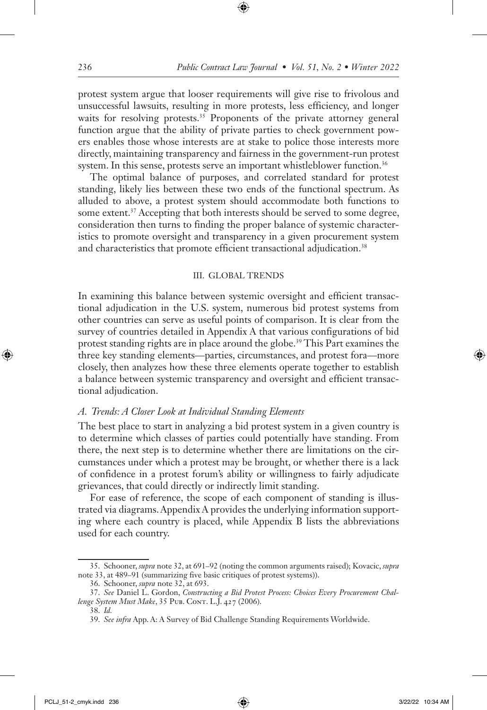protest system argue that looser requirements will give rise to frivolous and unsuccessful lawsuits, resulting in more protests, less efficiency, and longer waits for resolving protests.<sup>35</sup> Proponents of the private attorney general function argue that the ability of private parties to check government powers enables those whose interests are at stake to police those interests more directly, maintaining transparency and fairness in the government-run protest system. In this sense, protests serve an important whistleblower function.<sup>36</sup>

The optimal balance of purposes, and correlated standard for protest standing, likely lies between these two ends of the functional spectrum. As alluded to above, a protest system should accommodate both functions to some extent.<sup>37</sup> Accepting that both interests should be served to some degree, consideration then turns to finding the proper balance of systemic characteristics to promote oversight and transparency in a given procurement system and characteristics that promote efficient transactional adjudication.<sup>38</sup>

#### III. GLOBAL TRENDS

In examining this balance between systemic oversight and efficient transactional adjudication in the U.S. system, numerous bid protest systems from other countries can serve as useful points of comparison. It is clear from the survey of countries detailed in Appendix A that various configurations of bid protest standing rights are in place around the globe.<sup>39</sup> This Part examines the three key standing elements—parties, circumstances, and protest fora—more closely, then analyzes how these three elements operate together to establish a balance between systemic transparency and oversight and efficient transactional adjudication.

#### *A. Trends: A Closer Look at Individual Standing Elements*

The best place to start in analyzing a bid protest system in a given country is to determine which classes of parties could potentially have standing. From there, the next step is to determine whether there are limitations on the circumstances under which a protest may be brought, or whether there is a lack of confidence in a protest forum's ability or willingness to fairly adjudicate grievances, that could directly or indirectly limit standing.

For ease of reference, the scope of each component of standing is illustrated via diagrams. Appendix A provides the underlying information supporting where each country is placed, while Appendix B lists the abbreviations used for each country.

<sup>35.</sup> Schooner, *supra* note 32, at 691–92 (noting the common arguments raised); Kovacic, *supra* note 33, at 489–91 (summarizing five basic critiques of protest systems)).

<sup>36.</sup> Schooner, *supra* note 32, at 693.

<sup>37.</sup> *See* Daniel L. Gordon, *Constructing a Bid Protest Process: Choices Every Procurement Challenge System Must Make*, 35 PUB. CONT. L.J. 427 (2006).

<sup>38.</sup> *Id.*

<sup>39.</sup> *See infra* App. A: A Survey of Bid Challenge Standing Requirements Worldwide.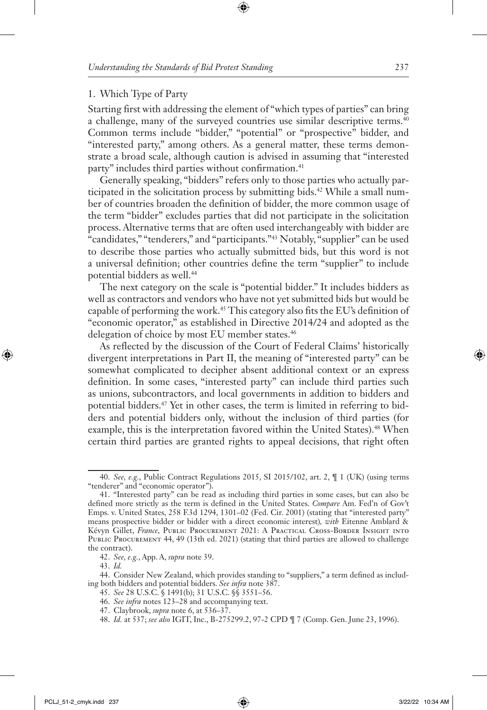#### 1. Which Type of Party

Starting first with addressing the element of "which types of parties" can bring a challenge, many of the surveyed countries use similar descriptive terms.40 Common terms include "bidder," "potential" or "prospective" bidder, and "interested party," among others. As a general matter, these terms demonstrate a broad scale, although caution is advised in assuming that "interested party" includes third parties without confirmation.<sup>41</sup>

Generally speaking, "bidders" refers only to those parties who actually participated in the solicitation process by submitting bids.<sup>42</sup> While a small number of countries broaden the definition of bidder, the more common usage of the term "bidder" excludes parties that did not participate in the solicitation process. Alternative terms that are often used interchangeably with bidder are "candidates," "tenderers," and "participants."43 Notably, "supplier" can be used to describe those parties who actually submitted bids, but this word is not a universal definition; other countries define the term "supplier" to include potential bidders as well.<sup>44</sup>

The next category on the scale is "potential bidder." It includes bidders as well as contractors and vendors who have not yet submitted bids but would be capable of performing the work.45 This category also fits the EU's definition of "economic operator," as established in Directive 2014/24 and adopted as the delegation of choice by most EU member states.<sup>46</sup>

As reflected by the discussion of the Court of Federal Claims' historically divergent interpretations in Part II, the meaning of "interested party" can be somewhat complicated to decipher absent additional context or an express definition. In some cases, "interested party" can include third parties such as unions, subcontractors, and local governments in addition to bidders and potential bidders.47 Yet in other cases, the term is limited in referring to bidders and potential bidders only, without the inclusion of third parties (for example, this is the interpretation favored within the United States).<sup>48</sup> When certain third parties are granted rights to appeal decisions, that right often

<sup>40.</sup> *See, e.g.*, Public Contract Regulations 2015, SI 2015/102, art. 2, ¶ 1 (UK) (using terms "tenderer" and "economic operator").

<sup>41.</sup> "Interested party" can be read as including third parties in some cases, but can also be defined more strictly as the term is defined in the United States. *Compare* Am. Fed'n of Gov't Emps. v. United States, 258 F.3d 1294, 1301–02 (Fed. Cir. 2001) (stating that "interested party" means prospective bidder or bidder with a direct economic interest)*, with* Eitenne Amblard & Kévyn Gillet, *France*, Public Procurement 2021: A Practical Cross-Border Insight into PUBLIC PROCUREMENT 44, 49 (13th ed. 2021) (stating that third parties are allowed to challenge the contract).

<sup>42.</sup> *See, e.g.*, App. A, *supra* note 39.

<sup>43.</sup> *Id.*

<sup>44.</sup> Consider New Zealand, which provides standing to "suppliers," a term defined as including both bidders and potential bidders. *See infra* note 387.

<sup>45.</sup> *See* 28 U.S.C. § 1491(b); 31 U.S.C. §§ 3551–56.

<sup>46.</sup> *See infra* notes 123–28 and accompanying text.

<sup>47.</sup> Claybrook, *supra* note 6, at 536–37.

<sup>48.</sup> *Id.* at 537; *see also* IGIT, Inc., B-275299.2, 97-2 CPD ¶ 7 (Comp. Gen. June 23, 1996).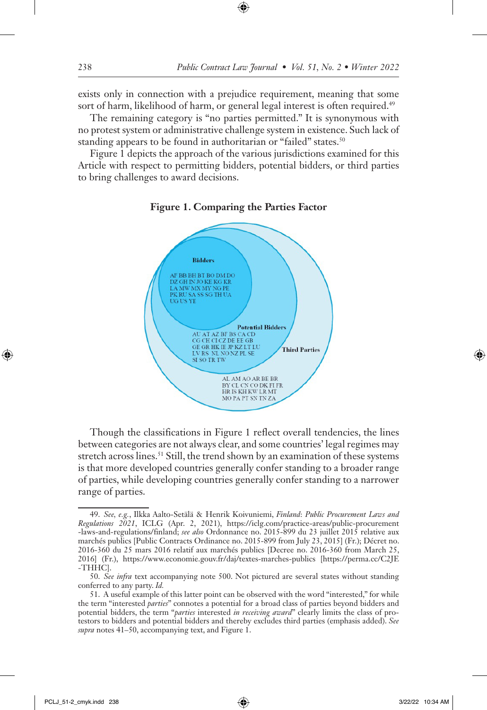exists only in connection with a prejudice requirement, meaning that some sort of harm, likelihood of harm, or general legal interest is often required.<sup>49</sup>

The remaining category is "no parties permitted." It is synonymous with no protest system or administrative challenge system in existence. Such lack of standing appears to be found in authoritarian or "failed" states.<sup>50</sup>

Figure 1 depicts the approach of the various jurisdictions examined for this Article with respect to permitting bidders, potential bidders, or third parties to bring challenges to award decisions.



**Figure 1. Comparing the Parties Factor**

Though the classifications in Figure 1 reflect overall tendencies, the lines between categories are not always clear, and some countries' legal regimes may stretch across lines.<sup>51</sup> Still, the trend shown by an examination of these systems is that more developed countries generally confer standing to a broader range of parties, while developing countries generally confer standing to a narrower range of parties.

<sup>49.</sup> *See, e.g.*, Ilkka Aalto-Setälä & Henrik Koivuniemi, *Finland*: *Public Procurement Laws and Regulations 2021*, ICLG (Apr. 2, 2021), https://iclg.com/practice-areas/public-procurement -laws-and-regulations/finland; *see also* Ordonnance no. 2015-899 du 23 juillet 2015 relative aux marchés publics [Public Contracts Ordinance no. 2015-899 from July 23, 2015] (Fr.); Décret no. 2016-360 du 25 mars 2016 relatif aux marchés publics [Decree no. 2016-360 from March 25, 2016] (Fr.), https://www.economie.gouv.fr/daj/textes-marches-publics [https://perma.cc/C2JE -THHC].

<sup>50.</sup> *See infra* text accompanying note 500. Not pictured are several states without standing conferred to any party. *Id.*

<sup>51.</sup> A useful example of this latter point can be observed with the word "interested," for while the term "interested *parties*" connotes a potential for a broad class of parties beyond bidders and potential bidders, the term "*parties* interested *in receiving award*" clearly limits the class of protestors to bidders and potential bidders and thereby excludes third parties (emphasis added). *See supra* notes 41–50, accompanying text, and Figure 1.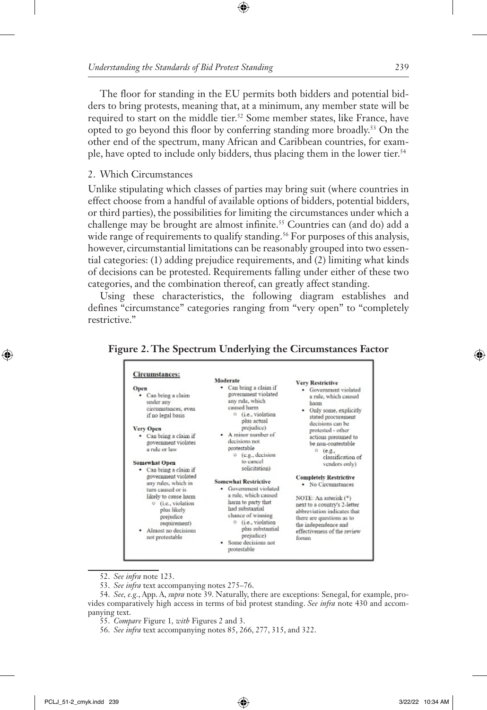The floor for standing in the EU permits both bidders and potential bidders to bring protests, meaning that, at a minimum, any member state will be required to start on the middle tier.<sup>52</sup> Some member states, like France, have opted to go beyond this floor by conferring standing more broadly.53 On the other end of the spectrum, many African and Caribbean countries, for example, have opted to include only bidders, thus placing them in the lower tier.54

### 2. Which Circumstances

Unlike stipulating which classes of parties may bring suit (where countries in effect choose from a handful of available options of bidders, potential bidders, or third parties), the possibilities for limiting the circumstances under which a challenge may be brought are almost infinite.55 Countries can (and do) add a wide range of requirements to qualify standing.<sup>56</sup> For purposes of this analysis, however, circumstantial limitations can be reasonably grouped into two essential categories: (1) adding prejudice requirements, and (2) limiting what kinds of decisions can be protested. Requirements falling under either of these two categories, and the combination thereof, can greatly affect standing.

Using these characteristics, the following diagram establishes and defines "circumstance" categories ranging from "very open" to "completely restrictive."



#### **Figure 2. The Spectrum Underlying the Circumstances Factor**

52. *See infra* note 123.

53. *See infra* text accompanying notes 275–76.

54. *See, e.g.*, App. A, *supra* note 39. Naturally, there are exceptions: Senegal, for example, provides comparatively high access in terms of bid protest standing. *See infra* note 430 and accompanying text.

- 55. *Compare* Figure 1*, with* Figures 2 and 3.
- 56. *See infra* text accompanying notes 85, 266, 277, 315, and 322.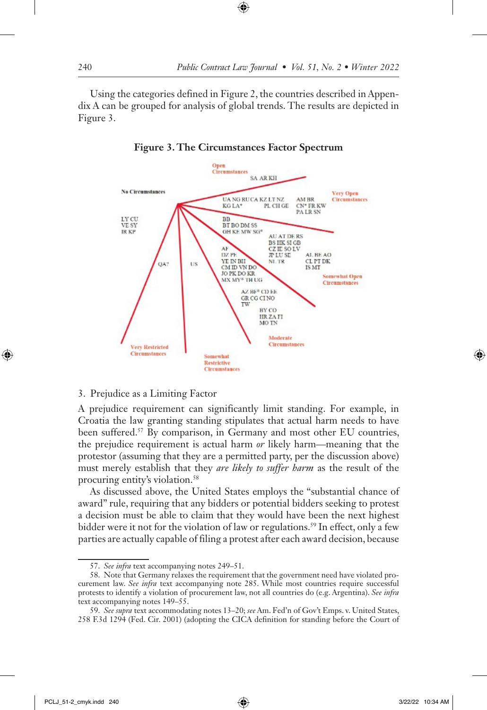Using the categories defined in Figure 2, the countries described in Appendix A can be grouped for analysis of global trends. The results are depicted in Figure 3.



**Figure 3. The Circumstances Factor Spectrum**

#### 3. Prejudice as a Limiting Factor

A prejudice requirement can significantly limit standing. For example, in Croatia the law granting standing stipulates that actual harm needs to have been suffered.57 By comparison, in Germany and most other EU countries, the prejudice requirement is actual harm *or* likely harm—meaning that the protestor (assuming that they are a permitted party, per the discussion above) must merely establish that they *are likely to suffer harm* as the result of the procuring entity's violation.58

As discussed above, the United States employs the "substantial chance of award" rule, requiring that any bidders or potential bidders seeking to protest a decision must be able to claim that they would have been the next highest bidder were it not for the violation of law or regulations.<sup>59</sup> In effect, only a few parties are actually capable of filing a protest after each award decision, because

<sup>57.</sup> *See infra* text accompanying notes 249–51.

<sup>58.</sup> Note that Germany relaxes the requirement that the government need have violated procurement law. *See infra* text accompanying note 285. While most countries require successful protests to identify a violation of procurement law, not all countries do (e.g. Argentina). *See infra* text accompanying notes 149–55.

<sup>59.</sup> *See supra* text accommodating notes 13–20; *see* Am. Fed'n of Gov't Emps. v. United States, 258 F.3d 1294 (Fed. Cir. 2001) (adopting the CICA definition for standing before the Court of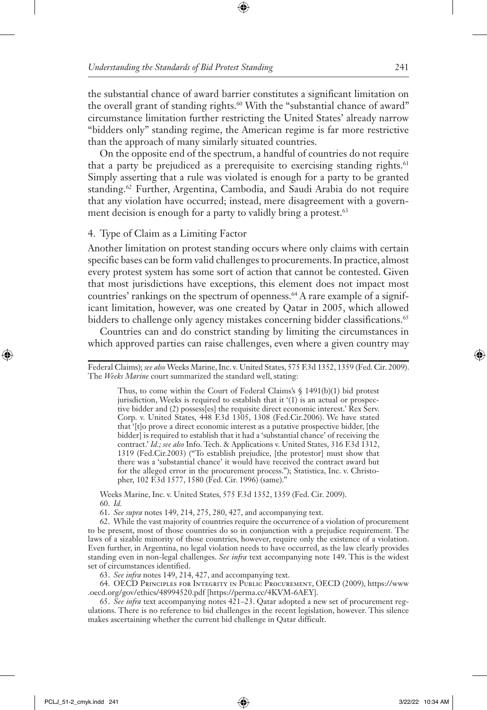the substantial chance of award barrier constitutes a significant limitation on the overall grant of standing rights.<sup>60</sup> With the "substantial chance of award" circumstance limitation further restricting the United States' already narrow "bidders only" standing regime, the American regime is far more restrictive than the approach of many similarly situated countries.

On the opposite end of the spectrum, a handful of countries do not require that a party be prejudiced as a prerequisite to exercising standing rights.<sup>61</sup> Simply asserting that a rule was violated is enough for a party to be granted standing.<sup>62</sup> Further, Argentina, Cambodia, and Saudi Arabia do not require that any violation have occurred; instead, mere disagreement with a government decision is enough for a party to validly bring a protest.<sup>63</sup>

#### 4. Type of Claim as a Limiting Factor

Another limitation on protest standing occurs where only claims with certain specific bases can be form valid challenges to procurements. In practice, almost every protest system has some sort of action that cannot be contested. Given that most jurisdictions have exceptions, this element does not impact most countries' rankings on the spectrum of openness.<sup>64</sup> A rare example of a significant limitation, however, was one created by Qatar in 2005, which allowed bidders to challenge only agency mistakes concerning bidder classifications.<sup>65</sup>

Countries can and do constrict standing by limiting the circumstances in which approved parties can raise challenges, even where a given country may

Thus, to come within the Court of Federal Claims's § 1491(b)(1) bid protest jurisdiction, Weeks is required to establish that it '(1) is an actual or prospective bidder and (2) possess[es] the requisite direct economic interest.' Rex Serv. Corp. v. United States, 448 F.3d 1305, 1308 (Fed.Cir.2006). We have stated that '[t]o prove a direct economic interest as a putative prospective bidder, [the bidder] is required to establish that it had a 'substantial chance' of receiving the contract.' *Id.; see also* Info. Tech. & Applications v. United States, 316 F.3d 1312, 1319 (Fed.Cir.2003) ("To establish prejudice, [the protestor] must show that there was a 'substantial chance' it would have received the contract award but for the alleged error in the procurement process."); Statistica, Inc. v. Christopher, 102 F.3d 1577, 1580 (Fed. Cir. 1996) (same)."

Weeks Marine, Inc. v. United States, 575 F.3d 1352, 1359 (Fed. Cir. 2009). 60. *Id.*

61. *See supra* notes 149, 214, 275, 280, 427, and accompanying text.

62. While the vast majority of countries require the occurrence of a violation of procurement to be present, most of those countries do so in conjunction with a prejudice requirement. The laws of a sizable minority of those countries, however, require only the existence of a violation. Even further, in Argentina, no legal violation needs to have occurred, as the law clearly provides standing even in non-legal challenges. *See infra* text accompanying note 149. This is the widest set of circumstances identified.

63. *See infra* notes 149, 214, 427, and accompanying text.

64. OECD Principles for Integrity in Public Procurement, OECD (2009), https://www .oecd.org/gov/ethics/48994520.pdf [https://perma.cc/4KVM-6AEY].

65. *See infra* text accompanying notes 421–23. Qatar adopted a new set of procurement regulations. There is no reference to bid challenges in the recent legislation, however. This silence makes ascertaining whether the current bid challenge in Qatar difficult.

Federal Claims); *see also* Weeks Marine, Inc. v. United States, 575 F.3d 1352, 1359 (Fed. Cir. 2009). The *Weeks Marine* court summarized the standard well, stating: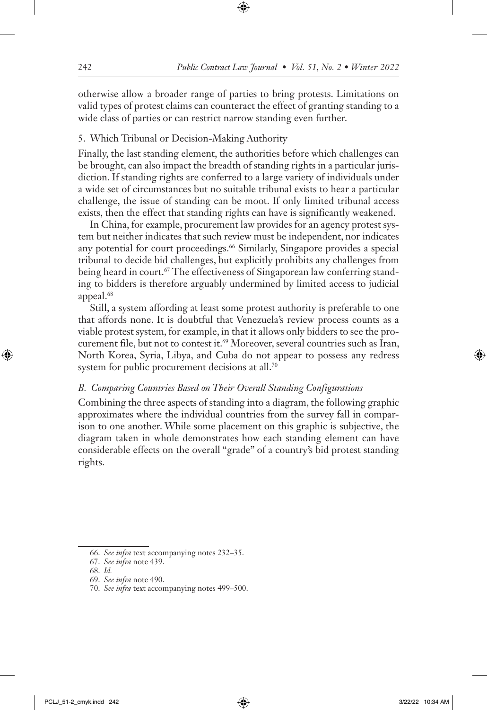otherwise allow a broader range of parties to bring protests. Limitations on valid types of protest claims can counteract the effect of granting standing to a wide class of parties or can restrict narrow standing even further.

# 5. Which Tribunal or Decision-Making Authority

Finally, the last standing element, the authorities before which challenges can be brought, can also impact the breadth of standing rights in a particular jurisdiction. If standing rights are conferred to a large variety of individuals under a wide set of circumstances but no suitable tribunal exists to hear a particular challenge, the issue of standing can be moot. If only limited tribunal access exists, then the effect that standing rights can have is significantly weakened.

In China, for example, procurement law provides for an agency protest system but neither indicates that such review must be independent, nor indicates any potential for court proceedings.<sup>66</sup> Similarly, Singapore provides a special tribunal to decide bid challenges, but explicitly prohibits any challenges from being heard in court.<sup>67</sup> The effectiveness of Singaporean law conferring standing to bidders is therefore arguably undermined by limited access to judicial appeal.<sup>68</sup>

Still, a system affording at least some protest authority is preferable to one that affords none. It is doubtful that Venezuela's review process counts as a viable protest system, for example, in that it allows only bidders to see the procurement file, but not to contest it.<sup>69</sup> Moreover, several countries such as Iran, North Korea, Syria, Libya, and Cuba do not appear to possess any redress system for public procurement decisions at all.<sup>70</sup>

# *B. Comparing Countries Based on Their Overall Standing Configurations*

Combining the three aspects of standing into a diagram, the following graphic approximates where the individual countries from the survey fall in comparison to one another. While some placement on this graphic is subjective, the diagram taken in whole demonstrates how each standing element can have considerable effects on the overall "grade" of a country's bid protest standing rights.

<sup>66.</sup> *See infra* text accompanying notes 232–35.

<sup>67.</sup> *See infra* note 439.

<sup>68.</sup> *Id.*

<sup>69.</sup> *See infra* note 490.

<sup>70.</sup> *See infra* text accompanying notes 499–500.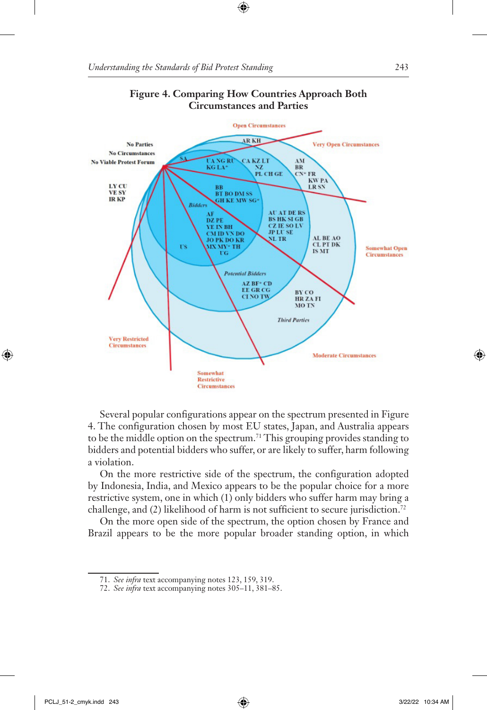



Several popular configurations appear on the spectrum presented in Figure 4. The configuration chosen by most EU states, Japan, and Australia appears to be the middle option on the spectrum.71 This grouping provides standing to bidders and potential bidders who suffer, or are likely to suffer, harm following a violation.

On the more restrictive side of the spectrum, the configuration adopted by Indonesia, India, and Mexico appears to be the popular choice for a more restrictive system, one in which (1) only bidders who suffer harm may bring a challenge, and (2) likelihood of harm is not sufficient to secure jurisdiction.<sup>72</sup>

On the more open side of the spectrum, the option chosen by France and Brazil appears to be the more popular broader standing option, in which

<sup>71.</sup> *See infra* text accompanying notes 123, 159, 319.

<sup>72.</sup> *See infra* text accompanying notes 305–11, 381–85.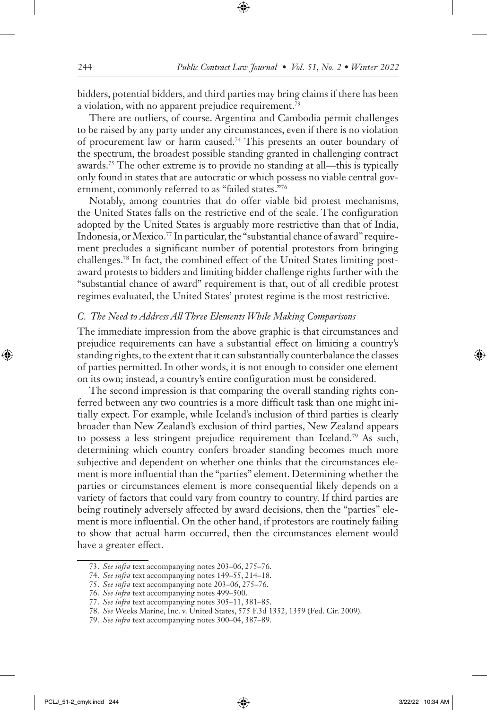bidders, potential bidders, and third parties may bring claims if there has been a violation, with no apparent prejudice requirement.<sup>73</sup>

There are outliers, of course. Argentina and Cambodia permit challenges to be raised by any party under any circumstances, even if there is no violation of procurement law or harm caused.74 This presents an outer boundary of the spectrum, the broadest possible standing granted in challenging contract awards.75 The other extreme is to provide no standing at all—this is typically only found in states that are autocratic or which possess no viable central government, commonly referred to as "failed states."76

Notably, among countries that do offer viable bid protest mechanisms, the United States falls on the restrictive end of the scale. The configuration adopted by the United States is arguably more restrictive than that of India, Indonesia, or Mexico.77 In particular, the "substantial chance of award" requirement precludes a significant number of potential protestors from bringing challenges.78 In fact, the combined effect of the United States limiting postaward protests to bidders and limiting bidder challenge rights further with the "substantial chance of award" requirement is that, out of all credible protest regimes evaluated, the United States' protest regime is the most restrictive.

#### *C. The Need to Address All Three Elements While Making Comparisons*

The immediate impression from the above graphic is that circumstances and prejudice requirements can have a substantial effect on limiting a country's standing rights, to the extent that it can substantially counterbalance the classes of parties permitted. In other words, it is not enough to consider one element on its own; instead, a country's entire configuration must be considered.

The second impression is that comparing the overall standing rights conferred between any two countries is a more difficult task than one might initially expect. For example, while Iceland's inclusion of third parties is clearly broader than New Zealand's exclusion of third parties, New Zealand appears to possess a less stringent prejudice requirement than Iceland.79 As such, determining which country confers broader standing becomes much more subjective and dependent on whether one thinks that the circumstances element is more influential than the "parties" element. Determining whether the parties or circumstances element is more consequential likely depends on a variety of factors that could vary from country to country. If third parties are being routinely adversely affected by award decisions, then the "parties" element is more influential. On the other hand, if protestors are routinely failing to show that actual harm occurred, then the circumstances element would have a greater effect.

<sup>73.</sup> *See infra* text accompanying notes 203–06, 275–76.

<sup>74.</sup> *See infra* text accompanying notes 149–55, 214–18.

<sup>75.</sup> *See infra* text accompanying note 203–06, 275–76.

<sup>76.</sup> *See infra* text accompanying notes 499–500.

<sup>77.</sup> *See infra* text accompanying notes 305–11, 381–85.

<sup>78.</sup> *See* Weeks Marine, Inc. v. United States, 575 F.3d 1352, 1359 (Fed. Cir. 2009).

<sup>79.</sup> *See infra* text accompanying notes 300–04, 387–89.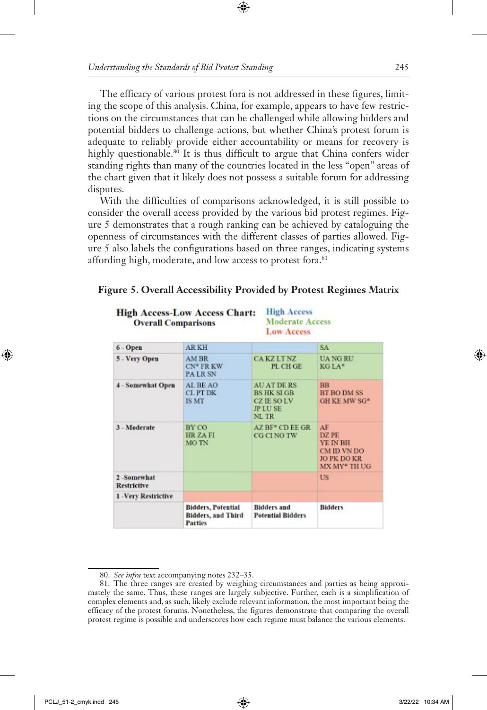The efficacy of various protest fora is not addressed in these figures, limiting the scope of this analysis. China, for example, appears to have few restrictions on the circumstances that can be challenged while allowing bidders and potential bidders to challenge actions, but whether China's protest forum is adequate to reliably provide either accountability or means for recovery is highly questionable.<sup>80</sup> It is thus difficult to argue that China confers wider standing rights than many of the countries located in the less "open" areas of the chart given that it likely does not possess a suitable forum for addressing disputes.

With the difficulties of comparisons acknowledged, it is still possible to consider the overall access provided by the various bid protest regimes. Figure 5 demonstrates that a rough ranking can be achieved by cataloguing the openness of circumstances with the different classes of parties allowed. Figure 5 also labels the configurations based on three ranges, indicating systems affording high, moderate, and low access to protest fora.<sup>81</sup>

|  | Figure 5. Overall Accessibility Provided by Protest Regimes Matrix |  |  |  |
|--|--------------------------------------------------------------------|--|--|--|
|  |                                                                    |  |  |  |

| <b>High Access</b><br><b>High Access-Low Access Chart:</b><br><b>Moderate Access</b><br><b>Overall Comparisons</b><br><b>Low Access</b> |                                                                          |                                                                                          |                                                                              |  |  |
|-----------------------------------------------------------------------------------------------------------------------------------------|--------------------------------------------------------------------------|------------------------------------------------------------------------------------------|------------------------------------------------------------------------------|--|--|
| 6 - Open                                                                                                                                | <b>ARKH</b>                                                              |                                                                                          | SA <sup></sup>                                                               |  |  |
| 5 - Very Open                                                                                                                           | AM BR<br>$CN^*$ FR KW<br><b>PALR SN</b>                                  | <b>CAKZLTNZ</b><br>PL CH GE                                                              | <b>UANGRU</b><br>$KGLA*$                                                     |  |  |
| <b>4 - Somewhat Open</b>                                                                                                                | AL BE AO<br><b>CLPT DK</b><br>IS MT                                      | <b>AU AT DE RS</b><br><b>BS HK SIGB</b><br><b>CZ IE SO LV</b><br><b>JP LUSE</b><br>NL TR | <b>BB</b><br><b>BT BO DM SS</b><br>GH KE MW SG*                              |  |  |
| 3 - Moderate                                                                                                                            | BY CO<br><b>HRZAFI</b><br><b>MOTN</b>                                    | AZ BF <sup>*</sup> CD EE GR<br><b>CG CI NO TW</b>                                        | AF<br>DZ PE<br>YE IN BH<br>CM ID VN DO<br><b>JO PK DO KR</b><br>MX MY* TH UG |  |  |
| 2-Somewhat<br><b>Restrictive</b>                                                                                                        |                                                                          |                                                                                          | US.                                                                          |  |  |
| 1 -Very Restrictive                                                                                                                     |                                                                          |                                                                                          |                                                                              |  |  |
|                                                                                                                                         | <b>Bidders, Potential</b><br><b>Bidders, and Third</b><br><b>Parties</b> | <b>Bidders</b> and<br><b>Potential Bidders</b>                                           | <b>Bidders</b>                                                               |  |  |

<sup>80.</sup> *See infra* text accompanying notes 232–35.

<sup>81.</sup> The three ranges are created by weighing circumstances and parties as being approximately the same. Thus, these ranges are largely subjective. Further, each is a simplification of complex elements and, as such, likely exclude relevant information, the most important being the efficacy of the protest forums. Nonetheless, the figures demonstrate that comparing the overall protest regime is possible and underscores how each regime must balance the various elements.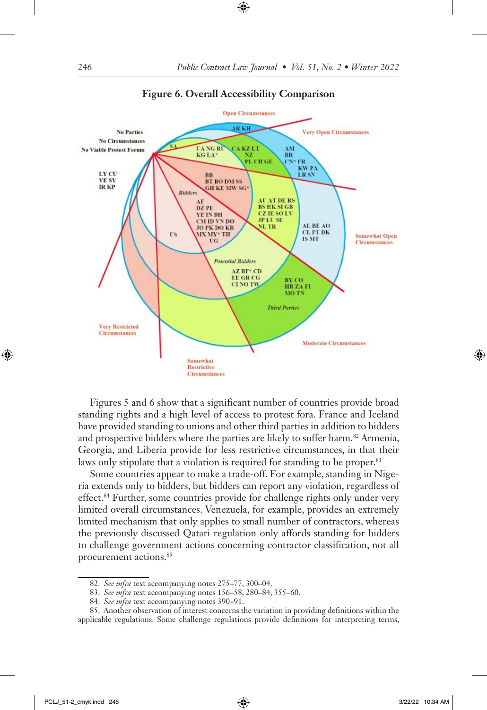

#### **Figure 6. Overall Accessibility Comparison**

Figures 5 and 6 show that a significant number of countries provide broad standing rights and a high level of access to protest fora. France and Iceland have provided standing to unions and other third parties in addition to bidders and prospective bidders where the parties are likely to suffer harm.<sup>82</sup> Armenia, Georgia, and Liberia provide for less restrictive circumstances, in that their laws only stipulate that a violation is required for standing to be proper.<sup>83</sup>

Some countries appear to make a trade-off. For example, standing in Nigeria extends only to bidders, but bidders can report any violation, regardless of effect.84 Further, some countries provide for challenge rights only under very limited overall circumstances. Venezuela, for example, provides an extremely limited mechanism that only applies to small number of contractors, whereas the previously discussed Qatari regulation only affords standing for bidders to challenge government actions concerning contractor classification, not all procurement actions.85

<sup>82.</sup> *See infra* text accompanying notes 275–77, 300–04.

<sup>83.</sup> *See infra* text accompanying notes 156–58, 280–84, 355–60.

<sup>84.</sup> *See infra* text accompanying notes 390–91.

<sup>85.</sup> Another observation of interest concerns the variation in providing definitions within the applicable regulations. Some challenge regulations provide definitions for interpreting terms,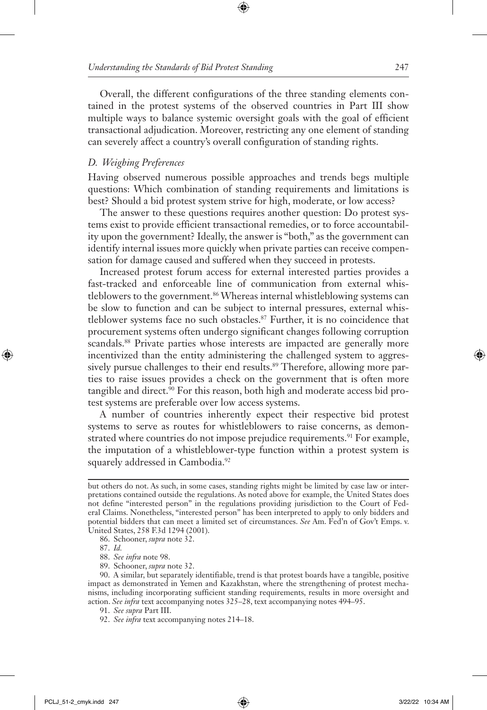Overall, the different configurations of the three standing elements contained in the protest systems of the observed countries in Part III show multiple ways to balance systemic oversight goals with the goal of efficient transactional adjudication. Moreover, restricting any one element of standing can severely affect a country's overall configuration of standing rights.

### *D. Weighing Preferences*

Having observed numerous possible approaches and trends begs multiple questions: Which combination of standing requirements and limitations is best? Should a bid protest system strive for high, moderate, or low access?

The answer to these questions requires another question: Do protest systems exist to provide efficient transactional remedies, or to force accountability upon the government? Ideally, the answer is "both," as the government can identify internal issues more quickly when private parties can receive compensation for damage caused and suffered when they succeed in protests.

Increased protest forum access for external interested parties provides a fast-tracked and enforceable line of communication from external whistleblowers to the government.<sup>86</sup> Whereas internal whistleblowing systems can be slow to function and can be subject to internal pressures, external whistleblower systems face no such obstacles.87 Further, it is no coincidence that procurement systems often undergo significant changes following corruption scandals.<sup>88</sup> Private parties whose interests are impacted are generally more incentivized than the entity administering the challenged system to aggressively pursue challenges to their end results.<sup>89</sup> Therefore, allowing more parties to raise issues provides a check on the government that is often more tangible and direct.<sup>90</sup> For this reason, both high and moderate access bid protest systems are preferable over low access systems.

A number of countries inherently expect their respective bid protest systems to serve as routes for whistleblowers to raise concerns, as demonstrated where countries do not impose prejudice requirements.<sup>91</sup> For example, the imputation of a whistleblower-type function within a protest system is squarely addressed in Cambodia.<sup>92</sup>

but others do not. As such, in some cases, standing rights might be limited by case law or interpretations contained outside the regulations. As noted above for example, the United States does not define "interested person" in the regulations providing jurisdiction to the Court of Federal Claims. Nonetheless, "interested person" has been interpreted to apply to only bidders and potential bidders that can meet a limited set of circumstances. *See* Am. Fed'n of Gov't Emps. v. United States, 258 F.3d 1294 (2001).

<sup>86.</sup> Schooner, *supra* note 32.

<sup>87.</sup> *Id.*

<sup>88.</sup> *See infra* note 98.

<sup>89.</sup> Schooner, *supra* note 32.

<sup>90.</sup> A similar, but separately identifiable, trend is that protest boards have a tangible, positive impact as demonstrated in Yemen and Kazakhstan, where the strengthening of protest mechanisms, including incorporating sufficient standing requirements, results in more oversight and action. *See infra* text accompanying notes 325–28, text accompanying notes 494–95.

<sup>91.</sup> *See supra* Part III.

<sup>92.</sup> *See infra* text accompanying notes 214–18.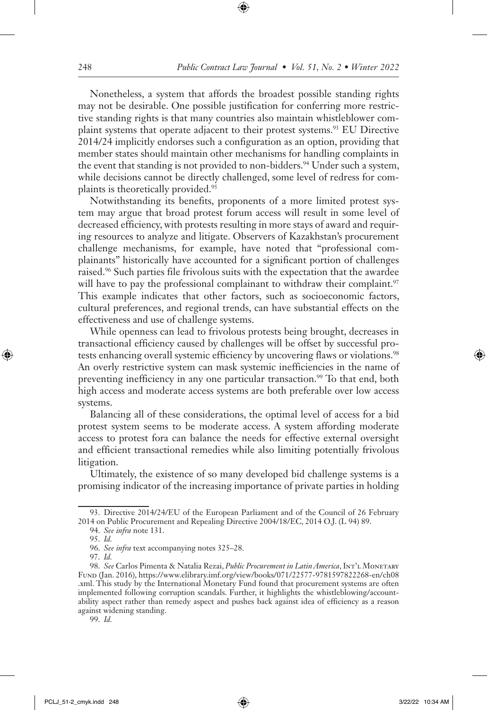Nonetheless, a system that affords the broadest possible standing rights may not be desirable. One possible justification for conferring more restrictive standing rights is that many countries also maintain whistleblower complaint systems that operate adjacent to their protest systems.93 EU Directive 2014/24 implicitly endorses such a configuration as an option, providing that member states should maintain other mechanisms for handling complaints in the event that standing is not provided to non-bidders.<sup>94</sup> Under such a system, while decisions cannot be directly challenged, some level of redress for complaints is theoretically provided.95

Notwithstanding its benefits, proponents of a more limited protest system may argue that broad protest forum access will result in some level of decreased efficiency, with protests resulting in more stays of award and requiring resources to analyze and litigate. Observers of Kazakhstan's procurement challenge mechanisms, for example, have noted that "professional complainants" historically have accounted for a significant portion of challenges raised.96 Such parties file frivolous suits with the expectation that the awardee will have to pay the professional complainant to withdraw their complaint.<sup>97</sup> This example indicates that other factors, such as socioeconomic factors, cultural preferences, and regional trends, can have substantial effects on the effectiveness and use of challenge systems.

While openness can lead to frivolous protests being brought, decreases in transactional efficiency caused by challenges will be offset by successful protests enhancing overall systemic efficiency by uncovering flaws or violations.<sup>98</sup> An overly restrictive system can mask systemic inefficiencies in the name of preventing inefficiency in any one particular transaction.<sup>99</sup> To that end, both high access and moderate access systems are both preferable over low access systems.

Balancing all of these considerations, the optimal level of access for a bid protest system seems to be moderate access. A system affording moderate access to protest fora can balance the needs for effective external oversight and efficient transactional remedies while also limiting potentially frivolous litigation.

Ultimately, the existence of so many developed bid challenge systems is a promising indicator of the increasing importance of private parties in holding

99. *Id.*

<sup>93.</sup> Directive 2014/24/EU of the European Parliament and of the Council of 26 February 2014 on Public Procurement and Repealing Directive 2004/18/EC, 2014 O.J. (L 94) 89.

<sup>94.</sup> *See infra* note 131.

<sup>95.</sup> *Id.*

<sup>96.</sup> *See infra* text accompanying notes 325–28.

<sup>97.</sup> *Id.*

<sup>98.</sup> *See* Carlos Pimenta & Natalia Rezai, *Public Procurement in Latin America*, Int'l Monetary Fund (Jan. 2016), https://www.elibrary.imf.org/view/books/071/22577-9781597822268-en/ch08 .xml. This study by the International Monetary Fund found that procurement systems are often implemented following corruption scandals. Further, it highlights the whistleblowing/accountability aspect rather than remedy aspect and pushes back against idea of efficiency as a reason against widening standing.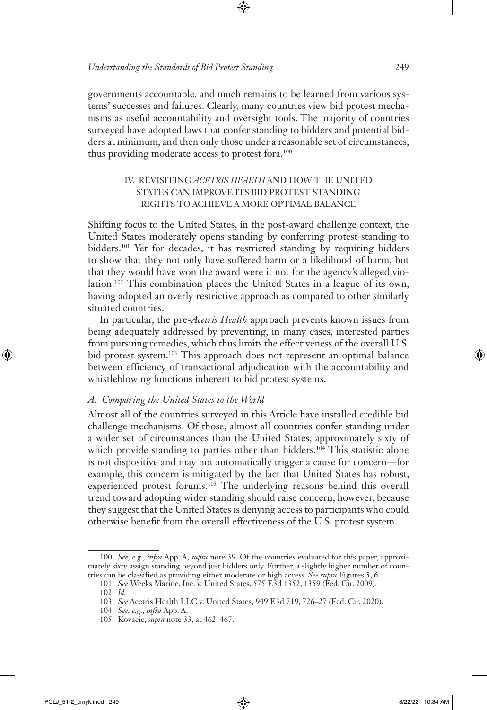governments accountable, and much remains to be learned from various systems' successes and failures. Clearly, many countries view bid protest mechanisms as useful accountability and oversight tools. The majority of countries surveyed have adopted laws that confer standing to bidders and potential bidders at minimum, and then only those under a reasonable set of circumstances, thus providing moderate access to protest fora.<sup>100</sup>

### IV. REVISITING *ACETRIS HEALTH* AND HOW THE UNITED STATES CAN IMPROVE ITS BID PROTEST STANDING RIGHTS TO ACHIEVE A MORE OPTIMAL BALANCE

Shifting focus to the United States, in the post-award challenge context, the United States moderately opens standing by conferring protest standing to bidders.<sup>101</sup> Yet for decades, it has restricted standing by requiring bidders to show that they not only have suffered harm or a likelihood of harm, but that they would have won the award were it not for the agency's alleged violation.102 This combination places the United States in a league of its own, having adopted an overly restrictive approach as compared to other similarly situated countries.

In particular, the pre-*Acetris Health* approach prevents known issues from being adequately addressed by preventing, in many cases, interested parties from pursuing remedies, which thus limits the effectiveness of the overall U.S. bid protest system.103 This approach does not represent an optimal balance between efficiency of transactional adjudication with the accountability and whistleblowing functions inherent to bid protest systems.

### *A. Comparing the United States to the World*

Almost all of the countries surveyed in this Article have installed credible bid challenge mechanisms. Of those, almost all countries confer standing under a wider set of circumstances than the United States, approximately sixty of which provide standing to parties other than bidders.<sup>104</sup> This statistic alone is not dispositive and may not automatically trigger a cause for concern—for example, this concern is mitigated by the fact that United States has robust, experienced protest forums.105 The underlying reasons behind this overall trend toward adopting wider standing should raise concern, however, because they suggest that the United States is denying access to participants who could otherwise benefit from the overall effectiveness of the U.S. protest system.

<sup>100.</sup> *See, e.g.*, *infra* App. A, *supra* note 39. Of the countries evaluated for this paper, approximately sixty assign standing beyond just bidders only. Further, a slightly higher number of countries can be classified as providing either moderate or high access. *See supra* Figures 5, 6.

<sup>101.</sup> *See* Weeks Marine, Inc. v. United States, 575 F.3d 1352, 1359 (Fed. Cir. 2009).

<sup>102.</sup> *Id.*

<sup>103.</sup> *See* Acetris Health LLC v. United States, 949 F.3d 719, 726–27 (Fed. Cir. 2020).

<sup>104.</sup> *See, e.g.*, *infra* App. A.

<sup>105.</sup> Kovacic, *supra* note 33, at 462, 467.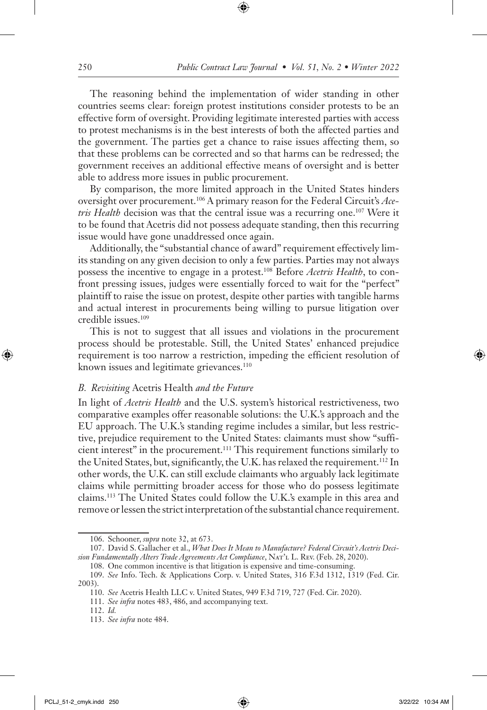The reasoning behind the implementation of wider standing in other countries seems clear: foreign protest institutions consider protests to be an effective form of oversight. Providing legitimate interested parties with access to protest mechanisms is in the best interests of both the affected parties and the government. The parties get a chance to raise issues affecting them, so that these problems can be corrected and so that harms can be redressed; the government receives an additional effective means of oversight and is better able to address more issues in public procurement.

By comparison, the more limited approach in the United States hinders oversight over procurement.106 A primary reason for the Federal Circuit's *Ace*tris Health decision was that the central issue was a recurring one.<sup>107</sup> Were it to be found that Acetris did not possess adequate standing, then this recurring issue would have gone unaddressed once again.

Additionally, the "substantial chance of award" requirement effectively limits standing on any given decision to only a few parties. Parties may not always possess the incentive to engage in a protest.108 Before *Acetris Health*, to confront pressing issues, judges were essentially forced to wait for the "perfect" plaintiff to raise the issue on protest, despite other parties with tangible harms and actual interest in procurements being willing to pursue litigation over credible issues.109

This is not to suggest that all issues and violations in the procurement process should be protestable. Still, the United States' enhanced prejudice requirement is too narrow a restriction, impeding the efficient resolution of known issues and legitimate grievances.<sup>110</sup>

#### *B. Revisiting* Acetris Health *and the Future*

In light of *Acetris Health* and the U.S. system's historical restrictiveness, two comparative examples offer reasonable solutions: the U.K.'s approach and the EU approach. The U.K.'s standing regime includes a similar, but less restrictive, prejudice requirement to the United States: claimants must show "sufficient interest" in the procurement.111 This requirement functions similarly to the United States, but, significantly, the U.K. has relaxed the requirement.<sup>112</sup> In other words, the U.K. can still exclude claimants who arguably lack legitimate claims while permitting broader access for those who do possess legitimate claims.113 The United States could follow the U.K.'s example in this area and remove or lessen the strict interpretation of the substantial chance requirement.

<sup>106.</sup> Schooner, *supra* note 32, at 673.

<sup>107.</sup> David S. Gallacher et al., *What Does It Mean to Manufacture? Federal Circuit's Acetris Decision Fundamentally Alters Trade Agreements Act Compliance*, Nat'l L. Rev. (Feb. 28, 2020).

<sup>108.</sup> One common incentive is that litigation is expensive and time-consuming. 109. *See* Info. Tech. & Applications Corp. v. United States, 316 F.3d 1312, 1319 (Fed. Cir. 2003).

<sup>110.</sup> *See* Acetris Health LLC v. United States, 949 F.3d 719, 727 (Fed. Cir. 2020).

<sup>111.</sup> *See infra* notes 483, 486, and accompanying text.

<sup>112.</sup> *Id.*

<sup>113.</sup> *See infra* note 484.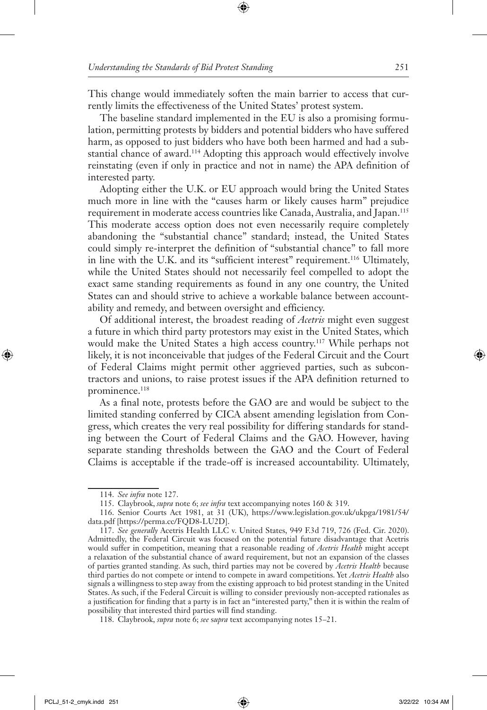This change would immediately soften the main barrier to access that currently limits the effectiveness of the United States' protest system.

The baseline standard implemented in the EU is also a promising formulation, permitting protests by bidders and potential bidders who have suffered harm, as opposed to just bidders who have both been harmed and had a substantial chance of award.114 Adopting this approach would effectively involve reinstating (even if only in practice and not in name) the APA definition of interested party.

Adopting either the U.K. or EU approach would bring the United States much more in line with the "causes harm or likely causes harm" prejudice requirement in moderate access countries like Canada, Australia, and Japan.115 This moderate access option does not even necessarily require completely abandoning the "substantial chance" standard; instead, the United States could simply re-interpret the definition of "substantial chance" to fall more in line with the U.K. and its "sufficient interest" requirement.<sup>116</sup> Ultimately, while the United States should not necessarily feel compelled to adopt the exact same standing requirements as found in any one country, the United States can and should strive to achieve a workable balance between accountability and remedy, and between oversight and efficiency.

Of additional interest, the broadest reading of *Acetris* might even suggest a future in which third party protestors may exist in the United States, which would make the United States a high access country.<sup>117</sup> While perhaps not likely, it is not inconceivable that judges of the Federal Circuit and the Court of Federal Claims might permit other aggrieved parties, such as subcontractors and unions, to raise protest issues if the APA definition returned to prominence.<sup>118</sup>

As a final note, protests before the GAO are and would be subject to the limited standing conferred by CICA absent amending legislation from Congress, which creates the very real possibility for differing standards for standing between the Court of Federal Claims and the GAO. However, having separate standing thresholds between the GAO and the Court of Federal Claims is acceptable if the trade-off is increased accountability. Ultimately,

118. Claybrook, *supra* note 6; *see* s*upra* text accompanying notes 15–21.

<sup>114.</sup> *See infra* note 127.

<sup>115.</sup> Claybrook, *supra* note 6; *see infra* text accompanying notes 160 & 319.

<sup>116.</sup> Senior Courts Act 1981, at 31 (UK), https://www.legislation.gov.uk/ukpga/1981/54/ data.pdf [https://perma.cc/FQD8-LU2D].

<sup>117.</sup> *See generally* Acetris Health LLC v. United States, 949 F.3d 719, 726 (Fed. Cir. 2020). Admittedly, the Federal Circuit was focused on the potential future disadvantage that Acetris would suffer in competition, meaning that a reasonable reading of *Acetris Health* might accept a relaxation of the substantial chance of award requirement, but not an expansion of the classes of parties granted standing. As such, third parties may not be covered by *Acetris Health* because third parties do not compete or intend to compete in award competitions. Yet *Acetris Health* also signals a willingness to step away from the existing approach to bid protest standing in the United States. As such, if the Federal Circuit is willing to consider previously non-accepted rationales as a justification for finding that a party is in fact an "interested party," then it is within the realm of possibility that interested third parties will find standing.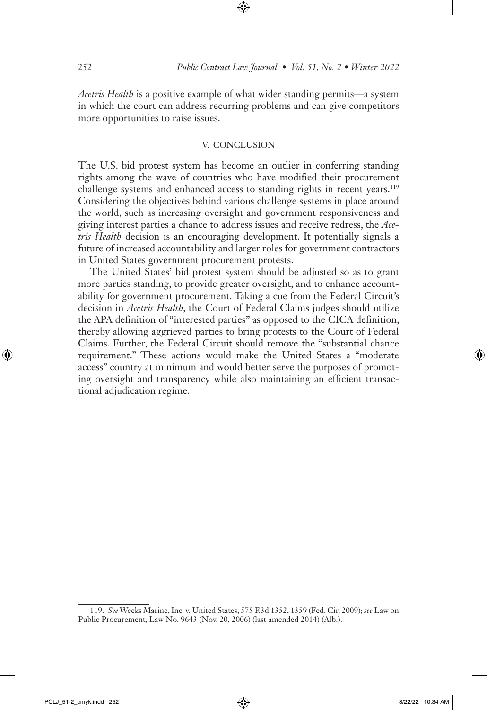*Acetris Health* is a positive example of what wider standing permits—a system in which the court can address recurring problems and can give competitors more opportunities to raise issues.

#### V. CONCLUSION

The U.S. bid protest system has become an outlier in conferring standing rights among the wave of countries who have modified their procurement challenge systems and enhanced access to standing rights in recent years.<sup>119</sup> Considering the objectives behind various challenge systems in place around the world, such as increasing oversight and government responsiveness and giving interest parties a chance to address issues and receive redress, the *Acetris Health* decision is an encouraging development. It potentially signals a future of increased accountability and larger roles for government contractors in United States government procurement protests.

The United States' bid protest system should be adjusted so as to grant more parties standing, to provide greater oversight, and to enhance accountability for government procurement. Taking a cue from the Federal Circuit's decision in *Acetris Health*, the Court of Federal Claims judges should utilize the APA definition of "interested parties" as opposed to the CICA definition, thereby allowing aggrieved parties to bring protests to the Court of Federal Claims. Further, the Federal Circuit should remove the "substantial chance requirement." These actions would make the United States a "moderate access" country at minimum and would better serve the purposes of promoting oversight and transparency while also maintaining an efficient transactional adjudication regime.

<sup>119.</sup> *See* Weeks Marine, Inc. v. United States, 575 F.3d 1352, 1359 (Fed. Cir. 2009); *see* Law on Public Procurement, Law No. 9643 (Nov. 20, 2006) (last amended 2014) (Alb.).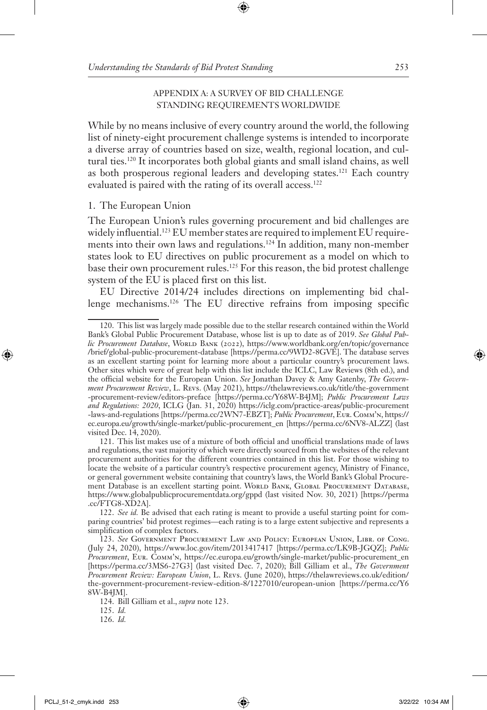### APPENDIX A: A SURVEY OF BID CHALLENGE STANDING REQUIREMENTS WORLDWIDE

While by no means inclusive of every country around the world, the following list of ninety-eight procurement challenge systems is intended to incorporate a diverse array of countries based on size, wealth, regional location, and cultural ties.120 It incorporates both global giants and small island chains, as well as both prosperous regional leaders and developing states.121 Each country evaluated is paired with the rating of its overall access.<sup>122</sup>

### 1. The European Union

The European Union's rules governing procurement and bid challenges are widely influential.<sup>123</sup> EU member states are required to implement EU requirements into their own laws and regulations.<sup>124</sup> In addition, many non-member states look to EU directives on public procurement as a model on which to base their own procurement rules.125 For this reason, the bid protest challenge system of the EU is placed first on this list.

EU Directive 2014/24 includes directions on implementing bid challenge mechanisms.126 The EU directive refrains from imposing specific

<sup>120.</sup> This list was largely made possible due to the stellar research contained within the World Bank's Global Public Procurement Database, whose list is up to date as of 2019. *See Global Public Procurement Database*, World BANK (2022), https://www.worldbank.org/en/topic/governance /brief/global-public-procurement-database [https://perma.cc/9WD2-8GVE]. The database serves as an excellent starting point for learning more about a particular country's procurement laws. Other sites which were of great help with this list include the ICLC, Law Reviews (8th ed.), and the official website for the European Union. *See* Jonathan Davey & Amy Gatenby, *The Government Procurement Review*, L. Revs. (May 2021), https://thelawreviews.co.uk/title/the-government -procurement-review/editors-preface [https://perma.cc/Y68W-B4JM]; *Public Procurement Laws and Regulations: 2020*, ICLG (Jan. 31, 2020) https://iclg.com/practice-areas/public-procurement -laws-and-regulations [https://perma.cc/2WN7-EBZT]; *Public Procurement*, Eur. Comm'n, https:// ec.europa.eu/growth/single-market/public-procurement\_en [https://perma.cc/6NV8-ALZZ] (last visited Dec. 14, 2020).

<sup>121.</sup> This list makes use of a mixture of both official and unofficial translations made of laws and regulations, the vast majority of which were directly sourced from the websites of the relevant procurement authorities for the different countries contained in this list. For those wishing to locate the website of a particular country's respective procurement agency, Ministry of Finance, or general government website containing that country's laws, the World Bank's Global Procurement Database is an excellent starting point. World BANK, GLOBAL PROCUREMENT DATABASE, https://www.globalpublicprocurementdata.org/gppd (last visited Nov. 30, 2021) [https://perma .cc/FTG8-XD2A].

<sup>122.</sup> *See id.* Be advised that each rating is meant to provide a useful starting point for comparing countries' bid protest regimes—each rating is to a large extent subjective and represents a simplification of complex factors.

<sup>123.</sup> *See* Government Procurement Law and Policy: European Union, Libr. of Cong. (July 24, 2020), https://www.loc.gov/item/2013417417 [https://perma.cc/LK9B-JGQZ]; *Public Procurement*, Eur. Comm'n, https://ec.europa.eu/growth/single-market/public-procurement\_en [https://perma.cc/3MS6-27G3] (last visited Dec. 7, 2020); Bill Gilliam et al., *The Government Procurement Review: European Union*, L. Revs. (June 2020), https://thelawreviews.co.uk/edition/ the-government-procurement-review-edition-8/1227010/european-union [https://perma.cc/Y6 8W-B4JM].

<sup>124.</sup> Bill Gilliam et al., *supra* note 123.

<sup>125.</sup> *Id.*

<sup>126.</sup> *Id.*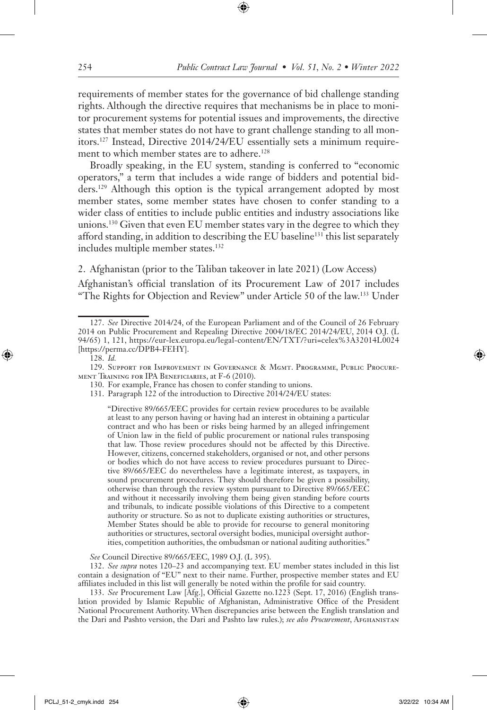requirements of member states for the governance of bid challenge standing rights. Although the directive requires that mechanisms be in place to monitor procurement systems for potential issues and improvements, the directive states that member states do not have to grant challenge standing to all monitors.127 Instead, Directive 2014/24/EU essentially sets a minimum requirement to which member states are to adhere.<sup>128</sup>

Broadly speaking, in the EU system, standing is conferred to "economic operators," a term that includes a wide range of bidders and potential bidders.129 Although this option is the typical arrangement adopted by most member states, some member states have chosen to confer standing to a wider class of entities to include public entities and industry associations like unions.130 Given that even EU member states vary in the degree to which they afford standing, in addition to describing the EU baseline<sup>131</sup> this list separately includes multiple member states.<sup>132</sup>

2. Afghanistan (prior to the Taliban takeover in late 2021) (Low Access)

Afghanistan's official translation of its Procurement Law of 2017 includes "The Rights for Objection and Review" under Article 50 of the law.133 Under

128. *Id.*

129. Support for Improvement in Governance & Mgmt. Programme, Public Procurement Training for IPA Beneficiaries, at F-6 (2010).

130. For example, France has chosen to confer standing to unions.

131. Paragraph 122 of the introduction to Directive 2014/24/EU states:

"Directive 89/665/EEC provides for certain review procedures to be available at least to any person having or having had an interest in obtaining a particular contract and who has been or risks being harmed by an alleged infringement of Union law in the field of public procurement or national rules transposing that law. Those review procedures should not be affected by this Directive. However, citizens, concerned stakeholders, organised or not, and other persons or bodies which do not have access to review procedures pursuant to Directive 89/665/EEC do nevertheless have a legitimate interest, as taxpayers, in sound procurement procedures. They should therefore be given a possibility, otherwise than through the review system pursuant to Directive 89/665/EEC and without it necessarily involving them being given standing before courts and tribunals, to indicate possible violations of this Directive to a competent authority or structure. So as not to duplicate existing authorities or structures, Member States should be able to provide for recourse to general monitoring authorities or structures, sectoral oversight bodies, municipal oversight authorities, competition authorities, the ombudsman or national auditing authorities."

*See* Council Directive 89/665/EEC, 1989 O.J. (L 395).

132. *See supra* notes 120–23 and accompanying text. EU member states included in this list contain a designation of "EU" next to their name. Further, prospective member states and EU affiliates included in this list will generally be noted within the profile for said country.

133. *See* Procurement Law [Afg.], Official Gazette no.1223 (Sept. 17, 2016) (English translation provided by Islamic Republic of Afghanistan, Administrative Office of the President National Procurement Authority. When discrepancies arise between the English translation and the Dari and Pashto version, the Dari and Pashto law rules.); *see also Procurement*, Afghanistan

<sup>127.</sup> *See* Directive 2014/24, of the European Parliament and of the Council of 26 February 2014 on Public Procurement and Repealing Directive 2004/18/EC 2014/24/EU, 2014 O.J. (L 94/65) 1, 121, https://eur-lex.europa.eu/legal-content/EN/TXT/?uri=celex%3A32014L0024 [https://perma.cc/DPB4-FEHY].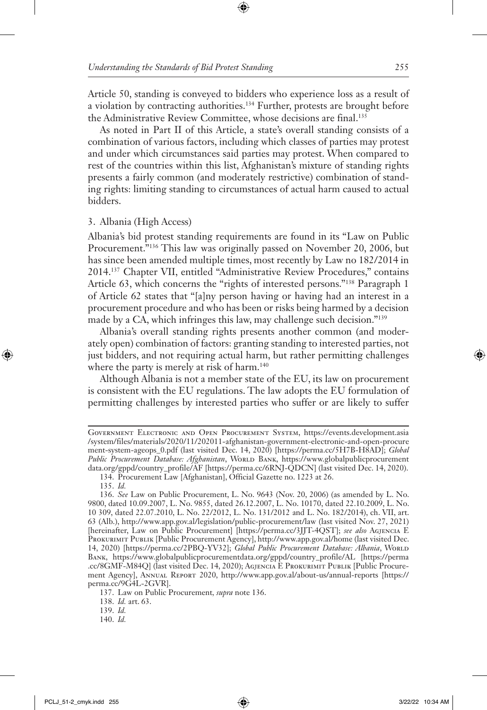Article 50, standing is conveyed to bidders who experience loss as a result of a violation by contracting authorities.<sup>134</sup> Further, protests are brought before the Administrative Review Committee, whose decisions are final.135

As noted in Part II of this Article, a state's overall standing consists of a combination of various factors, including which classes of parties may protest and under which circumstances said parties may protest. When compared to rest of the countries within this list, Afghanistan's mixture of standing rights presents a fairly common (and moderately restrictive) combination of standing rights: limiting standing to circumstances of actual harm caused to actual bidders.

#### 3. Albania (High Access)

Albania's bid protest standing requirements are found in its "Law on Public Procurement."136 This law was originally passed on November 20, 2006, but has since been amended multiple times, most recently by Law no 182/2014 in 2014.137 Chapter VII, entitled "Administrative Review Procedures," contains Article 63, which concerns the "rights of interested persons."138 Paragraph 1 of Article 62 states that "[a]ny person having or having had an interest in a procurement procedure and who has been or risks being harmed by a decision made by a CA, which infringes this law, may challenge such decision."139

Albania's overall standing rights presents another common (and moderately open) combination of factors: granting standing to interested parties, not just bidders, and not requiring actual harm, but rather permitting challenges where the party is merely at risk of harm.<sup>140</sup>

Although Albania is not a member state of the EU, its law on procurement is consistent with the EU regulations. The law adopts the EU formulation of permitting challenges by interested parties who suffer or are likely to suffer

138. *Id.* art. 63.

Government Electronic and Open Procurement System, https://events.development.asia /system/files/materials/2020/11/202011-afghanistan-government-electronic-and-open-procure ment-system-ageops\_0.pdf (last visited Dec. 14, 2020) [https://perma.cc/5H7B-H8AD]; *Global*  Public Procurement Database: Afghanistan, WORLD BANK, https://www.globalpublicprocurement data.org/gppd/country\_profile/AF [https://perma.cc/6RNJ-QDCN] (last visited Dec. 14, 2020).

<sup>134.</sup> Procurement Law [Afghanistan], Official Gazette no. 1223 at 26.

<sup>135.</sup> *Id.*

<sup>136.</sup> *See* Law on Public Procurement, L. No. 9643 (Nov. 20, 2006) (as amended by L. No. 9800, dated 10.09.2007, L. No. 9855, dated 26.12.2007, L. No. 10170, dated 22.10.2009, L. No. 10 309, dated 22.07.2010, L. No. 22/2012, L. No. 131/2012 and L. No. 182/2014), ch. VII, art. 63 (Alb.), http://www.app.gov.al/legislation/public-procurement/law (last visited Nov. 27, 2021) [hereinafter, Law on Public Procurement] [https://perma.cc/3JJT-4QST]; *see also* Agjencia E PROKURIMIT PUBLIK [Public Procurement Agency], http://www.app.gov.al/home (last visited Dec. 14, 2020) [https://perma.cc/2PBQ-YV32]; *Global Public Procurement Database: Albania*, World Bank, https://www.globalpublicprocurementdata.org/gppd/country\_profile/AL [https://perma .cc/8GMF-M84Q] (last visited Dec. 14, 2020); Agjencia E Prokurimit Publik [Public Procurement Agency], Annual Report 2020, http://www.app.gov.al/about-us/annual-reports [https:// perma.cc/9G4L-2GVR].

<sup>137.</sup> Law on Public Procurement*, supra* note 136.

<sup>139.</sup> *Id.* 

<sup>140.</sup> *Id.*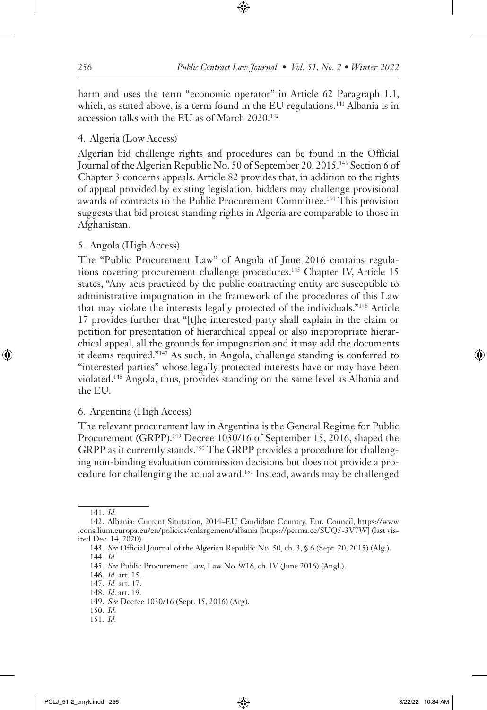harm and uses the term "economic operator" in Article 62 Paragraph 1.1, which, as stated above, is a term found in the EU regulations.<sup>141</sup> Albania is in accession talks with the EU as of March 2020.142

# 4. Algeria (Low Access)

Algerian bid challenge rights and procedures can be found in the Official Journal of the Algerian Republic No. 50 of September 20, 2015.143 Section 6 of Chapter 3 concerns appeals. Article 82 provides that, in addition to the rights of appeal provided by existing legislation, bidders may challenge provisional awards of contracts to the Public Procurement Committee.144 This provision suggests that bid protest standing rights in Algeria are comparable to those in Afghanistan.

# 5. Angola (High Access)

The "Public Procurement Law" of Angola of June 2016 contains regulations covering procurement challenge procedures.<sup>145</sup> Chapter IV, Article 15 states, "Any acts practiced by the public contracting entity are susceptible to administrative impugnation in the framework of the procedures of this Law that may violate the interests legally protected of the individuals."146 Article 17 provides further that "[t]he interested party shall explain in the claim or petition for presentation of hierarchical appeal or also inappropriate hierarchical appeal, all the grounds for impugnation and it may add the documents it deems required."147 As such, in Angola, challenge standing is conferred to "interested parties" whose legally protected interests have or may have been violated.148 Angola, thus, provides standing on the same level as Albania and the EU.

# 6. Argentina (High Access)

The relevant procurement law in Argentina is the General Regime for Public Procurement (GRPP).<sup>149</sup> Decree 1030/16 of September 15, 2016, shaped the GRPP as it currently stands.150 The GRPP provides a procedure for challenging non-binding evaluation commission decisions but does not provide a procedure for challenging the actual award.151 Instead, awards may be challenged

- 150. *Id.*
- 151. *Id.*

<sup>141.</sup> *Id.*

<sup>142.</sup> Albania: Current Situtation, 2014–EU Candidate Country, Eur. Council, https://www .consilium.europa.eu/en/policies/enlargement/albania [https://perma.cc/SUQ5-3V7W] (last visited Dec. 14, 2020).

<sup>143.</sup> *See* Official Journal of the Algerian Republic No. 50, ch. 3, § 6 (Sept. 20, 2015) (Alg.). 144. *Id.*

<sup>145.</sup> *See* Public Procurement Law, Law No. 9/16, ch. IV (June 2016) (Angl.).

<sup>146.</sup> *Id*. art. 15.

<sup>147.</sup> *Id.* art. 17.

<sup>148.</sup> *Id*. art. 19.

<sup>149.</sup> *See* Decree 1030/16 (Sept. 15, 2016) (Arg).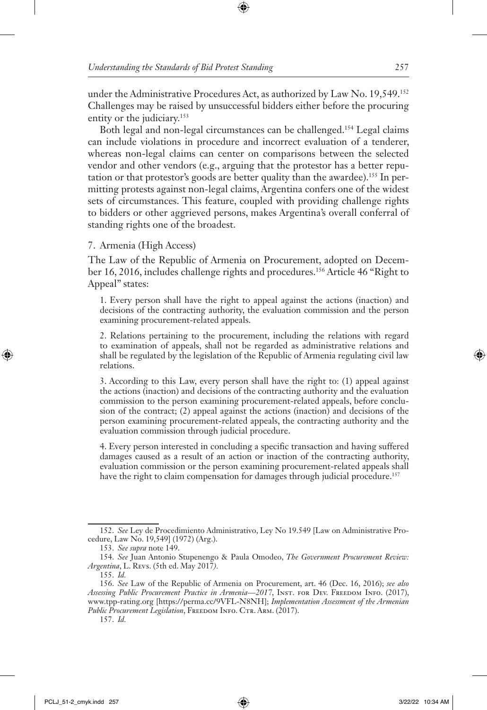under the Administrative Procedures Act, as authorized by Law No. 19,549.152 Challenges may be raised by unsuccessful bidders either before the procuring entity or the judiciary.<sup>153</sup>

Both legal and non-legal circumstances can be challenged.154 Legal claims can include violations in procedure and incorrect evaluation of a tenderer, whereas non-legal claims can center on comparisons between the selected vendor and other vendors (e.g., arguing that the protestor has a better reputation or that protestor's goods are better quality than the awardee).155 In permitting protests against non-legal claims, Argentina confers one of the widest sets of circumstances. This feature, coupled with providing challenge rights to bidders or other aggrieved persons, makes Argentina's overall conferral of standing rights one of the broadest.

#### 7. Armenia (High Access)

The Law of the Republic of Armenia on Procurement, adopted on December 16, 2016, includes challenge rights and procedures.156 Article 46 "Right to Appeal" states:

1. Every person shall have the right to appeal against the actions (inaction) and decisions of the contracting authority, the evaluation commission and the person examining procurement-related appeals.

2. Relations pertaining to the procurement, including the relations with regard to examination of appeals, shall not be regarded as administrative relations and shall be regulated by the legislation of the Republic of Armenia regulating civil law relations.

3. According to this Law, every person shall have the right to: (1) appeal against the actions (inaction) and decisions of the contracting authority and the evaluation commission to the person examining procurement-related appeals, before conclusion of the contract; (2) appeal against the actions (inaction) and decisions of the person examining procurement-related appeals, the contracting authority and the evaluation commission through judicial procedure.

4. Every person interested in concluding a specific transaction and having suffered damages caused as a result of an action or inaction of the contracting authority, evaluation commission or the person examining procurement-related appeals shall have the right to claim compensation for damages through judicial procedure.<sup>157</sup>

<sup>152.</sup> *See* Ley de Procedimiento Administrativo, Ley No 19.549 [Law on Administrative Procedure, Law No. 19,549] (1972) (Arg.).

<sup>153.</sup> *See supra* note 149.

<sup>154.</sup> *See* Juan Antonio Stupenengo & Paula Omodeo, *The Government Procurement Review: Argentina*, L. Revs. (5th ed. May 2017*).* 

<sup>155.</sup> *Id.*

<sup>156.</sup> *See* Law of the Republic of Armenia on Procurement, art. 46 (Dec. 16, 2016); *see also*  Assessing Public Procurement Practice in Armenia-2017, INST. FOR DEV. FREEDOM INFO. (2017), www.tpp-rating.org [https://perma.cc/9VFL-N8NH]; *Implementation Assessment of the Armenian*  Public Procurement Legislation, FREEDOM INFO. CTR. ARM. (2017).

<sup>157.</sup> *Id.*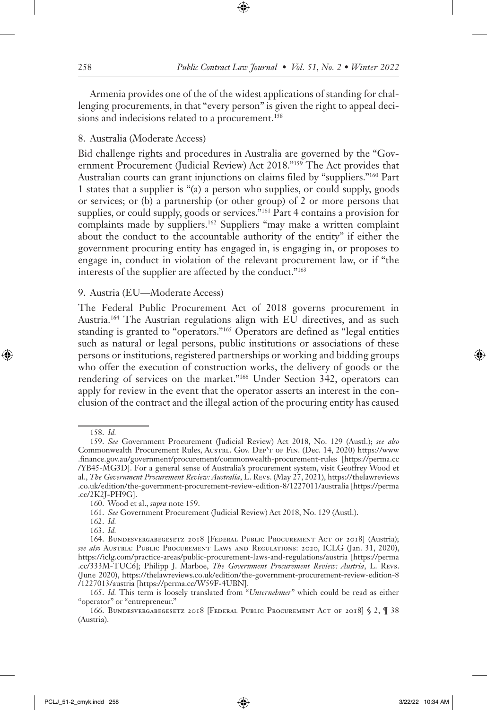Armenia provides one of the of the widest applications of standing for challenging procurements, in that "every person" is given the right to appeal decisions and indecisions related to a procurement.<sup>158</sup>

### 8. Australia (Moderate Access)

Bid challenge rights and procedures in Australia are governed by the "Government Procurement (Judicial Review) Act 2018."159 The Act provides that Australian courts can grant injunctions on claims filed by "suppliers."160 Part 1 states that a supplier is "(a) a person who supplies, or could supply, goods or services; or (b) a partnership (or other group) of 2 or more persons that supplies, or could supply, goods or services."161 Part 4 contains a provision for complaints made by suppliers.<sup>162</sup> Suppliers "may make a written complaint about the conduct to the accountable authority of the entity" if either the government procuring entity has engaged in, is engaging in, or proposes to engage in, conduct in violation of the relevant procurement law, or if "the interests of the supplier are affected by the conduct."163

### 9. Austria (EU—Moderate Access)

The Federal Public Procurement Act of 2018 governs procurement in Austria.164 The Austrian regulations align with EU directives, and as such standing is granted to "operators."165 Operators are defined as "legal entities such as natural or legal persons, public institutions or associations of these persons or institutions, registered partnerships or working and bidding groups who offer the execution of construction works, the delivery of goods or the rendering of services on the market."166 Under Section 342, operators can apply for review in the event that the operator asserts an interest in the conclusion of the contract and the illegal action of the procuring entity has caused

<sup>158.</sup> *Id.*

<sup>159.</sup> *See* Government Procurement (Judicial Review) Act 2018, No. 129 (Austl.); *see also*  Commonwealth Procurement Rules, Austral. Gov. DEP'T of Fin. (Dec. 14, 2020) https://www .finance.gov.au/government/procurement/commonwealth-procurement-rules [https://perma.cc /YB45-MG3D]. For a general sense of Australia's procurement system, visit Geoffrey Wood et al., *The Government Procurement Review: Australia*, L. Revs. (May 27, 2021), https://thelawreviews .co.uk/edition/the-government-procurement-review-edition-8/1227011/australia [https://perma .cc/2K2J-PH9G].

<sup>160.</sup> Wood et al., *supra* note 159.

<sup>161.</sup> *See* Government Procurement (Judicial Review) Act 2018, No. 129 (Austl.).

<sup>162.</sup> *Id.*

<sup>163.</sup> *Id.*

<sup>164.</sup> Bundesvergabegesetz 2018 [Federal Public Procurement Act of 2018] (Austria); *see also* Austria: Public Procurement Laws and Regulations: 2020, ICLG (Jan. 31, 2020), https://iclg.com/practice-areas/public-procurement-laws-and-regulations/austria [https://perma .cc/333M-TUC6]; Philipp J. Marboe, *The Government Procurement Review: Austria*, L. Revs. (June 2020), https://thelawreviews.co.uk/edition/the-government-procurement-review-edition-8 /1227013/austria [https://perma.cc/W59F-4UBN].

<sup>165.</sup> *Id.* This term is loosely translated from "*Unternehmer*" which could be read as either "operator" or "entrepreneur."

<sup>166.</sup> BUNDESVERGABEGESETZ 2018 [FEDERAL PUBLIC PROCUREMENT ACT OF 2018] § 2,  $\P$  38 (Austria).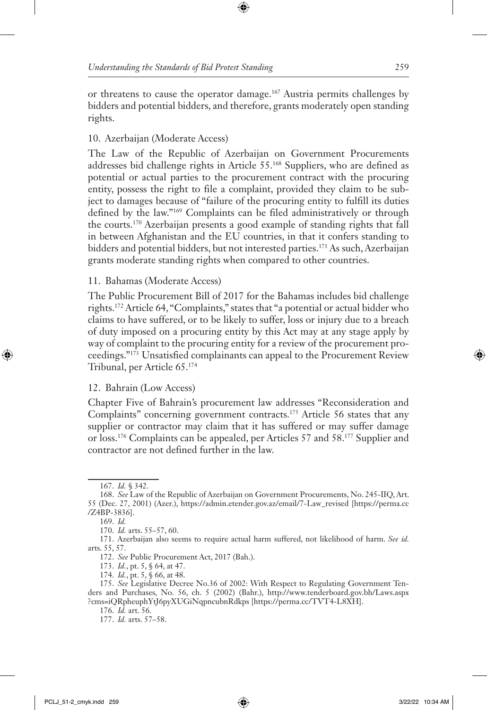or threatens to cause the operator damage.167 Austria permits challenges by bidders and potential bidders, and therefore, grants moderately open standing rights.

# 10. Azerbaijan (Moderate Access)

The Law of the Republic of Azerbaijan on Government Procurements addresses bid challenge rights in Article 55.168 Suppliers, who are defined as potential or actual parties to the procurement contract with the procuring entity, possess the right to file a complaint, provided they claim to be subject to damages because of "failure of the procuring entity to fulfill its duties defined by the law."169 Complaints can be filed administratively or through the courts.170 Azerbaijan presents a good example of standing rights that fall in between Afghanistan and the EU countries, in that it confers standing to bidders and potential bidders, but not interested parties.171 As such, Azerbaijan grants moderate standing rights when compared to other countries.

# 11. Bahamas (Moderate Access)

The Public Procurement Bill of 2017 for the Bahamas includes bid challenge rights.172 Article 64, "Complaints," states that "a potential or actual bidder who claims to have suffered, or to be likely to suffer, loss or injury due to a breach of duty imposed on a procuring entity by this Act may at any stage apply by way of complaint to the procuring entity for a review of the procurement proceedings."173 Unsatisfied complainants can appeal to the Procurement Review Tribunal, per Article 65.174

# 12. Bahrain (Low Access)

Chapter Five of Bahrain's procurement law addresses "Reconsideration and Complaints" concerning government contracts.175 Article 56 states that any supplier or contractor may claim that it has suffered or may suffer damage or loss.176 Complaints can be appealed, per Articles 57 and 58.177 Supplier and contractor are not defined further in the law.

172. *See* Public Procurement Act, 2017 (Bah.).

- 173. *Id.*, pt. 5, § 64, at 47.
- 174. *Id.*, pt. 5, § 66, at 48.

<sup>167.</sup> *Id.* § 342.

<sup>168.</sup> *See* Law of the Republic of Azerbaijan on Government Procurements, No. 245-IIQ, Art. 55 (Dec. 27, 2001) (Azer.), https://admin.etender.gov.az/email/7-Law\_revised [https://perma.cc /Z4BP-3836].

<sup>169.</sup> *Id.*

<sup>170.</sup> *Id.* arts. 55–57, 60.

<sup>171.</sup> Azerbaijan also seems to require actual harm suffered, not likelihood of harm. *See id.*  arts. 55, 57.

<sup>175.</sup> *See* Legislative Decree No.36 of 2002: With Respect to Regulating Government Tenders and Purchases, No. 56, ch. 5 (2002) (Bahr.), http://www.tenderboard.gov.bh/Laws.aspx ?cms=iQRpheuphYtJ6pyXUGiNqpncubnRdkps [https://perma.cc/TVT4-L8XH].

<sup>176.</sup> *Id.* art. 56.

<sup>177.</sup> *Id.* arts. 57–58.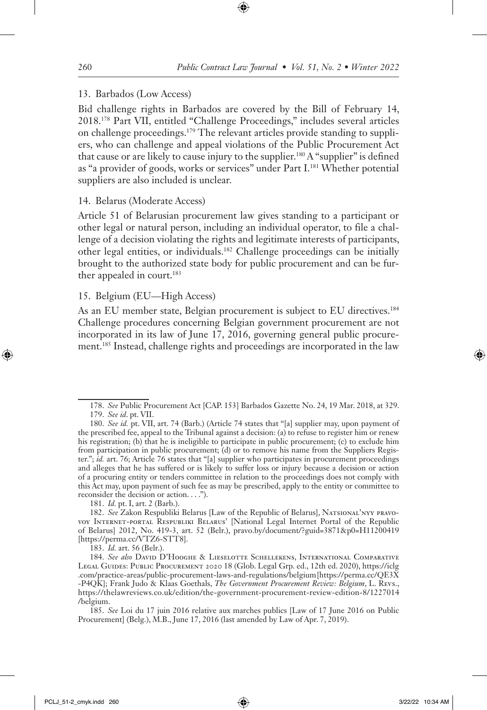#### 13. Barbados (Low Access)

Bid challenge rights in Barbados are covered by the Bill of February 14, 2018.178 Part VII, entitled "Challenge Proceedings," includes several articles on challenge proceedings.179 The relevant articles provide standing to suppliers, who can challenge and appeal violations of the Public Procurement Act that cause or are likely to cause injury to the supplier.<sup>180</sup> A "supplier" is defined as "a provider of goods, works or services" under Part I.181 Whether potential suppliers are also included is unclear.

#### 14. Belarus (Moderate Access)

Article 51 of Belarusian procurement law gives standing to a participant or other legal or natural person, including an individual operator, to file a challenge of a decision violating the rights and legitimate interests of participants, other legal entities, or individuals.182 Challenge proceedings can be initially brought to the authorized state body for public procurement and can be further appealed in court.<sup>183</sup>

#### 15. Belgium (EU—High Access)

As an EU member state, Belgian procurement is subject to EU directives.<sup>184</sup> Challenge procedures concerning Belgian government procurement are not incorporated in its law of June 17, 2016, governing general public procurement.185 Instead, challenge rights and proceedings are incorporated in the law

181. *Id.* pt. I, art. 2 (Barb.).

183. *Id.* art. 56 (Belr.).

<sup>178.</sup> *See* Public Procurement Act [CAP. 153] Barbados Gazette No. 24, 19 Mar. 2018, at 329.

<sup>179.</sup> *See id*. pt. VII.

<sup>180.</sup> *See id.* pt. VII, art. 74 (Barb.) (Article 74 states that "[a] supplier may, upon payment of the prescribed fee, appeal to the Tribunal against a decision: (a) to refuse to register him or renew his registration; (b) that he is ineligible to participate in public procurement; (c) to exclude him from participation in public procurement; (d) or to remove his name from the Suppliers Register."; *id.* art. 76; Article 76 states that "[a] supplier who participates in procurement proceedings and alleges that he has suffered or is likely to suffer loss or injury because a decision or action of a procuring entity or tenders committee in relation to the proceedings does not comply with this Act may, upon payment of such fee as may be prescribed, apply to the entity or committee to reconsider the decision or action. . . .").

<sup>182.</sup> *See* Zakon Respubliki Belarus [Law of the Republic of Belarus], Natsional'nyy pravovoy Internet-portal Respubliki Belarus' [National Legal Internet Portal of the Republic of Belarus] 2012, No. 419-3, art. 52 (Belr.), pravo.by/document/?guid=3871&p0=H11200419 [https://perma.cc/VTZ6-STT8].

<sup>184.</sup> *See also* David D'Hooghe & Lieselotte Schellekens, International Comparative LEGAL GUIDES: PUBLIC PROCUREMENT 2020 18 (Glob. Legal Grp. ed., 12th ed. 2020), https://iclg .com/practice-areas/public-procurement-laws-and-regulations/belgium [https://perma.cc/QE3X -P4QK]; Frank Judo & Klaas Goethals, *The Government Procurement Review: Belgium*, L. Revs., https://thelawreviews.co.uk/edition/the-government-procurement-review-edition-8/1227014 /belgium.

<sup>185.</sup> *See* Loi du 17 juin 2016 relative aux marches publics [Law of 17 June 2016 on Public Procurement] (Belg.), M.B., June 17, 2016 (last amended by Law of Apr. 7, 2019).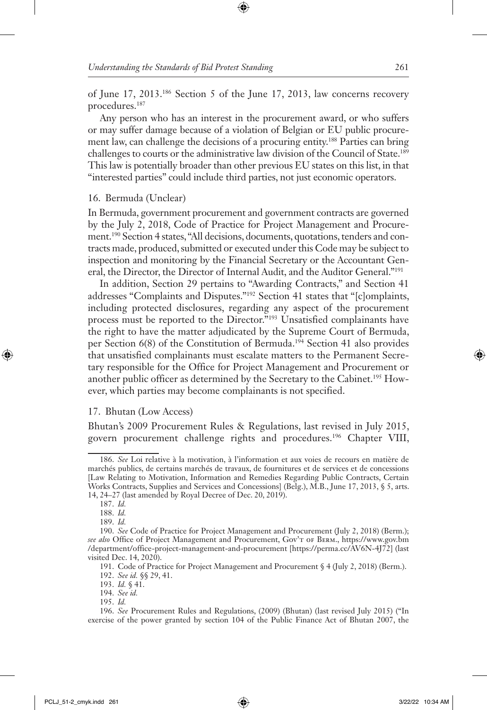of June 17, 2013.186 Section 5 of the June 17, 2013, law concerns recovery procedures.187

Any person who has an interest in the procurement award, or who suffers or may suffer damage because of a violation of Belgian or EU public procurement law, can challenge the decisions of a procuring entity.188 Parties can bring challenges to courts or the administrative law division of the Council of State.189 This law is potentially broader than other previous EU states on this list, in that "interested parties" could include third parties, not just economic operators.

16. Bermuda (Unclear)

In Bermuda, government procurement and government contracts are governed by the July 2, 2018, Code of Practice for Project Management and Procurement.190 Section 4 states, "All decisions, documents, quotations, tenders and contracts made, produced, submitted or executed under this Code may be subject to inspection and monitoring by the Financial Secretary or the Accountant General, the Director, the Director of Internal Audit, and the Auditor General."191

In addition, Section 29 pertains to "Awarding Contracts," and Section 41 addresses "Complaints and Disputes."192 Section 41 states that "[c]omplaints, including protected disclosures, regarding any aspect of the procurement process must be reported to the Director."193 Unsatisfied complainants have the right to have the matter adjudicated by the Supreme Court of Bermuda, per Section 6(8) of the Constitution of Bermuda.194 Section 41 also provides that unsatisfied complainants must escalate matters to the Permanent Secretary responsible for the Office for Project Management and Procurement or another public officer as determined by the Secretary to the Cabinet.195 However, which parties may become complainants is not specified.

#### 17. Bhutan (Low Access)

Bhutan's 2009 Procurement Rules & Regulations, last revised in July 2015, govern procurement challenge rights and procedures.196 Chapter VIII,

195. *Id.*

<sup>186.</sup> *See* Loi relative à la motivation, à l'information et aux voies de recours en matière de marchés publics, de certains marchés de travaux, de fournitures et de services et de concessions [Law Relating to Motivation, Information and Remedies Regarding Public Contracts, Certain Works Contracts, Supplies and Services and Concessions] (Belg.), M.B., June 17, 2013, § 5, arts. 14, 24–27 (last amended by Royal Decree of Dec. 20, 2019).

<sup>187.</sup> *Id.*

<sup>188.</sup> *Id.*

<sup>189.</sup> *Id.*

<sup>190.</sup> *See* Code of Practice for Project Management and Procurement (July 2, 2018) (Berm.); *see also* Office of Project Management and Procurement, Gov't of Berm., https://www.gov.bm /department/office-project-management-and-procurement [https://perma.cc/AV6N-4J72] (last visited Dec. 14, 2020).

<sup>191.</sup> Code of Practice for Project Management and Procurement § 4 (July 2, 2018) (Berm.).

<sup>192.</sup> *See id.* §§ 29, 41.

<sup>193.</sup> *Id.* § 41.

<sup>194.</sup> *See id.*

<sup>196.</sup> *See* Procurement Rules and Regulations, (2009) (Bhutan) (last revised July 2015) ("In exercise of the power granted by section 104 of the Public Finance Act of Bhutan 2007, the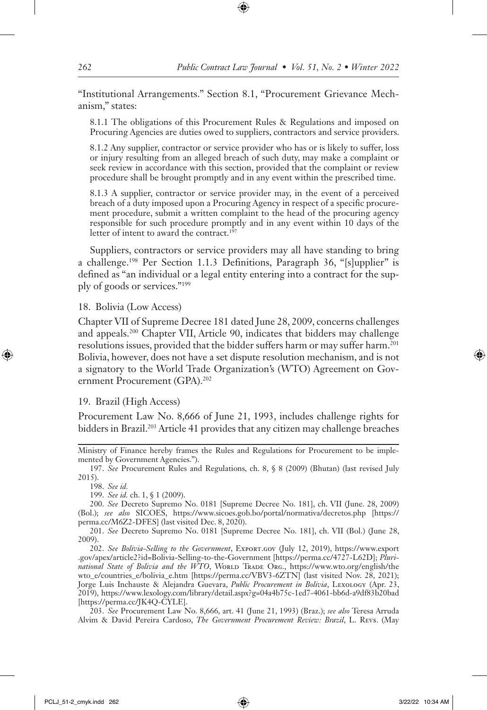"Institutional Arrangements." Section 8.1, "Procurement Grievance Mechanism," states:

8.1.1 The obligations of this Procurement Rules & Regulations and imposed on Procuring Agencies are duties owed to suppliers, contractors and service providers.

8.1.2 Any supplier, contractor or service provider who has or is likely to suffer, loss or injury resulting from an alleged breach of such duty, may make a complaint or seek review in accordance with this section, provided that the complaint or review procedure shall be brought promptly and in any event within the prescribed time.

8.1.3 A supplier, contractor or service provider may, in the event of a perceived breach of a duty imposed upon a Procuring Agency in respect of a specific procurement procedure, submit a written complaint to the head of the procuring agency responsible for such procedure promptly and in any event within 10 days of the letter of intent to award the contract.<sup>197</sup>

Suppliers, contractors or service providers may all have standing to bring a challenge.198 Per Section 1.1.3 Definitions, Paragraph 36, "[s]upplier" is defined as "an individual or a legal entity entering into a contract for the supply of goods or services."199

18. Bolivia (Low Access)

Chapter VII of Supreme Decree 181 dated June 28, 2009, concerns challenges and appeals.200 Chapter VII, Article 90, indicates that bidders may challenge resolutions issues, provided that the bidder suffers harm or may suffer harm.201 Bolivia, however, does not have a set dispute resolution mechanism, and is not a signatory to the World Trade Organization's (WTO) Agreement on Government Procurement (GPA).<sup>202</sup>

#### 19. Brazil (High Access)

Procurement Law No. 8,666 of June 21, 1993, includes challenge rights for bidders in Brazil.<sup>203</sup> Article 41 provides that any citizen may challenge breaches

Ministry of Finance hereby frames the Rules and Regulations for Procurement to be implemented by Government Agencies.").

197. *See* Procurement Rules and Regulations, ch. 8, § 8 (2009) (Bhutan) (last revised July 2015).

198. *See id.*

199. *See id.* ch. 1, § 1 (2009).

200. *See* Decreto Supremo No. 0181 [Supreme Decree No. 181], ch. VII (June. 28, 2009) (Bol.); *see also* SICOES, https://www.sicoes.gob.bo/portal/normativa/decretos.php [https:// perma.cc/M6Z2-DFES] (last visited Dec. 8, 2020).

201. *See* Decreto Supremo No. 0181 [Supreme Decree No. 181], ch. VII (Bol.) (June 28, 2009).

202. *See Bolivia-Selling to the Government*, Export.gov (July 12, 2019), https://www.export .gov/apex/article2?id=Bolivia-Selling-to-the-Government [https://perma.cc/4727-L62D]; *Plurinational State of Bolivia and the WTO*, WORLD TRADE ORG., https://www.wto.org/english/the wto\_e/countries\_e/bolivia\_e.htm [https://perma.cc/VBV3-6ZTN] (last visited Nov. 28, 2021); Jorge Luis Inchauste & Alejandra Guevara, *Public Procurement in Bolivia*, Lexology (Apr. 23, 2019), https://www.lexology.com/library/detail.aspx?g=04a4b75c-1ed7-4061-bb6d-a9df83b20bad [https://perma.cc/JK4Q-CYLE].

203. *See* Procurement Law No. 8,666, art. 41 (June 21, 1993) (Braz.); *see also* Teresa Arruda Alvim & David Pereira Cardoso, *The Government Procurement Review: Brazil*, L. Revs. (May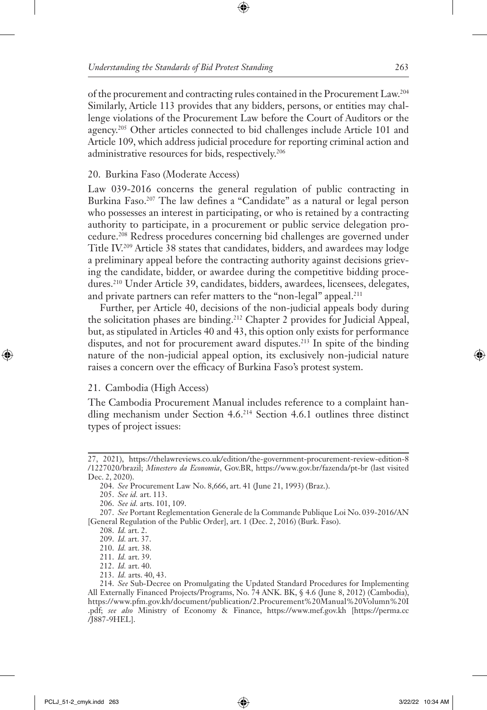of the procurement and contracting rules contained in the Procurement Law.204 Similarly, Article 113 provides that any bidders, persons, or entities may challenge violations of the Procurement Law before the Court of Auditors or the agency.205 Other articles connected to bid challenges include Article 101 and Article 109, which address judicial procedure for reporting criminal action and administrative resources for bids, respectively.206

# 20. Burkina Faso (Moderate Access)

Law 039-2016 concerns the general regulation of public contracting in Burkina Faso.207 The law defines a "Candidate" as a natural or legal person who possesses an interest in participating, or who is retained by a contracting authority to participate, in a procurement or public service delegation procedure.208 Redress procedures concerning bid challenges are governed under Title IV.209 Article 38 states that candidates, bidders, and awardees may lodge a preliminary appeal before the contracting authority against decisions grieving the candidate, bidder, or awardee during the competitive bidding procedures.210 Under Article 39, candidates, bidders, awardees, licensees, delegates, and private partners can refer matters to the "non-legal" appeal.<sup>211</sup>

Further, per Article 40, decisions of the non-judicial appeals body during the solicitation phases are binding.212 Chapter 2 provides for Judicial Appeal, but, as stipulated in Articles 40 and 43, this option only exists for performance disputes, and not for procurement award disputes.<sup>213</sup> In spite of the binding nature of the non-judicial appeal option, its exclusively non-judicial nature raises a concern over the efficacy of Burkina Faso's protest system.

# 21. Cambodia (High Access)

The Cambodia Procurement Manual includes reference to a complaint handling mechanism under Section 4.6.214 Section 4.6.1 outlines three distinct types of project issues:

- 212. *Id.* art. 40.
- 213. *Id.* arts. 40, 43.

<sup>27, 2021),</sup> https://thelawreviews.co.uk/edition/the-government-procurement-review-edition-8 /1227020/brazil; *Minestero da Economia*, Gov.BR, https://www.gov.br/fazenda/pt-br (last visited Dec. 2, 2020).

<sup>204.</sup> *See* Procurement Law No. 8,666, art. 41 (June 21, 1993) (Braz.).

<sup>205.</sup> *See id.* art. 113.

<sup>206.</sup> *See id.* arts. 101, 109.

<sup>207.</sup> *See* Portant Reglementation Generale de la Commande Publique Loi No. 039-2016/AN [General Regulation of the Public Order], art. 1 (Dec. 2, 2016) (Burk. Faso).

<sup>208.</sup> *Id.* art. 2.

<sup>209.</sup> *Id.* art. 37.

<sup>210.</sup> *Id.* art. 38.

<sup>211.</sup> *Id.* art. 39.

<sup>214.</sup> *See* Sub-Decree on Promulgating the Updated Standard Procedures for Implementing All Externally Financed Projects/Programs, No. 74 ANK. BK, § 4.6 (June 8, 2012) (Cambodia), https://www.pfm.gov.kh/document/publication/2.Procurement%20Manual%20Volumn%20I .pdf; *see also* Ministry of Economy & Finance, https://www.mef.gov.kh [https://perma.cc /J887-9HEL].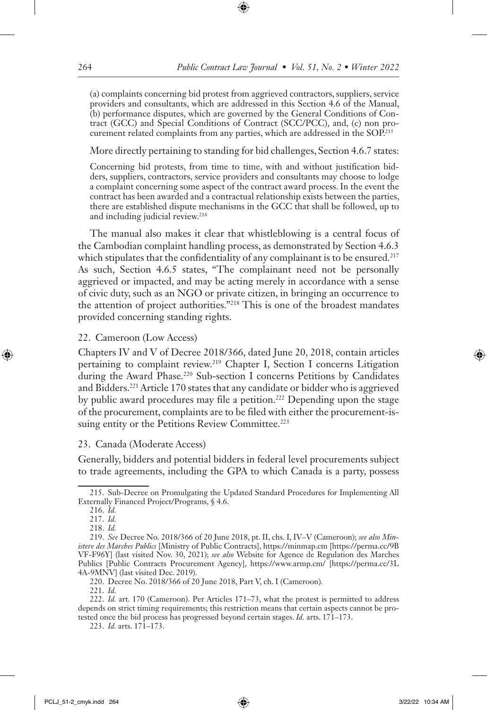(a) complaints concerning bid protest from aggrieved contractors, suppliers, service providers and consultants, which are addressed in this Section 4.6 of the Manual, (b) performance disputes, which are governed by the General Conditions of Contract (GCC) and Special Conditions of Contract (SCC/PCC), and, (c) non procurement related complaints from any parties, which are addressed in the SOP.<sup>215</sup>

#### More directly pertaining to standing for bid challenges, Section 4.6.7 states:

Concerning bid protests, from time to time, with and without justification bidders, suppliers, contractors, service providers and consultants may choose to lodge a complaint concerning some aspect of the contract award process. In the event the contract has been awarded and a contractual relationship exists between the parties, there are established dispute mechanisms in the GCC that shall be followed, up to and including judicial review.<sup>216</sup>

The manual also makes it clear that whistleblowing is a central focus of the Cambodian complaint handling process, as demonstrated by Section 4.6.3 which stipulates that the confidentiality of any complainant is to be ensured.<sup>217</sup> As such, Section 4.6.5 states, "The complainant need not be personally aggrieved or impacted, and may be acting merely in accordance with a sense of civic duty, such as an NGO or private citizen, in bringing an occurrence to the attention of project authorities."218 This is one of the broadest mandates provided concerning standing rights.

### 22. Cameroon (Low Access)

Chapters IV and V of Decree 2018/366, dated June 20, 2018, contain articles pertaining to complaint review.<sup>219</sup> Chapter I, Section I concerns Litigation during the Award Phase.<sup>220</sup> Sub-section I concerns Petitions by Candidates and Bidders.221 Article 170 states that any candidate or bidder who is aggrieved by public award procedures may file a petition.<sup>222</sup> Depending upon the stage of the procurement, complaints are to be filed with either the procurement-issuing entity or the Petitions Review Committee.<sup>223</sup>

### 23. Canada (Moderate Access)

Generally, bidders and potential bidders in federal level procurements subject to trade agreements, including the GPA to which Canada is a party, possess

<sup>215.</sup> Sub-Decree on Promulgating the Updated Standard Procedures for Implementing All Externally Financed Project/Programs, § 4.6.

<sup>216.</sup> *Id.*

<sup>217.</sup> *Id.*

<sup>218.</sup> *Id.*

<sup>219.</sup> *See* Decree No. 2018/366 of 20 June 2018, pt. II, chs. I, IV–V (Cameroon); *see also Ministere des Marches Publics* [Ministry of Public Contracts], https://minmap.cm [https://perma.cc/9B VF-F96Y] (last visited Nov. 30, 2021); *see also* Website for Agence de Regulation des Marches Publics [Public Contracts Procurement Agency], https://www.armp.cm/ [https://perma.cc/3L 4A-9MNV] (last visited Dec. 2019).

<sup>220.</sup> Decree No. 2018/366 of 20 June 2018, Part V, ch. I (Cameroon)*.*

<sup>221.</sup> *Id.* 

<sup>222.</sup> *Id.* art. 170 (Cameroon). Per Articles 171–73, what the protest is permitted to address depends on strict timing requirements; this restriction means that certain aspects cannot be protested once the bid process has progressed beyond certain stages. *Id.* arts. 171–173.

<sup>223.</sup> *Id.* arts. 171–173.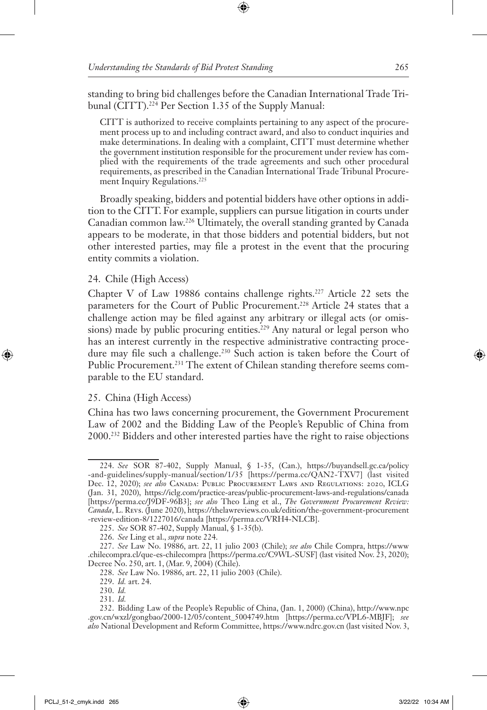standing to bring bid challenges before the Canadian International Trade Tribunal (CITT).<sup>224</sup> Per Section 1.35 of the Supply Manual:

CITT is authorized to receive complaints pertaining to any aspect of the procurement process up to and including contract award, and also to conduct inquiries and make determinations. In dealing with a complaint, CITT must determine whether the government institution responsible for the procurement under review has complied with the requirements of the trade agreements and such other procedural requirements, as prescribed in the Canadian International Trade Tribunal Procurement Inquiry Regulations.<sup>225</sup>

Broadly speaking, bidders and potential bidders have other options in addition to the CITT. For example, suppliers can pursue litigation in courts under Canadian common law.226 Ultimately, the overall standing granted by Canada appears to be moderate, in that those bidders and potential bidders, but not other interested parties, may file a protest in the event that the procuring entity commits a violation.

# 24. Chile (High Access)

Chapter V of Law 19886 contains challenge rights.<sup>227</sup> Article 22 sets the parameters for the Court of Public Procurement.<sup>228</sup> Article 24 states that a challenge action may be filed against any arbitrary or illegal acts (or omissions) made by public procuring entities.<sup>229</sup> Any natural or legal person who has an interest currently in the respective administrative contracting procedure may file such a challenge.<sup>230</sup> Such action is taken before the Court of Public Procurement.<sup>231</sup> The extent of Chilean standing therefore seems comparable to the EU standard.

### 25. China (High Access)

China has two laws concerning procurement, the Government Procurement Law of 2002 and the Bidding Law of the People's Republic of China from 2000.232 Bidders and other interested parties have the right to raise objections

<sup>224.</sup> *See* SOR 87-402, Supply Manual, § 1-35, (Can.), https://buyandsell.gc.ca/policy -and-guidelines/supply-manual/section/1/35 [https://perma.cc/QAN2-TXV7] (last visited Dec. 12, 2020); *see also* Canada: Public Procurement Laws and Regulations: 2020, ICLG (Jan. 31, 2020), https://iclg.com/practice-areas/public-procurement-laws-and-regulations/canada [https://perma.cc/J9DF-96B3]; *see also* Theo Ling et al., *The Government Procurement Review: Canada*, L. Revs. (June 2020), https://thelawreviews.co.uk/edition/the-government-procurement -review-edition-8/1227016/canada [https://perma.cc/VRH4-NLCB].

<sup>225.</sup> *See* SOR 87-402, Supply Manual, § 1-35(b).

<sup>226.</sup> *See* Ling et al., *supra* note 224.

<sup>227.</sup> *See* Law No. 19886, art. 22, 11 julio 2003 (Chile); *see also* Chile Compra, https://www .chilecompra.cl/que-es-chilecompra [https://perma.cc/C9WL-SUSF] (last visited Nov. 23, 2020); Decree No. 250, art. 1, (Mar. 9, 2004) (Chile).

<sup>228.</sup> *See* Law No. 19886, art. 22, 11 julio 2003 (Chile).

<sup>229.</sup> *Id.* art. 24.

<sup>230.</sup> *Id.*

<sup>231.</sup> *Id.*

<sup>232.</sup> Bidding Law of the People's Republic of China, (Jan. 1, 2000) (China), http://www.npc .gov.cn/wxzl/gongbao/2000-12/05/content\_5004749.htm [https://perma.cc/VPL6-MBJF]; *see also* National Development and Reform Committee, https://www.ndrc.gov.cn (last visited Nov. 3,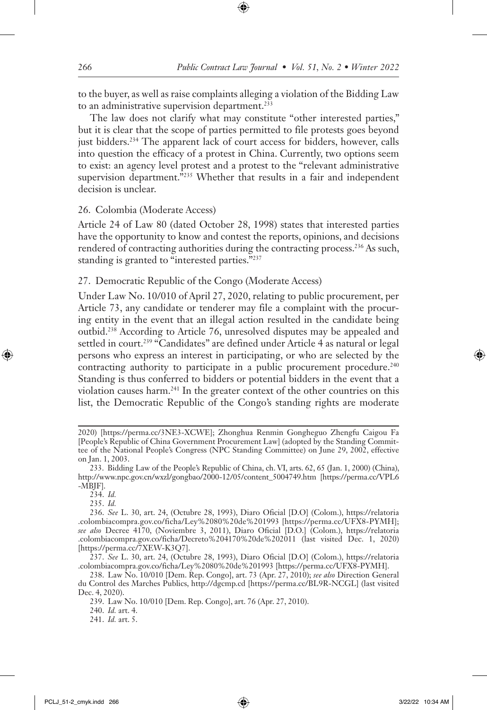to the buyer, as well as raise complaints alleging a violation of the Bidding Law to an administrative supervision department.<sup>233</sup>

The law does not clarify what may constitute "other interested parties," but it is clear that the scope of parties permitted to file protests goes beyond just bidders.<sup>234</sup> The apparent lack of court access for bidders, however, calls into question the efficacy of a protest in China. Currently, two options seem to exist: an agency level protest and a protest to the "relevant administrative supervision department."<sup>235</sup> Whether that results in a fair and independent decision is unclear.

26. Colombia (Moderate Access)

Article 24 of Law 80 (dated October 28, 1998) states that interested parties have the opportunity to know and contest the reports, opinions, and decisions rendered of contracting authorities during the contracting process.<sup>236</sup> As such, standing is granted to "interested parties."237

27. Democratic Republic of the Congo (Moderate Access)

Under Law No. 10/010 of April 27, 2020, relating to public procurement, per Article 73, any candidate or tenderer may file a complaint with the procuring entity in the event that an illegal action resulted in the candidate being outbid.238 According to Article 76, unresolved disputes may be appealed and settled in court.<sup>239</sup> "Candidates" are defined under Article 4 as natural or legal persons who express an interest in participating, or who are selected by the contracting authority to participate in a public procurement procedure.<sup>240</sup> Standing is thus conferred to bidders or potential bidders in the event that a violation causes harm.241 In the greater context of the other countries on this list, the Democratic Republic of the Congo's standing rights are moderate

235. *Id.*

<sup>2020) [</sup>https://perma.cc/3NE3-XCWE]; Zhonghua Renmin Gongheguo Zhengfu Caigou Fa [People's Republic of China Government Procurement Law] (adopted by the Standing Committee of the National People's Congress (NPC Standing Committee) on June 29, 2002, effective on Jan. 1, 2003.

<sup>233.</sup> Bidding Law of the People's Republic of China, ch. VI, arts. 62, 65 (Jan. 1, 2000) (China), http://www.npc.gov.cn/wxzl/gongbao/2000-12/05/content\_5004749.htm [https://perma.cc/VPL6 -MBJF].

<sup>234.</sup> *Id.*

<sup>236.</sup> *See* L. 30, art. 24, (Octubre 28, 1993), Diaro Oficial [D.O] (Colom.), https://relatoria .colombiacompra.gov.co/ficha/Ley%2080%20de%201993 [https://perma.cc/UFX8-PYMH]; *see also* Decree 4170, (Noviembre 3, 2011), Diaro Oficial [D.O.] (Colom.), https://relatoria .colombiacompra.gov.co/ficha/Decreto%204170%20de%202011 (last visited Dec. 1, 2020) [https://perma.cc/7XEW-K3Q7].

<sup>237.</sup> *See* L. 30, art. 24, (Octubre 28, 1993), Diaro Oficial [D.O] (Colom.), https://relatoria .colombiacompra.gov.co/ficha/Ley%2080%20de%201993 [https://perma.cc/UFX8-PYMH].

<sup>238.</sup> Law No. 10/010 [Dem. Rep. Congo], art. 73 (Apr. 27, 2010); *see also* Direction General du Control des Marches Publics, http://dgcmp.cd [https://perma.cc/BL9R-NCGL] (last visited Dec. 4, 2020).

<sup>239.</sup> Law No. 10/010 [Dem. Rep. Congo], art. 76 (Apr. 27, 2010).

<sup>240.</sup> *Id.* art. 4.

<sup>241.</sup> *Id.* art. 5.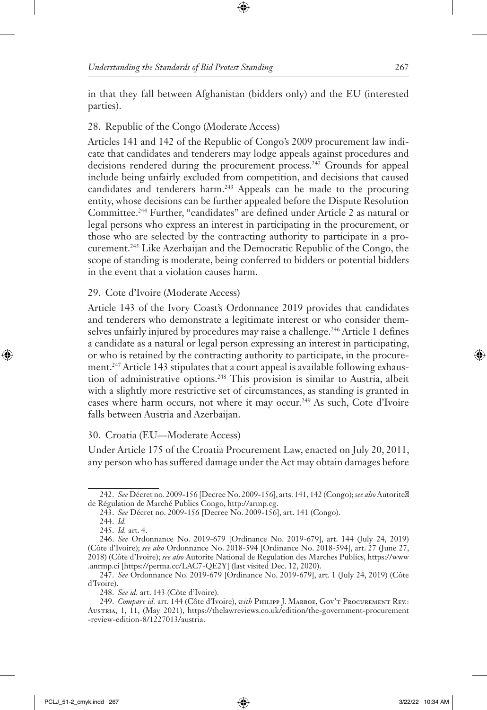in that they fall between Afghanistan (bidders only) and the EU (interested parties).

# 28. Republic of the Congo (Moderate Access)

Articles 141 and 142 of the Republic of Congo's 2009 procurement law indicate that candidates and tenderers may lodge appeals against procedures and decisions rendered during the procurement process.242 Grounds for appeal include being unfairly excluded from competition, and decisions that caused candidates and tenderers harm.243 Appeals can be made to the procuring entity, whose decisions can be further appealed before the Dispute Resolution Committee.244 Further, "candidates" are defined under Article 2 as natural or legal persons who express an interest in participating in the procurement, or those who are selected by the contracting authority to participate in a procurement.245 Like Azerbaijan and the Democratic Republic of the Congo, the scope of standing is moderate, being conferred to bidders or potential bidders in the event that a violation causes harm.

# 29. Cote d'Ivoire (Moderate Access)

Article 143 of the Ivory Coast's Ordonnance 2019 provides that candidates and tenderers who demonstrate a legitimate interest or who consider themselves unfairly injured by procedures may raise a challenge.<sup>246</sup> Article 1 defines a candidate as a natural or legal person expressing an interest in participating, or who is retained by the contracting authority to participate, in the procurement.247 Article 143 stipulates that a court appeal is available following exhaustion of administrative options.248 This provision is similar to Austria, albeit with a slightly more restrictive set of circumstances, as standing is granted in cases where harm occurs, not where it may occur.249 As such, Cote d'Ivoire falls between Austria and Azerbaijan.

# 30. Croatia (EU—Moderate Access)

Under Article 175 of the Croatia Procurement Law, enacted on July 20, 2011, any person who has suffered damage under the Act may obtain damages before

<sup>242.</sup> *See* Décret no. 2009-156 [Decree No. 2009-156], arts. 141, 142 (Congo); *see also* Autorité de Régulation de Marché Publics Congo, http://armp.cg.

<sup>243.</sup> *See* Décret no. 2009-156 [Decree No. 2009-156], art. 141 (Congo).

<sup>244.</sup> *Id.*

<sup>245.</sup> *Id.* art. 4.

<sup>246.</sup> *See* Ordonnance No. 2019-679 [Ordinance No. 2019-679], art. 144 (July 24, 2019) (Côte d'Ivoire); *see also* Ordonnance No. 2018-594 [Ordinance No. 2018-594], art. 27 (June 27, 2018) (Côte d'Ivoire); *see also* Autorite National de Regulation des Marches Publics, https://www .anrmp.ci [https://perma.cc/LAC7-QE2Y] (last visited Dec. 12, 2020).

<sup>247.</sup> *See* Ordonnance No. 2019-679 [Ordinance No. 2019-679], art. 1 (July 24, 2019) (Côte d'Ivoire).

<sup>248.</sup> *See id.* art. 143 (Côte d'Ivoire).

<sup>249.</sup> *Compare id.* art. 144 (Côte d'Ivoire), *with* Philipp J. Marboe, Gov't Procurement Rev.: Austria, 1, 11, (May 2021), https://thelawreviews.co.uk/edition/the-government-procurement -review-edition-8/1227013/austria.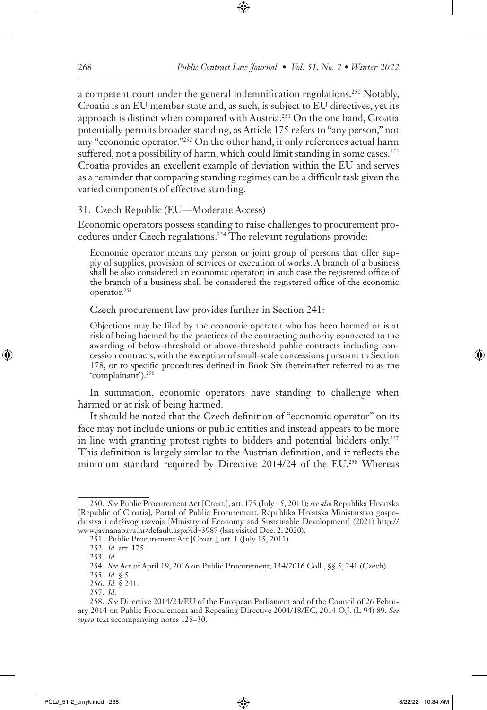a competent court under the general indemnification regulations.250 Notably, Croatia is an EU member state and, as such, is subject to EU directives, yet its approach is distinct when compared with Austria.251 On the one hand, Croatia potentially permits broader standing, as Article 175 refers to "any person," not any "economic operator."<sup>252</sup> On the other hand, it only references actual harm suffered, not a possibility of harm, which could limit standing in some cases.<sup>253</sup> Croatia provides an excellent example of deviation within the EU and serves as a reminder that comparing standing regimes can be a difficult task given the varied components of effective standing.

#### 31. Czech Republic (EU—Moderate Access)

Economic operators possess standing to raise challenges to procurement procedures under Czech regulations.254 The relevant regulations provide:

Economic operator means any person or joint group of persons that offer supply of supplies, provision of services or execution of works. A branch of a business shall be also considered an economic operator; in such case the registered office of the branch of a business shall be considered the registered office of the economic operator.255

Czech procurement law provides further in Section 241:

Objections may be filed by the economic operator who has been harmed or is at risk of being harmed by the practices of the contracting authority connected to the awarding of below-threshold or above-threshold public contracts including concession contracts, with the exception of small-scale concessions pursuant to Section 178, or to specific procedures defined in Book Six (hereinafter referred to as the 'complainant').256

In summation, economic operators have standing to challenge when harmed or at risk of being harmed.

It should be noted that the Czech definition of "economic operator" on its face may not include unions or public entities and instead appears to be more in line with granting protest rights to bidders and potential bidders only.257 This definition is largely similar to the Austrian definition, and it reflects the minimum standard required by Directive 2014/24 of the EU.<sup>258</sup> Whereas

257. *Id*.

<sup>250.</sup> *See* Public Procurement Act [Croat.], art. 175 (July 15, 2011); *see also* Republika Hrvatska [Republic of Croatia], Portal of Public Procurement, Republika Hrvatska Ministarstvo gospodarstva i održivog razvoja [Ministry of Economy and Sustainable Development] (2021) http:// www.javnanabava.hr/default.aspx?id=3987 (last visited Dec. 2, 2020).

<sup>251.</sup> Public Procurement Act [Croat.], art. 1 (July 15, 2011).

<sup>252.</sup> *Id.* art. 175.

<sup>253.</sup> *Id.*

<sup>254.</sup> *See* Act of April 19, 2016 on Public Procurement, 134/2016 Coll., §§ 5, 241 (Czech).

<sup>255.</sup> *Id.* § 5.

<sup>256.</sup> *Id.* § 241.

<sup>258.</sup> *See* Directive 2014/24/EU of the European Parliament and of the Council of 26 February 2014 on Public Procurement and Repealing Directive 2004/18/EC, 2014 O.J. (L 94) 89. *See supra* text accompanying notes 128–30.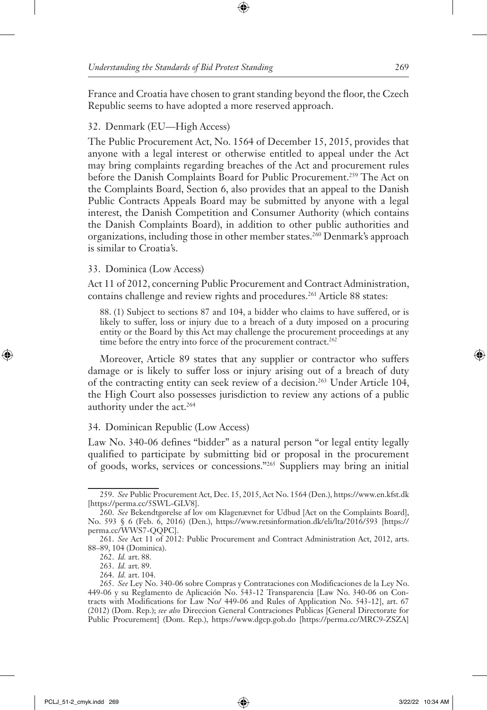France and Croatia have chosen to grant standing beyond the floor, the Czech Republic seems to have adopted a more reserved approach.

### 32. Denmark (EU—High Access)

The Public Procurement Act, No. 1564 of December 15, 2015, provides that anyone with a legal interest or otherwise entitled to appeal under the Act may bring complaints regarding breaches of the Act and procurement rules before the Danish Complaints Board for Public Procurement.<sup>259</sup> The Act on the Complaints Board, Section 6, also provides that an appeal to the Danish Public Contracts Appeals Board may be submitted by anyone with a legal interest, the Danish Competition and Consumer Authority (which contains the Danish Complaints Board), in addition to other public authorities and organizations, including those in other member states.260 Denmark's approach is similar to Croatia's.

### 33. Dominica (Low Access)

Act 11 of 2012, concerning Public Procurement and Contract Administration, contains challenge and review rights and procedures.<sup>261</sup> Article 88 states:

88. (1) Subject to sections 87 and 104, a bidder who claims to have suffered, or is likely to suffer, loss or injury due to a breach of a duty imposed on a procuring entity or the Board by this Act may challenge the procurement proceedings at any time before the entry into force of the procurement contract.<sup>262</sup>

Moreover, Article 89 states that any supplier or contractor who suffers damage or is likely to suffer loss or injury arising out of a breach of duty of the contracting entity can seek review of a decision.<sup>263</sup> Under Article 104, the High Court also possesses jurisdiction to review any actions of a public authority under the act.<sup>264</sup>

#### 34. Dominican Republic (Low Access)

Law No. 340-06 defines "bidder" as a natural person "or legal entity legally qualified to participate by submitting bid or proposal in the procurement of goods, works, services or concessions."265 Suppliers may bring an initial

<sup>259.</sup> *See* Public Procurement Act, Dec. 15, 2015, Act No. 1564 (Den.), https://www.en.kfst.dk [https://perma.cc/5SWL-GLV8].

<sup>260.</sup> *See* Bekendtgørelse af lov om Klagenævnet for Udbud [Act on the Complaints Board], No. 593 § 6 (Feb. 6, 2016) (Den.), https://www.retsinformation.dk/eli/lta/2016/593 [https:// perma.cc/WWS7-QQPC].

<sup>261.</sup> *See* Act 11 of 2012: Public Procurement and Contract Administration Act, 2012, arts. 88–89, 104 (Dominica).

<sup>262.</sup> *Id.* art. 88.

<sup>263.</sup> *Id.* art. 89.

<sup>264.</sup> *Id.* art. 104.

<sup>265.</sup> *See* Ley No. 340-06 sobre Compras y Contrataciones con Modificaciones de la Ley No. 449-06 y su Reglamento de Aplicación No. 543-12 Transparencia [Law No. 340-06 on Contracts with Modifications for Law No/ 449-06 and Rules of Application No. 543-12], art. 67 (2012) (Dom. Rep.); *see also* Direccion General Contraciones Publicas [General Directorate for Public Procurement] (Dom. Rep.), https://www.dgcp.gob.do [https://perma.cc/MRC9-ZSZA]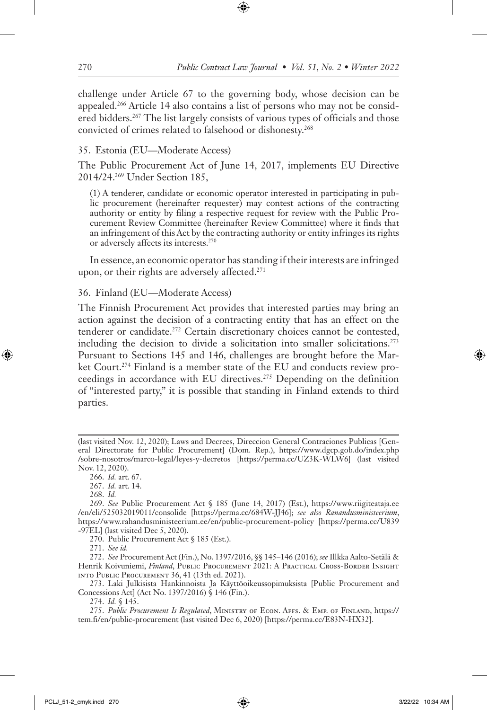challenge under Article 67 to the governing body, whose decision can be appealed.266 Article 14 also contains a list of persons who may not be considered bidders.<sup>267</sup> The list largely consists of various types of officials and those convicted of crimes related to falsehood or dishonesty.268

### 35. Estonia (EU—Moderate Access)

The Public Procurement Act of June 14, 2017, implements EU Directive 2014/24.269 Under Section 185,

(1) A tenderer, candidate or economic operator interested in participating in public procurement (hereinafter requester) may contest actions of the contracting authority or entity by filing a respective request for review with the Public Procurement Review Committee (hereinafter Review Committee) where it finds that an infringement of this Act by the contracting authority or entity infringes its rights or adversely affects its interests.270

In essence, an economic operator has standing if their interests are infringed upon, or their rights are adversely affected.<sup>271</sup>

### 36. Finland (EU—Moderate Access)

The Finnish Procurement Act provides that interested parties may bring an action against the decision of a contracting entity that has an effect on the tenderer or candidate.272 Certain discretionary choices cannot be contested, including the decision to divide a solicitation into smaller solicitations.273 Pursuant to Sections 145 and 146, challenges are brought before the Market Court.274 Finland is a member state of the EU and conducts review proceedings in accordance with EU directives.<sup>275</sup> Depending on the definition of "interested party," it is possible that standing in Finland extends to third parties.

268. *Id.*

270. Public Procurement Act § 185 (Est.).

271. *See id.* 

272. *See* Procurement Act (Fin.), No. 1397/2016, §§ 145–146 (2016); *see* Illkka Aalto-Setälä & Henrik Koivuniemi, *Finland*, PUBLIC PROCUREMENT 2021: A PRACTICAL CROSS-BORDER INSIGHT into Public Procurement 36, 41 (13th ed. 2021).

273. Laki Julkisista Hankinnoista Ja Käyttöoikeussopimuksista [Public Procurement and Concessions Act] (Act No. 1397/2016) § 146 (Fin.).

274. *Id.* § 145.

275. *Public Procurement Is Regulated*, Ministry of Econ. Affs. & Emp. of Finland, https:// tem.fi/en/public-procurement (last visited Dec 6, 2020) [https://perma.cc/E83N-HX32].

<sup>(</sup>last visited Nov. 12, 2020); Laws and Decrees, Direccion General Contraciones Publicas [General Directorate for Public Procurement] (Dom. Rep.), https://www.dgcp.gob.do/index.php /sobre-nosotros/marco-legal/leyes-y-decretos [https://perma.cc/UZ3K-WLW6] (last visited Nov. 12, 2020).

<sup>266.</sup> *Id.* art. 67.

<sup>267.</sup> *Id.* art. 14.

<sup>269.</sup> *See* Public Procurement Act § 185 (June 14, 2017) (Est.), https://www.riigiteataja.ee /en/eli/525032019011/consolide [https://perma.cc/684W-JJ46]; *see also Ranandusministeerium*, https://www.rahandusministeerium.ee/en/public-procurement-policy [https://perma.cc/U839 -97EL] (last visited Dec 5, 2020).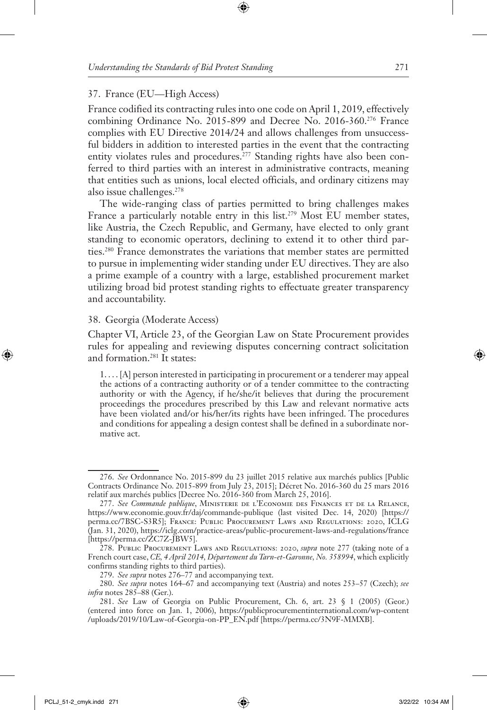#### 37. France (EU—High Access)

France codified its contracting rules into one code on April 1, 2019, effectively combining Ordinance No. 2015-899 and Decree No. 2016-360.276 France complies with EU Directive 2014/24 and allows challenges from unsuccessful bidders in addition to interested parties in the event that the contracting entity violates rules and procedures.<sup>277</sup> Standing rights have also been conferred to third parties with an interest in administrative contracts, meaning that entities such as unions, local elected officials, and ordinary citizens may also issue challenges.278

The wide-ranging class of parties permitted to bring challenges makes France a particularly notable entry in this list.<sup>279</sup> Most EU member states, like Austria, the Czech Republic, and Germany, have elected to only grant standing to economic operators, declining to extend it to other third parties.280 France demonstrates the variations that member states are permitted to pursue in implementing wider standing under EU directives. They are also a prime example of a country with a large, established procurement market utilizing broad bid protest standing rights to effectuate greater transparency and accountability.

#### 38. Georgia (Moderate Access)

Chapter VI, Article 23, of the Georgian Law on State Procurement provides rules for appealing and reviewing disputes concerning contract solicitation and formation.281 It states:

1.... [A] person interested in participating in procurement or a tenderer may appeal the actions of a contracting authority or of a tender committee to the contracting authority or with the Agency, if he/she/it believes that during the procurement proceedings the procedures prescribed by this Law and relevant normative acts have been violated and/or his/her/its rights have been infringed. The procedures and conditions for appealing a design contest shall be defined in a subordinate normative act.

<sup>276.</sup> *See* Ordonnance No. 2015-899 du 23 juillet 2015 relative aux marchés publics [Public Contracts Ordinance No. 2015-899 from July 23, 2015]; Décret No. 2016-360 du 25 mars 2016 relatif aux marchés publics [Decree No. 2016-360 from March 25, 2016].

<sup>277.</sup> *See Commande publique*, Ministerie de l'Economie des Finances et de la Relance, https://www.economie.gouv.fr/daj/commande-publique (last visited Dec. 14, 2020) [https:// perma.cc/7BSC-S3R5]; France: Public Procurement Laws and Regulations: 2020, ICLG (Jan. 31, 2020), https://iclg.com/practice-areas/public-procurement-laws-and-regulations/france [https://perma.cc/ZC7Z-JBW5].

<sup>278.</sup> Public Procurement Laws and Regulations: 2020, *supra* note 277 (taking note of a French court case, *CE, 4 April 2014, Département du Tarn-et-Garonne, No. 358994*, which explicitly confirms standing rights to third parties).

<sup>279.</sup> *See supra* notes 276–77 and accompanying text.

<sup>280.</sup> *See supra* notes 164–67 and accompanying text (Austria) and notes 253–57 (Czech); *see infra* notes 285–88 (Ger.).

<sup>281.</sup> *See* Law of Georgia on Public Procurement, Ch. 6, art. 23 § 1 (2005) (Geor.) (entered into force on Jan. 1, 2006), https://publicprocurementinternational.com/wp-content /uploads/2019/10/Law-of-Georgia-on-PP\_EN.pdf [https://perma.cc/3N9F-MMXB].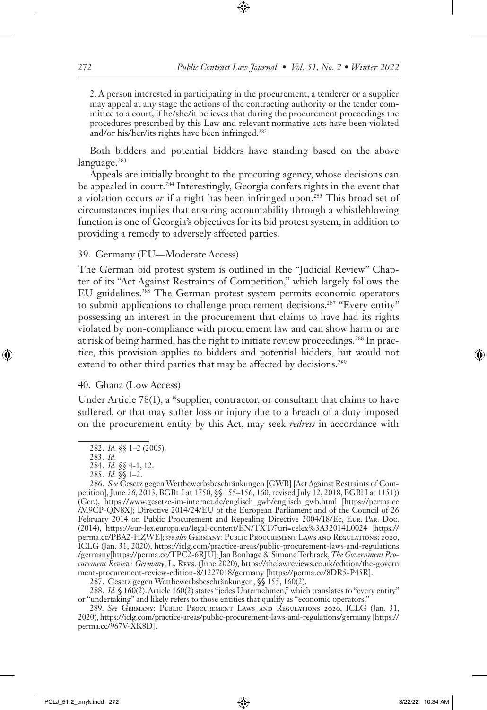2. A person interested in participating in the procurement, a tenderer or a supplier may appeal at any stage the actions of the contracting authority or the tender committee to a court, if he/she/it believes that during the procurement proceedings the procedures prescribed by this Law and relevant normative acts have been violated and/or his/her/its rights have been infringed.<sup>282</sup>

Both bidders and potential bidders have standing based on the above language.<sup>283</sup>

Appeals are initially brought to the procuring agency, whose decisions can be appealed in court.<sup>284</sup> Interestingly, Georgia confers rights in the event that a violation occurs *or* if a right has been infringed upon.285 This broad set of circumstances implies that ensuring accountability through a whistleblowing function is one of Georgia's objectives for its bid protest system, in addition to providing a remedy to adversely affected parties.

#### 39. Germany (EU—Moderate Access)

The German bid protest system is outlined in the "Judicial Review" Chapter of its "Act Against Restraints of Competition," which largely follows the EU guidelines.286 The German protest system permits economic operators to submit applications to challenge procurement decisions.<sup>287</sup> "Every entity" possessing an interest in the procurement that claims to have had its rights violated by non-compliance with procurement law and can show harm or are at risk of being harmed, has the right to initiate review proceedings.<sup>288</sup> In practice, this provision applies to bidders and potential bidders, but would not extend to other third parties that may be affected by decisions.<sup>289</sup>

### 40. Ghana (Low Access)

Under Article 78(1), a "supplier, contractor, or consultant that claims to have suffered, or that may suffer loss or injury due to a breach of a duty imposed on the procurement entity by this Act, may seek *redress* in accordance with

<sup>282.</sup> *Id.* §§ 1–2 (2005).

<sup>283.</sup> *Id.*

<sup>284.</sup> *Id.* §§ 4-1, 12.

<sup>285.</sup> *Id.* §§ 1–2.

<sup>286.</sup> *See* Gesetz gegen Wettbewerbsbeschränkungen [GWB] [Act Against Restraints of Competition], June 26, 2013, BGBl I at 1750, §§ 155–156, 160, revised July 12, 2018, BGBl I at 1151)) (Ger.), https://www.gesetze-im-internet.de/englisch\_gwb/englisch\_gwb.html [https://perma.cc /M9CP-QN8X]; Directive 2014/24/EU of the European Parliament and of the Council of 26 February 2014 on Public Procurement and Repealing Directive 2004/18/Ec, Eur. Par. Doc. (2014), https://eur-lex.europa.eu/legal-content/EN/TXT/?uri=celex%3A32014L0024 [https:// perma.cc/PBA2-HZWE]; *see also* Germany: Public Procurement Laws and Regulations: 2020, ICLG (Jan. 31, 2020), https://iclg.com/practice-areas/public-procurement-laws-and-regulations /germany[https://perma.cc/TPC2-6RJU]; Jan Bonhage & Simone Terbrack, *The Government Procurement Review: Germany*, L. Revs. (June 2020), https://thelawreviews.co.uk/edition/the-govern ment-procurement-review-edition-8/1227018/germany [https://perma.cc/8DR5-P45R].

<sup>287.</sup> Gesetz gegen Wettbewerbsbeschränkungen, §§ 155, 160(2).

<sup>288.</sup> *Id.* § 160(2). Article 160(2) states "jedes Unternehmen," which translates to "every entity" or "undertaking" and likely refers to those entities that qualify as "economic operators."

<sup>289.</sup> *See* Germany: Public Procurement Laws and Regulations 2020, ICLG (Jan. 31, 2020), https://iclg.com/practice-areas/public-procurement-laws-and-regulations/germany [https:// perma.cc/967V-XK8D].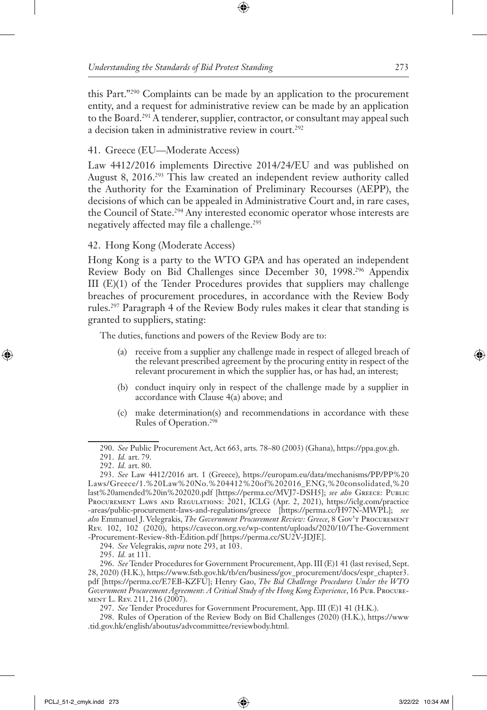this Part."290 Complaints can be made by an application to the procurement entity, and a request for administrative review can be made by an application to the Board.<sup>291</sup> A tenderer, supplier, contractor, or consultant may appeal such a decision taken in administrative review in court.<sup>292</sup>

# 41. Greece (EU—Moderate Access)

Law 4412/2016 implements Directive 2014/24/EU and was published on August 8, 2016.293 This law created an independent review authority called the Authority for the Examination of Preliminary Recourses (AEPP), the decisions of which can be appealed in Administrative Court and, in rare cases, the Council of State.<sup>294</sup> Any interested economic operator whose interests are negatively affected may file a challenge.<sup>295</sup>

42. Hong Kong (Moderate Access)

Hong Kong is a party to the WTO GPA and has operated an independent Review Body on Bid Challenges since December 30, 1998.296 Appendix III (E)(1) of the Tender Procedures provides that suppliers may challenge breaches of procurement procedures, in accordance with the Review Body rules.297 Paragraph 4 of the Review Body rules makes it clear that standing is granted to suppliers, stating:

The duties, functions and powers of the Review Body are to:

- (a) receive from a supplier any challenge made in respect of alleged breach of the relevant prescribed agreement by the procuring entity in respect of the relevant procurement in which the supplier has, or has had, an interest;
- (b) conduct inquiry only in respect of the challenge made by a supplier in accordance with Clause 4(a) above; and
- (c) make determination(s) and recommendations in accordance with these Rules of Operation.298

<sup>290.</sup> *See* Public Procurement Act, Act 663, arts. 78–80 (2003) (Ghana), https://ppa.gov.gh.

<sup>291.</sup> *Id.* art. 79.

<sup>292.</sup> *Id.* art. 80.

<sup>293.</sup> *See* Law 4412/2016 art. 1 (Greece), https://europam.eu/data/mechanisms/PP/PP%20 Laws/Greece/1.%20Law%20No.%204412%20of%202016\_ENG,%20consolidated,%20 last%20amended%20in%202020.pdf [https://perma.cc/MVJ7-DSH5]; *see also* Greece: Public Procurement Laws and Regulations: 2021, ICLG (Apr. 2, 2021), https://iclg.com/practice -areas/public-procurement-laws-and-regulations/greece [https://perma.cc/H97N-MWPL]; *see also* Emmanuel J. Velegrakis, *The Government Procurement Review: Greece*, 8 Gov't Procurement Rev. 102, 102 (2020), https://cavecon.org.ve/wp-content/uploads/2020/10/The-Government -Procurement-Review-8th-Edition.pdf [https://perma.cc/SU2V-JDJE].

<sup>294.</sup> *See* Velegrakis, *supra* note 293, at 103.

<sup>295.</sup> *Id.* at 111.

<sup>296.</sup> *See* Tender Procedures for Government Procurement, App. III (E)1 41 (last revised, Sept. 28, 2020) (H.K.), https://www.fstb.gov.hk/tb/en/business/gov\_procurement/docs/espr\_chapter3. pdf [https://perma.cc/E7EB-KZFU]; Henry Gao, *The Bid Challenge Procedures Under the WTO Government Procurement Agreement*: *A Critical Study of the Hong Kong Experience*, 16 Pub. Procurement L. Rev. 211, 216 (2007).

<sup>297.</sup> *See* Tender Procedures for Government Procurement, App. III (E)1 41 (H.K.).

<sup>298.</sup> Rules of Operation of the Review Body on Bid Challenges (2020) (H.K.), https://www .tid.gov.hk/english/aboutus/advcommittee/reviewbody.html.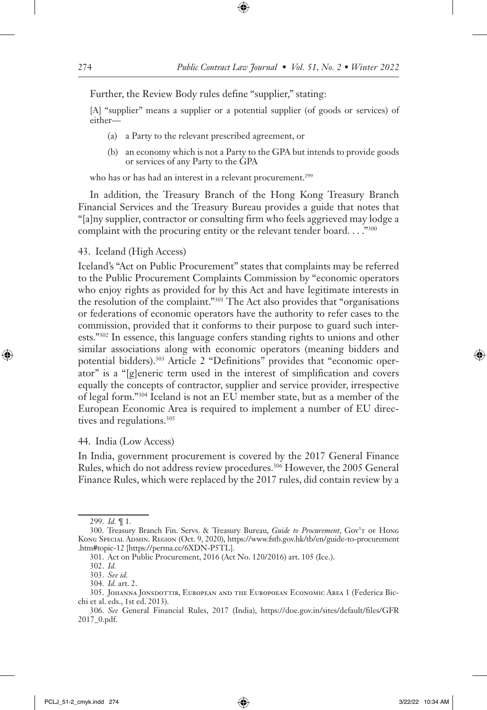Further, the Review Body rules define "supplier," stating:

[A] "supplier" means a supplier or a potential supplier (of goods or services) of either—

- (a) a Party to the relevant prescribed agreement, or
- (b) an economy which is not a Party to the GPA but intends to provide goods or services of any Party to the GPA

who has or has had an interest in a relevant procurement.<sup>299</sup>

In addition, the Treasury Branch of the Hong Kong Treasury Branch Financial Services and the Treasury Bureau provides a guide that notes that "[a]ny supplier, contractor or consulting firm who feels aggrieved may lodge a complaint with the procuring entity or the relevant tender board. . . . "300

#### 43. Iceland (High Access)

Iceland's "Act on Public Procurement" states that complaints may be referred to the Public Procurement Complaints Commission by "economic operators who enjoy rights as provided for by this Act and have legitimate interests in the resolution of the complaint."301 The Act also provides that "organisations or federations of economic operators have the authority to refer cases to the commission, provided that it conforms to their purpose to guard such interests."302 In essence, this language confers standing rights to unions and other similar associations along with economic operators (meaning bidders and potential bidders).<sup>303</sup> Article 2 "Definitions" provides that "economic operator" is a "[g]eneric term used in the interest of simplification and covers equally the concepts of contractor, supplier and service provider, irrespective of legal form."304 Iceland is not an EU member state, but as a member of the European Economic Area is required to implement a number of EU directives and regulations.<sup>305</sup>

#### 44. India (Low Access)

In India, government procurement is covered by the 2017 General Finance Rules, which do not address review procedures.306 However, the 2005 General Finance Rules, which were replaced by the 2017 rules, did contain review by a

<sup>299.</sup> *Id.* ¶ 1.

<sup>300.</sup> Treasury Branch Fin. Servs. & Treasury Bureau, *Guide to Procurement*, Gov't of Hong Kong Special Admin. Region (Oct. 9, 2020), https://www.fstb.gov.hk/tb/en/guide-to-procurement .htm#topic-12 [https://perma.cc/6XDN-P5TL].

<sup>301.</sup> Act on Public Procurement, 2016 (Act No. 120/2016) art. 105 (Ice.).

<sup>302.</sup> *Id.*

<sup>303.</sup> *See id.*

<sup>304.</sup> *Id.* art. 2.

<sup>305.</sup> Johanna Jonsdottir, European and the Europoean Economic Area 1 (Federica Bicchi et al. eds., 1st ed. 2013).

<sup>306.</sup> *See* General Financial Rules, 2017 (India), https://doe.gov.in/sites/default/files/GFR 2017\_0.pdf.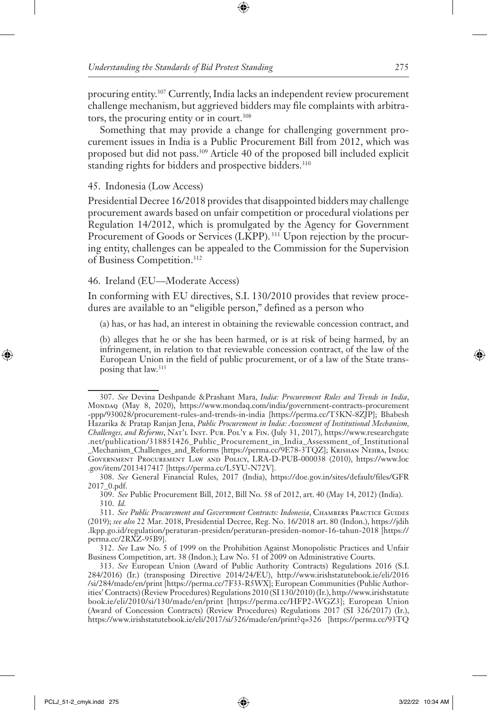procuring entity.<sup>307</sup> Currently, India lacks an independent review procurement challenge mechanism, but aggrieved bidders may file complaints with arbitrators, the procuring entity or in court.<sup>308</sup>

Something that may provide a change for challenging government procurement issues in India is a Public Procurement Bill from 2012, which was proposed but did not pass.<sup>309</sup> Article 40 of the proposed bill included explicit standing rights for bidders and prospective bidders.<sup>310</sup>

### 45. Indonesia (Low Access)

Presidential Decree 16/2018 provides that disappointed bidders may challenge procurement awards based on unfair competition or procedural violations per Regulation 14/2012, which is promulgated by the Agency for Government Procurement of Goods or Services (LKPP).<sup>311</sup> Upon rejection by the procuring entity, challenges can be appealed to the Commission for the Supervision of Business Competition.312

### 46. Ireland (EU—Moderate Access)

In conforming with EU directives, S.I. 130/2010 provides that review procedures are available to an "eligible person," defined as a person who

(a) has, or has had, an interest in obtaining the reviewable concession contract, and

(b) alleges that he or she has been harmed, or is at risk of being harmed, by an infringement, in relation to that reviewable concession contract, of the law of the European Union in the field of public procurement, or of a law of the State transposing that law.<sup>313</sup>

<sup>307.</sup> *See* Devina Deshpande &Prashant Mara, *India: Procurement Rules and Trends in India*, Mondaq (May 8, 2020), https://www.mondaq.com/india/government-contracts-procurement -ppp/930028/procurement-rules-and-trends-in-india [https://perma.cc/T5KN-8ZJP]; Bhabesh Hazarika & Pratap Ranjan Jena, *Public Procurement in India: Assessment of Institutional Mechanism, Challenges, and Reforms*, Nat'l Inst. Pub. Pol'y & Fin. (July 31, 2017), https://www.researchgate .net/publication/318851426\_Public\_Procurement\_in\_India\_Assessment\_of\_Institutional \_Mechanism\_Challenges\_and\_Reforms [https://perma.cc/9E78-3TQZ]; Krishan Nehra, India: Government Procurement Law and Policy, LRA-D-PUB-000038 (2010), https://www.loc .gov/item/2013417417 [https://perma.cc/L5YU-N72V].

<sup>308.</sup> *See* General Financial Rules, 2017 (India), https://doe.gov.in/sites/default/files/GFR 2017\_0.pdf.

<sup>309.</sup> *See* Public Procurement Bill, 2012, Bill No. 58 of 2012, art. 40 (May 14, 2012) (India). 310. *Id.*

<sup>311.</sup> *See Public Procurement and Government Contracts: Indonesia*, Chambers Practice Guides (2019); *see also* 22 Mar. 2018, Presidential Decree, Reg. No. 16/2018 art. 80 (Indon.), https://jdih .lkpp.go.id/regulation/peraturan-presiden/peraturan-presiden-nomor-16-tahun-2018 [https:// perma.cc/2RXZ-95B9].

<sup>312.</sup> *See* Law No. 5 of 1999 on the Prohibition Against Monopolistic Practices and Unfair Business Competition, art. 38 (Indon.); Law No. 51 of 2009 on Administrative Courts.

<sup>313.</sup> *See* European Union (Award of Public Authority Contracts) Regulations 2016 (S.I. 284/2016) (Ir.) (transposing Directive 2014/24/EU), http://www.irishstatutebook.ie/eli/2016 /si/284/made/en/print [https://perma.cc/7F33-R5WX]; European Communities (Public Authorities' Contracts) (Review Procedures) Regulations 2010 (SI 130/2010) (Ir.), http://www.irishstatute book.ie/eli/2010/si/130/made/en/print [https://perma.cc/HFP2-WGZ3]; European Union (Award of Concession Contracts) (Review Procedures) Regulations 2017 (SI 326/2017) (Ir.), https://www.irishstatutebook.ie/eli/2017/si/326/made/en/print?q=326 [https://perma.cc/93TQ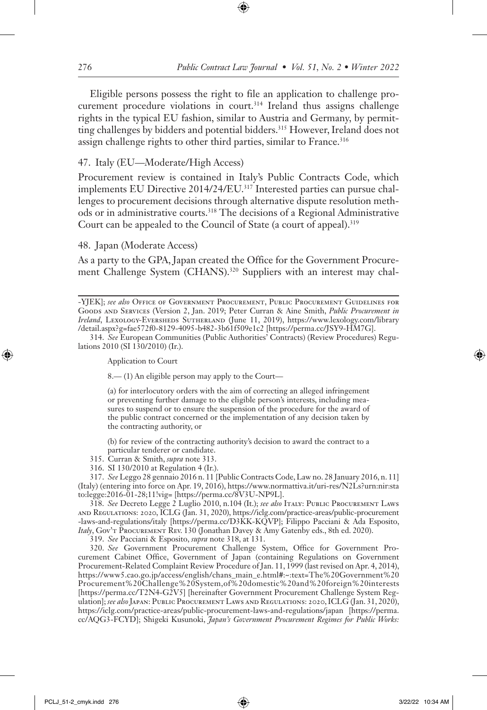Eligible persons possess the right to file an application to challenge procurement procedure violations in court.<sup>314</sup> Ireland thus assigns challenge rights in the typical EU fashion, similar to Austria and Germany, by permitting challenges by bidders and potential bidders.315 However, Ireland does not assign challenge rights to other third parties, similar to France.<sup>316</sup>

### 47. Italy (EU—Moderate/High Access)

Procurement review is contained in Italy's Public Contracts Code, which implements EU Directive 2014/24/EU.317 Interested parties can pursue challenges to procurement decisions through alternative dispute resolution methods or in administrative courts.318 The decisions of a Regional Administrative Court can be appealed to the Council of State (a court of appeal).<sup>319</sup>

#### 48. Japan (Moderate Access)

As a party to the GPA, Japan created the Office for the Government Procurement Challenge System (CHANS).<sup>320</sup> Suppliers with an interest may chal-

Application to Court

8.— (1) An eligible person may apply to the Court—

(a) for interlocutory orders with the aim of correcting an alleged infringement or preventing further damage to the eligible person's interests, including measures to suspend or to ensure the suspension of the procedure for the award of the public contract concerned or the implementation of any decision taken by the contracting authority, or

(b) for review of the contracting authority's decision to award the contract to a particular tenderer or candidate.

315. Curran & Smith, *supra* note 313.

316. SI 130/2010 at Regulation 4 (Ir.).

317. *See* Leggo 28 gennaio 2016 n. 11 [Public Contracts Code, Law no. 28 January 2016, n. 11] (Italy) (entering into force on Apr. 19, 2016), https://www.normattiva.it/uri-res/N2Ls?urn:nir:sta to:legge:2016-01-28;11!vig= [https://perma.cc/8V3U-NP9L].

318. *See* Decreto Legge 2 Luglio 2010, n.104 (It.); *see also* Italy: Public Procurement Laws and Regulations: 2020, ICLG (Jan. 31, 2020), https://iclg.com/practice-areas/public-procurement -laws-and-regulations/italy [https://perma.cc/D3KK-KQVP]; Filippo Pacciani & Ada Esposito, *Italy*, Gov't Procurement Rev. 130 (Jonathan Davey & Amy Gatenby eds., 8th ed. 2020).

319. *See* Pacciani & Esposito, *supra* note 318, at 131.

320. *See* Government Procurement Challenge System, Office for Government Procurement Cabinet Office, Government of Japan (containing Regulations on Government Procurement-Related Complaint Review Procedure of Jan. 11, 1999 (last revised on Apr. 4, 2014), https://www5.cao.go.jp/access/english/chans\_main\_e.html#:~:text=The%20Government%20 Procurement%20Challenge%20System,of%20domestic%20and%20foreign%20interests [https://perma.cc/T2N4-G2V5] [hereinafter Government Procurement Challenge System Regulation]; *see also*Japan: Public Procurement Laws and Regulations: 2020, ICLG (Jan. 31, 2020), https://iclg.com/practice-areas/public-procurement-laws-and-regulations/japan [https://perma. cc/AQG3-FCYD]; Shigeki Kusunoki, *Japan's Government Procurement Regimes for Public Works:* 

<sup>-</sup>YJEK]; *see also* Office of Government Procurement, Public Procurement Guidelines for Goods and Services (Version 2, Jan. 2019; Peter Curran & Aine Smith, *Public Procurement in Ireland*, Lexology-Eversheds Sutherland (June 11, 2019), https://www.lexology.com/library /detail.aspx?g=fae572f0-8129-4095-b482-3b61f509e1c2 [https://perma.cc/JSY9-HM7G].

<sup>314.</sup> *See* European Communities (Public Authorities' Contracts) (Review Procedures) Regulations 2010 (SI 130/2010) (Ir.).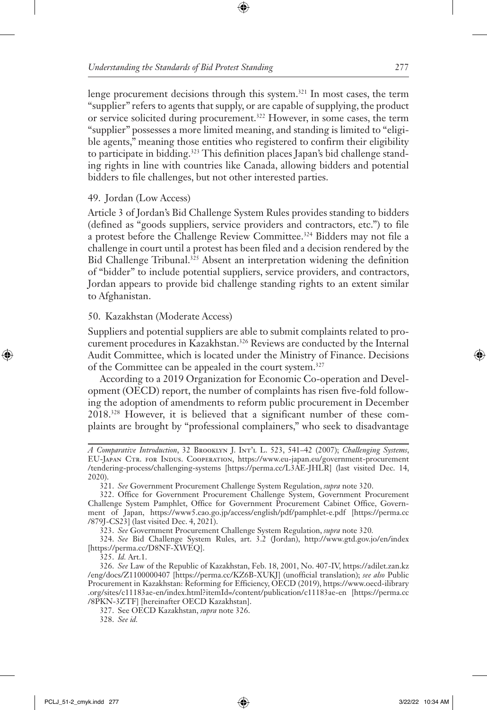lenge procurement decisions through this system.321 In most cases, the term "supplier" refers to agents that supply, or are capable of supplying, the product or service solicited during procurement.322 However, in some cases, the term "supplier" possesses a more limited meaning, and standing is limited to "eligible agents," meaning those entities who registered to confirm their eligibility to participate in bidding.<sup>323</sup> This definition places Japan's bid challenge standing rights in line with countries like Canada, allowing bidders and potential bidders to file challenges, but not other interested parties.

### 49. Jordan (Low Access)

Article 3 of Jordan's Bid Challenge System Rules provides standing to bidders (defined as "goods suppliers, service providers and contractors, etc.") to file a protest before the Challenge Review Committee.324 Bidders may not file a challenge in court until a protest has been filed and a decision rendered by the Bid Challenge Tribunal.<sup>325</sup> Absent an interpretation widening the definition of "bidder" to include potential suppliers, service providers, and contractors, Jordan appears to provide bid challenge standing rights to an extent similar to Afghanistan.

### 50. Kazakhstan (Moderate Access)

Suppliers and potential suppliers are able to submit complaints related to procurement procedures in Kazakhstan.326 Reviews are conducted by the Internal Audit Committee, which is located under the Ministry of Finance. Decisions of the Committee can be appealed in the court system.327

According to a 2019 Organization for Economic Co-operation and Development (OECD) report, the number of complaints has risen five-fold following the adoption of amendments to reform public procurement in December 2018.328 However, it is believed that a significant number of these complaints are brought by "professional complainers," who seek to disadvantage

325. *Id.* Art.1.

*A Comparative Introduction*, 32 Brooklyn J. Int'l L. 523, 541–42 (2007); *Challenging Systems*, EU-Japan Ctr. for Indus. Cooperation, https://www.eu-japan.eu/government-procurement /tendering-process/challenging-systems [https://perma.cc/L3AE-JHLR] (last visited Dec. 14, 2020).

<sup>321.</sup> *See* Government Procurement Challenge System Regulation, *supra* note 320.

<sup>322.</sup> Office for Government Procurement Challenge System, Government Procurement Challenge System Pamphlet, Office for Government Procurement Cabinet Office, Government of Japan, https://www5.cao.go.jp/access/english/pdf/pamphlet-e.pdf [https://perma.cc /879J-CS23] (last visited Dec. 4, 2021).

<sup>323.</sup> *See* Government Procurement Challenge System Regulation, *supra* note 320*.*

<sup>324.</sup> *See* Bid Challenge System Rules, art. 3.2 (Jordan), http://www.gtd.gov.jo/en/index [https://perma.cc/D8NF-XWEQ].

<sup>326.</sup> *See* Law of the Republic of Kazakhstan, Feb. 18, 2001, No. 407-IV, https://adilet.zan.kz /eng/docs/Z1100000407 [https://perma.cc/KZ6B-XUKJ] (unofficial translation); *see also* Public Procurement in Kazakhstan: Reforming for Efficiency, OECD (2019), https://www.oecd-ilibrary .org/sites/c11183ae-en/index.html?itemId=/content/publication/c11183ae-en [https://perma.cc /8PKN-3ZTF] [hereinafter OECD Kazakhstan].

<sup>327.</sup> See OECD Kazakhstan, *supra* note 326.

<sup>328.</sup> *See id.*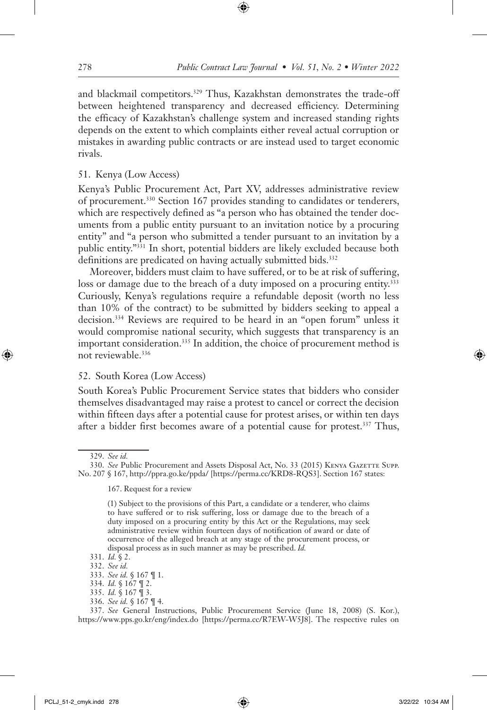and blackmail competitors.<sup>329</sup> Thus, Kazakhstan demonstrates the trade-off between heightened transparency and decreased efficiency. Determining the efficacy of Kazakhstan's challenge system and increased standing rights depends on the extent to which complaints either reveal actual corruption or mistakes in awarding public contracts or are instead used to target economic rivals.

### 51. Kenya (Low Access)

Kenya's Public Procurement Act, Part XV, addresses administrative review of procurement.330 Section 167 provides standing to candidates or tenderers, which are respectively defined as "a person who has obtained the tender documents from a public entity pursuant to an invitation notice by a procuring entity" and "a person who submitted a tender pursuant to an invitation by a public entity."331 In short, potential bidders are likely excluded because both definitions are predicated on having actually submitted bids.<sup>332</sup>

Moreover, bidders must claim to have suffered, or to be at risk of suffering, loss or damage due to the breach of a duty imposed on a procuring entity.<sup>333</sup> Curiously, Kenya's regulations require a refundable deposit (worth no less than 10% of the contract) to be submitted by bidders seeking to appeal a decision.334 Reviews are required to be heard in an "open forum" unless it would compromise national security, which suggests that transparency is an important consideration.<sup>335</sup> In addition, the choice of procurement method is not reviewable.336

#### 52. South Korea (Low Access)

South Korea's Public Procurement Service states that bidders who consider themselves disadvantaged may raise a protest to cancel or correct the decision within fifteen days after a potential cause for protest arises, or within ten days after a bidder first becomes aware of a potential cause for protest.337 Thus,

329. *See id.*

330. *See* Public Procurement and Assets Disposal Act, No. 33 (2015) Kenya Gazette Supp. No. 207 § 167, http://ppra.go.ke/ppda/ [https://perma.cc/KRD8-RQS3]. Section 167 states:

167. Request for a review

336. *See id.* § 167 ¶ 4.

337. *See* General Instructions, Public Procurement Service (June 18, 2008) (S. Kor.), https://www.pps.go.kr/eng/index.do [https://perma.cc/R7EW-W5J8]. The respective rules on

<sup>(1)</sup> Subject to the provisions of this Part, a candidate or a tenderer, who claims to have suffered or to risk suffering, loss or damage due to the breach of a duty imposed on a procuring entity by this Act or the Regulations, may seek administrative review within fourteen days of notification of award or date of occurrence of the alleged breach at any stage of the procurement process, or disposal process as in such manner as may be prescribed. *Id.*

<sup>331.</sup> *Id.* § 2.

<sup>332.</sup> *See id.*

<sup>333.</sup> *See id.* § 167 ¶ 1.

<sup>334.</sup> *Id.* § 167 ¶ 2.

<sup>335.</sup> *Id.* § 167 ¶ 3.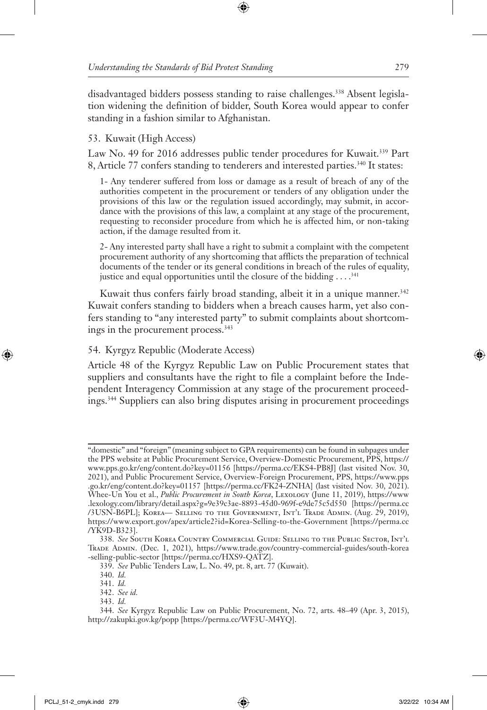disadvantaged bidders possess standing to raise challenges.<sup>338</sup> Absent legislation widening the definition of bidder, South Korea would appear to confer standing in a fashion similar to Afghanistan.

# 53. Kuwait (High Access)

Law No. 49 for 2016 addresses public tender procedures for Kuwait.339 Part 8, Article 77 confers standing to tenderers and interested parties.<sup>340</sup> It states:

1- Any tenderer suffered from loss or damage as a result of breach of any of the authorities competent in the procurement or tenders of any obligation under the provisions of this law or the regulation issued accordingly, may submit, in accordance with the provisions of this law, a complaint at any stage of the procurement, requesting to reconsider procedure from which he is affected him, or non-taking action, if the damage resulted from it.

2- Any interested party shall have a right to submit a complaint with the competent procurement authority of any shortcoming that afflicts the preparation of technical documents of the tender or its general conditions in breach of the rules of equality, justice and equal opportunities until the closure of the bidding  $\dots$ .<sup>341</sup>

Kuwait thus confers fairly broad standing, albeit it in a unique manner.<sup>342</sup> Kuwait confers standing to bidders when a breach causes harm, yet also confers standing to "any interested party" to submit complaints about shortcomings in the procurement process.<sup>343</sup>

# 54. Kyrgyz Republic (Moderate Access)

Article 48 of the Kyrgyz Republic Law on Public Procurement states that suppliers and consultants have the right to file a complaint before the Independent Interagency Commission at any stage of the procurement proceedings.344 Suppliers can also bring disputes arising in procurement proceedings

<sup>&</sup>quot;domestic" and "foreign" (meaning subject to GPA requirements) can be found in subpages under the PPS website at Public Procurement Service, Overview-Domestic Procurement, PPS, https:// www.pps.go.kr/eng/content.do?key=01156 [https://perma.cc/EKS4-PB8J] (last visited Nov. 30, 2021), and Public Procurement Service, Overview-Foreign Procurement, PPS, https://www.pps .go.kr/eng/content.do?key=01157 [https://perma.cc/FK24-ZNHA] (last visited Nov. 30, 2021). Whee-Un You et al., *Public Procurement in South Korea*, Lexology (June 11, 2019), https://www .lexology.com/library/detail.aspx?g=9e39c3ae-8893-45d0-969f-e9de75c5d550 [https://perma.cc /3USN-B6PL]; Korea— Selling to the Government, Int'l Trade Admin. (Aug. 29, 2019), https://www.export.gov/apex/article2?id=Korea-Selling-to-the-Government [https://perma.cc /YK9D-B323].

<sup>338.</sup> *See* South Korea Country Commercial Guide: Selling to the Public Sector, Int'l Trade Admin. (Dec. 1, 2021), https://www.trade.gov/country-commercial-guides/south-korea -selling-public-sector [https://perma.cc/HXS9-QATZ].

<sup>339.</sup> *See* Public Tenders Law, L. No. 49, pt. 8, art. 77 (Kuwait).

<sup>340.</sup> *Id.*

<sup>341.</sup> *Id.*

<sup>342.</sup> *See id.*

<sup>343.</sup> *Id.*

<sup>344.</sup> *See* Kyrgyz Republic Law on Public Procurement, No. 72, arts. 48–49 (Apr. 3, 2015), http://zakupki.gov.kg/popp [https://perma.cc/WF3U-M4YQ].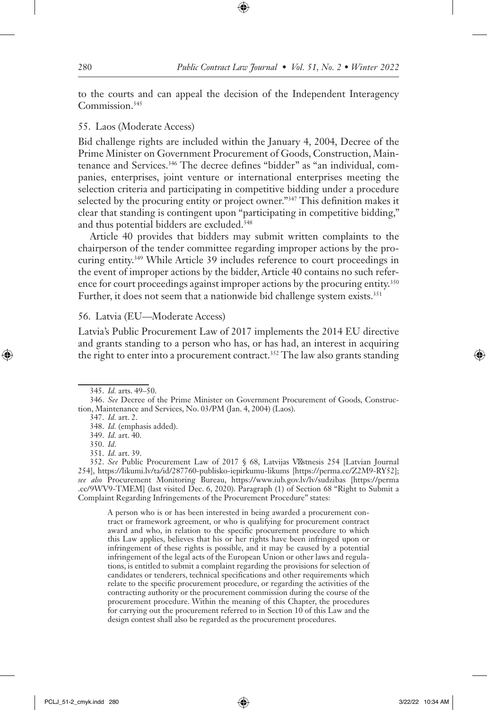to the courts and can appeal the decision of the Independent Interagency Commission.345

#### 55. Laos (Moderate Access)

Bid challenge rights are included within the January 4, 2004, Decree of the Prime Minister on Government Procurement of Goods, Construction, Maintenance and Services.<sup>346</sup> The decree defines "bidder" as "an individual, companies, enterprises, joint venture or international enterprises meeting the selection criteria and participating in competitive bidding under a procedure selected by the procuring entity or project owner."<sup>347</sup> This definition makes it clear that standing is contingent upon "participating in competitive bidding," and thus potential bidders are excluded.<sup>348</sup>

Article 40 provides that bidders may submit written complaints to the chairperson of the tender committee regarding improper actions by the procuring entity.349 While Article 39 includes reference to court proceedings in the event of improper actions by the bidder, Article 40 contains no such reference for court proceedings against improper actions by the procuring entity.<sup>350</sup> Further, it does not seem that a nationwide bid challenge system exists.<sup>351</sup>

#### 56. Latvia (EU—Moderate Access)

Latvia's Public Procurement Law of 2017 implements the 2014 EU directive and grants standing to a person who has, or has had, an interest in acquiring the right to enter into a procurement contract.<sup>352</sup> The law also grants standing

A person who is or has been interested in being awarded a procurement contract or framework agreement, or who is qualifying for procurement contract award and who, in relation to the specific procurement procedure to which this Law applies, believes that his or her rights have been infringed upon or infringement of these rights is possible, and it may be caused by a potential infringement of the legal acts of the European Union or other laws and regulations, is entitled to submit a complaint regarding the provisions for selection of candidates or tenderers, technical specifications and other requirements which relate to the specific procurement procedure, or regarding the activities of the contracting authority or the procurement commission during the course of the procurement procedure. Within the meaning of this Chapter, the procedures for carrying out the procurement referred to in Section 10 of this Law and the design contest shall also be regarded as the procurement procedures.

<sup>345.</sup> *Id.* arts. 49–50.

<sup>346.</sup> *See* Decree of the Prime Minister on Government Procurement of Goods, Construction, Maintenance and Services, No. 03/PM (Jan. 4, 2004) (Laos).

<sup>347.</sup> *Id.* art. 2.

<sup>348.</sup> *Id.* (emphasis added).

<sup>349.</sup> *Id.* art. 40.

<sup>350.</sup> *Id*.

<sup>351.</sup> *Id.* art. 39.

<sup>352.</sup> *See* Public Procurement Law of 2017 § 68, Latvijas V stnesis 254 [Latvian Journal 254], https://likumi.lv/ta/id/287760-publisko-iepirkumu-likums [https://perma.cc/Z2M9-RY52]; *see also* Procurement Monitoring Bureau, https://www.iub.gov.lv/lv/sudzibas [https://perma .cc/9WV9-TMEM] (last visited Dec. 6, 2020). Paragraph (1) of Section 68 "Right to Submit a Complaint Regarding Infringements of the Procurement Procedure" states: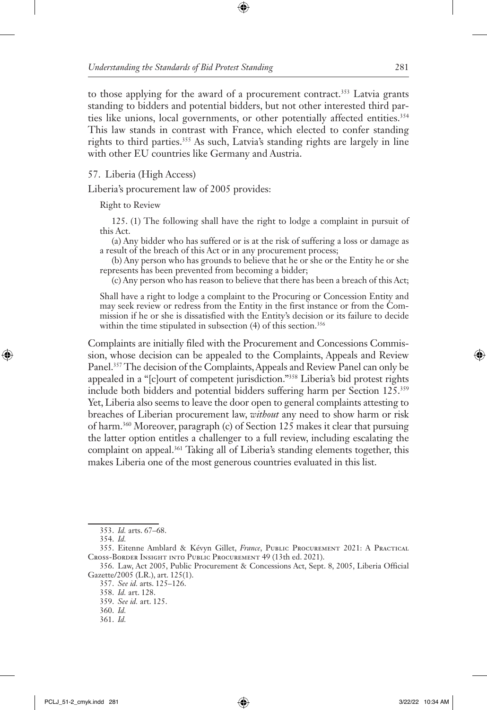to those applying for the award of a procurement contract.<sup>353</sup> Latvia grants standing to bidders and potential bidders, but not other interested third parties like unions, local governments, or other potentially affected entities.<sup>354</sup> This law stands in contrast with France, which elected to confer standing rights to third parties.355 As such, Latvia's standing rights are largely in line with other EU countries like Germany and Austria.

#### 57. Liberia (High Access)

Liberia's procurement law of 2005 provides:

Right to Review

125. (1) The following shall have the right to lodge a complaint in pursuit of this Act.

(a) Any bidder who has suffered or is at the risk of suffering a loss or damage as a result of the breach of this Act or in any procurement process;

(b) Any person who has grounds to believe that he or she or the Entity he or she represents has been prevented from becoming a bidder;

(c) Any person who has reason to believe that there has been a breach of this Act;

Shall have a right to lodge a complaint to the Procuring or Concession Entity and may seek review or redress from the Entity in the first instance or from the Commission if he or she is dissatisfied with the Entity's decision or its failure to decide within the time stipulated in subsection  $(4)$  of this section.<sup>356</sup>

Complaints are initially filed with the Procurement and Concessions Commission, whose decision can be appealed to the Complaints, Appeals and Review Panel.357 The decision of the Complaints, Appeals and Review Panel can only be appealed in a "[c]ourt of competent jurisdiction."358 Liberia's bid protest rights include both bidders and potential bidders suffering harm per Section 125.359 Yet, Liberia also seems to leave the door open to general complaints attesting to breaches of Liberian procurement law, *without* any need to show harm or risk of harm.360 Moreover, paragraph (c) of Section 125 makes it clear that pursuing the latter option entitles a challenger to a full review, including escalating the complaint on appeal.<sup>361</sup> Taking all of Liberia's standing elements together, this makes Liberia one of the most generous countries evaluated in this list.

359. *See id.* art. 125.

361. *Id.*

<sup>353.</sup> *Id.* arts. 67–68.

<sup>354.</sup> *Id.*

<sup>355.</sup> Eitenne Amblard & Kévyn Gillet, *France*, Public Procurement 2021: A Practical Cross-Border Insight into Public Procurement 49 (13th ed. 2021).

<sup>356.</sup> Law, Act 2005, Public Procurement & Concessions Act, Sept. 8, 2005, Liberia Official Gazette/2005 (LR.), art. 125(1).

<sup>357.</sup> *See id.* arts. 125–126.

<sup>358.</sup> *Id.* art. 128.

<sup>360.</sup> *Id.*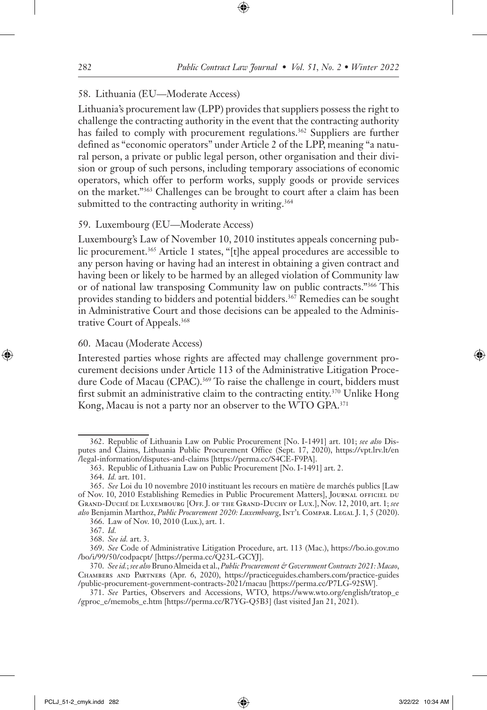### 58. Lithuania (EU—Moderate Access)

Lithuania's procurement law (LPP) provides that suppliers possess the right to challenge the contracting authority in the event that the contracting authority has failed to comply with procurement regulations.<sup>362</sup> Suppliers are further defined as "economic operators" under Article 2 of the LPP, meaning "a natural person, a private or public legal person, other organisation and their division or group of such persons, including temporary associations of economic operators, which offer to perform works, supply goods or provide services on the market."363 Challenges can be brought to court after a claim has been submitted to the contracting authority in writing.<sup>364</sup>

### 59. Luxembourg (EU—Moderate Access)

Luxembourg's Law of November 10, 2010 institutes appeals concerning public procurement.<sup>365</sup> Article 1 states, "[t]he appeal procedures are accessible to any person having or having had an interest in obtaining a given contract and having been or likely to be harmed by an alleged violation of Community law or of national law transposing Community law on public contracts."366 This provides standing to bidders and potential bidders.<sup>367</sup> Remedies can be sought in Administrative Court and those decisions can be appealed to the Administrative Court of Appeals.368

#### 60. Macau (Moderate Access)

Interested parties whose rights are affected may challenge government procurement decisions under Article 113 of the Administrative Litigation Procedure Code of Macau (CPAC).<sup>369</sup> To raise the challenge in court, bidders must first submit an administrative claim to the contracting entity.370 Unlike Hong Kong, Macau is not a party nor an observer to the WTO GPA.371

<sup>362.</sup> Republic of Lithuania Law on Public Procurement [No. I-1491] art. 101; *see also* Disputes and Claims, Lithuania Public Procurement Office (Sept. 17, 2020), https://vpt.lrv.lt/en /legal-information/disputes-and-claims [https://perma.cc/S4CE-F9PA].

<sup>363.</sup> Republic of Lithuania Law on Public Procurement [No. I-1491] art. 2.

<sup>364.</sup> *Id.* art. 101.

<sup>365.</sup> *See* Loi du 10 novembre 2010 instituant les recours en matière de marchés publics [Law of Nov. 10, 2010 Establishing Remedies in Public Procurement Matters], Journal officiel du Grand-Duché de Luxembourg [Off. J. of the Grand-Duchy of Lux.], Nov. 12, 2010, art. 1; *see also* Benjamin Marthoz, *Public Procurement 2020: Luxembourg*, Int'l Compar. Legal J. 1, 5 (2020).

<sup>366.</sup> Law of Nov. 10, 2010 (Lux.), art. 1.

<sup>367.</sup> *Id.*

<sup>368.</sup> *See id.* art. 3.

<sup>369.</sup> *See* Code of Administrative Litigation Procedure, art. 113 (Mac.), https://bo.io.gov.mo /bo/i/99/50/codpacpt/ [https://perma.cc/Q23L-GCYJ].

<sup>370.</sup> *Seeid.*; *see also* Bruno Almeida et al., *Public Procurement & Government Contracts 2021: Macao*, Chambers and Partners (Apr. 6, 2020), https://practiceguides.chambers.com/practice-guides /public-procurement-government-contracts-2021/macau [https://perma.cc/P7LG-92SW].

<sup>371.</sup> *See* Parties, Observers and Accessions, WTO, https://www.wto.org/english/tratop\_e /gproc\_e/memobs\_e.htm [https://perma.cc/R7YG-Q5B3] (last visited Jan 21, 2021).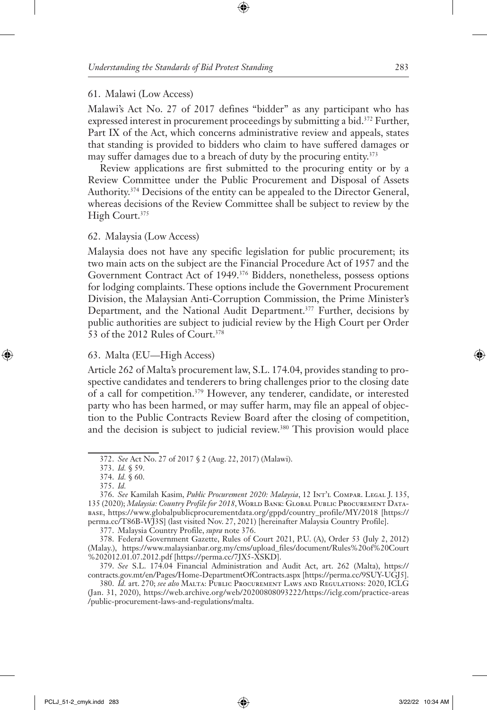#### 61. Malawi (Low Access)

Malawi's Act No. 27 of 2017 defines "bidder" as any participant who has expressed interest in procurement proceedings by submitting a bid.<sup>372</sup> Further, Part IX of the Act, which concerns administrative review and appeals, states that standing is provided to bidders who claim to have suffered damages or may suffer damages due to a breach of duty by the procuring entity.<sup>373</sup>

Review applications are first submitted to the procuring entity or by a Review Committee under the Public Procurement and Disposal of Assets Authority.374 Decisions of the entity can be appealed to the Director General, whereas decisions of the Review Committee shall be subject to review by the High Court.<sup>375</sup>

#### 62. Malaysia (Low Access)

Malaysia does not have any specific legislation for public procurement; its two main acts on the subject are the Financial Procedure Act of 1957 and the Government Contract Act of 1949.376 Bidders, nonetheless, possess options for lodging complaints. These options include the Government Procurement Division, the Malaysian Anti-Corruption Commission, the Prime Minister's Department, and the National Audit Department.<sup>377</sup> Further, decisions by public authorities are subject to judicial review by the High Court per Order 53 of the 2012 Rules of Court.378

#### 63. Malta (EU—High Access)

Article 262 of Malta's procurement law, S.L. 174.04, provides standing to prospective candidates and tenderers to bring challenges prior to the closing date of a call for competition.<sup>379</sup> However, any tenderer, candidate, or interested party who has been harmed, or may suffer harm, may file an appeal of objection to the Public Contracts Review Board after the closing of competition, and the decision is subject to judicial review.<sup>380</sup> This provision would place

<sup>372.</sup> *See* Act No. 27 of 2017 § 2 (Aug. 22, 2017) (Malawi).

<sup>373.</sup> *Id.* § 59.

<sup>374.</sup> *Id.* § 60.

<sup>375.</sup> *Id.*

<sup>376.</sup> *See* Kamilah Kasim, *Public Procurement 2020: Malaysia*, 12 Int'l Compar. Legal J. 135, 135 (2020); *Malaysia: Country Profile for 2018*, WORLD BANK: GLOBAL PUBLIC PROCUREMENT DATAbase, https://www.globalpublicprocurementdata.org/gppd/country\_profile/MY/2018 [https:// perma.cc/T86B-WJ3S] (last visited Nov. 27, 2021) [hereinafter Malaysia Country Profile].

<sup>377.</sup> Malaysia Country Profile, *supra* note 376.

<sup>378.</sup> Federal Government Gazette, Rules of Court 2021, P.U. (A), Order 53 (July 2, 2012) (Malay.), https://www.malaysianbar.org.my/cms/upload\_files/document/Rules%20of%20Court %202012.01.07.2012.pdf [https://perma.cc/7JX5-XSKD].

<sup>379.</sup> *See* S.L. 174.04 Financial Administration and Audit Act, art. 262 (Malta), https:// contracts.gov.mt/en/Pages/Home-DepartmentOfContracts.aspx [https://perma.cc/9SUY-UGJ5].

<sup>380.</sup> *Id.* art. 270; *see also* Malta: Public Procurement Laws and Regulations: 2020, ICLG (Jan. 31, 2020), https://web.archive.org/web/20200808093222/https://iclg.com/practice-areas /public-procurement-laws-and-regulations/malta.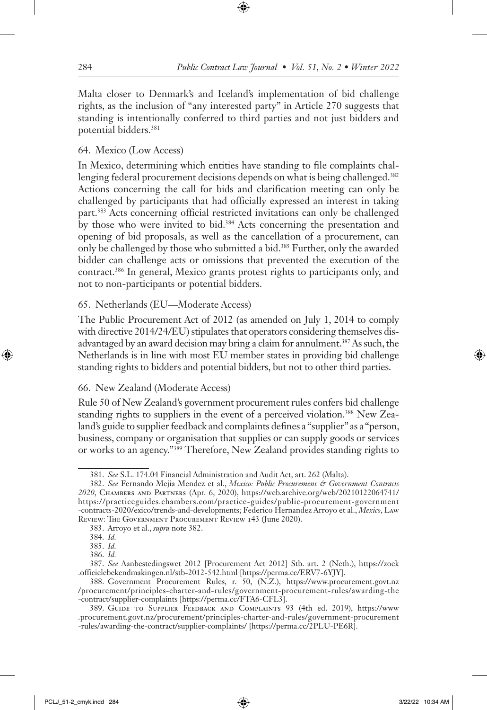Malta closer to Denmark's and Iceland's implementation of bid challenge rights, as the inclusion of "any interested party" in Article 270 suggests that standing is intentionally conferred to third parties and not just bidders and potential bidders.381

# 64. Mexico (Low Access)

In Mexico, determining which entities have standing to file complaints challenging federal procurement decisions depends on what is being challenged.<sup>382</sup> Actions concerning the call for bids and clarification meeting can only be challenged by participants that had officially expressed an interest in taking part.383 Acts concerning official restricted invitations can only be challenged by those who were invited to bid.<sup>384</sup> Acts concerning the presentation and opening of bid proposals, as well as the cancellation of a procurement, can only be challenged by those who submitted a bid.385 Further, only the awarded bidder can challenge acts or omissions that prevented the execution of the contract.386 In general, Mexico grants protest rights to participants only, and not to non-participants or potential bidders.

### 65. Netherlands (EU—Moderate Access)

The Public Procurement Act of 2012 (as amended on July 1, 2014 to comply with directive 2014/24/EU) stipulates that operators considering themselves disadvantaged by an award decision may bring a claim for annulment.<sup>387</sup> As such, the Netherlands is in line with most EU member states in providing bid challenge standing rights to bidders and potential bidders, but not to other third parties.

# 66. New Zealand (Moderate Access)

Rule 50 of New Zealand's government procurement rules confers bid challenge standing rights to suppliers in the event of a perceived violation.<sup>388</sup> New Zealand's guide to supplier feedback and complaints defines a "supplier" as a "person, business, company or organisation that supplies or can supply goods or services or works to an agency."389 Therefore, New Zealand provides standing rights to

<sup>381.</sup> *See* S.L. 174.04 Financial Administration and Audit Act, art. 262 (Malta).

<sup>382.</sup> *See* Fernando Mejia Mendez et al., *Mexico: Public Procurement & Government Contracts 2020*, Chambers and Partners (Apr. 6, 2020), https://web.archive.org/web/20210122064741/ https://practiceguides.chambers.com/practice-guides/public-procurement-government -contracts-2020/exico/trends-and-developments; Federico Hernandez Arroyo et al., *Mexico*, Law Review: The Government Procurement Review 143 (June 2020).

<sup>383.</sup> Arroyo et al., *supra* note 382.

<sup>384.</sup> *Id.*

<sup>385.</sup> *Id.*

<sup>386.</sup> *Id.*

<sup>387.</sup> *See* Aanbestedingswet 2012 [Procurement Act 2012] Stb. art. 2 (Neth.), https://zoek .officielebekendmakingen.nl/stb-2012-542.html [https://perma.cc/ERV7-6YJY].

<sup>388.</sup> Government Procurement Rules, r. 50, (N.Z.), https://www.procurement.govt.nz /procurement/principles-charter-and-rules/government-procurement-rules/awarding-the -contract/supplier-complaints [https://perma.cc/FTA6-CFL3].

<sup>389.</sup> Guide to Supplier Feedback and Complaints 93 (4th ed. 2019), https://www .procurement.govt.nz/procurement/principles-charter-and-rules/government-procurement -rules/awarding-the-contract/supplier-complaints/ [https://perma.cc/2PLU-PE6R].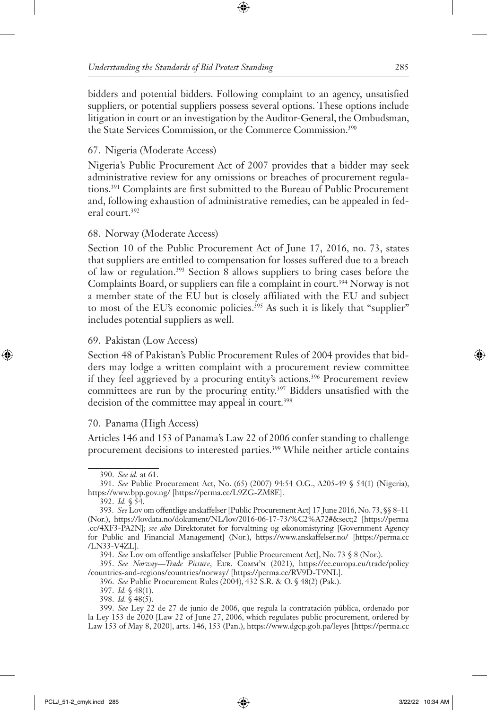bidders and potential bidders. Following complaint to an agency, unsatisfied suppliers, or potential suppliers possess several options. These options include litigation in court or an investigation by the Auditor-General, the Ombudsman, the State Services Commission, or the Commerce Commission.390

# 67. Nigeria (Moderate Access)

Nigeria's Public Procurement Act of 2007 provides that a bidder may seek administrative review for any omissions or breaches of procurement regulations.391 Complaints are first submitted to the Bureau of Public Procurement and, following exhaustion of administrative remedies, can be appealed in federal court.392

# 68. Norway (Moderate Access)

Section 10 of the Public Procurement Act of June 17, 2016, no. 73, states that suppliers are entitled to compensation for losses suffered due to a breach of law or regulation.393 Section 8 allows suppliers to bring cases before the Complaints Board, or suppliers can file a complaint in court.<sup>394</sup> Norway is not a member state of the EU but is closely affiliated with the EU and subject to most of the EU's economic policies.<sup>395</sup> As such it is likely that "supplier" includes potential suppliers as well.

# 69. Pakistan (Low Access)

Section 48 of Pakistan's Public Procurement Rules of 2004 provides that bidders may lodge a written complaint with a procurement review committee if they feel aggrieved by a procuring entity's actions.<sup>396</sup> Procurement review committees are run by the procuring entity.<sup>397</sup> Bidders unsatisfied with the decision of the committee may appeal in court.<sup>398</sup>

# 70. Panama (High Access)

Articles 146 and 153 of Panama's Law 22 of 2006 confer standing to challenge procurement decisions to interested parties.<sup>399</sup> While neither article contains

<sup>390.</sup> *See id.* at 61.

<sup>391.</sup> *See* Public Procurement Act, No. (65) (2007) 94:54 O.G., A205-49 § 54(1) (Nigeria), https://www.bpp.gov.ng/ [https://perma.cc/L9ZG-ZM8E].

<sup>392.</sup> *Id.* § 54.

<sup>393.</sup> *See* Lov om offentlige anskaffelser [Public Procurement Act] 17 June 2016, No. 73, §§ 8–11 (Nor.), https://lovdata.no/dokument/NL/lov/2016-06-17-73/%C2%A72#§2 [https://perma .cc/4XF3-PA2N]; *see also* Direktoratet for forvaltning og økonomistyring [Government Agency for Public and Financial Management] (Nor.), https://www.anskaffelser.no/ [https://perma.cc /LN33-V4ZL].

<sup>394.</sup> *See* Lov om offentlige anskaffelser [Public Procurement Act], No. 73 § 8 (Nor.).

<sup>395.</sup> *See Norway—Trade Picture*, Eur. Comm'n (2021), https://ec.europa.eu/trade/policy /countries-and-regions/countries/norway/ [https://perma.cc/RV9D-T9NL].

<sup>396.</sup> *See* Public Procurement Rules (2004), 432 S.R. & O. § 48(2) (Pak.).

<sup>397.</sup> *Id.* § 48(1).

<sup>398.</sup> *Id.* § 48(5).

<sup>399.</sup> *See* Ley 22 de 27 de junio de 2006, que regula la contratación pública, ordenado por la Ley 153 de 2020 [Law 22 of June 27, 2006, which regulates public procurement, ordered by Law 153 of May 8, 2020], arts. 146, 153 (Pan.), https://www.dgcp.gob.pa/leyes [https://perma.cc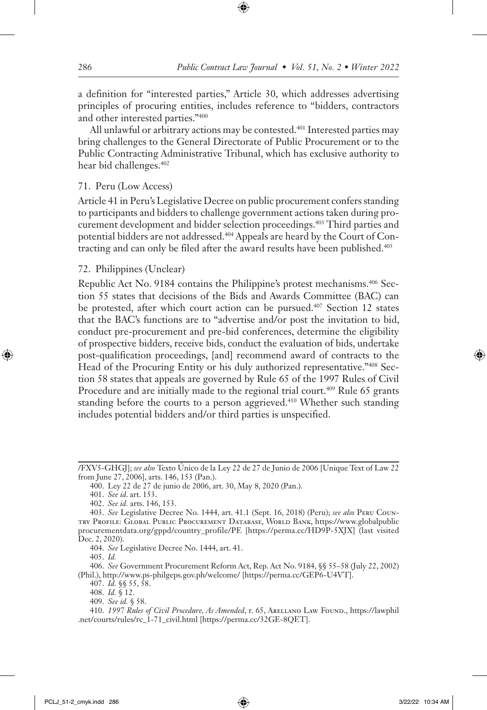a definition for "interested parties," Article 30, which addresses advertising principles of procuring entities, includes reference to "bidders, contractors and other interested parties."400

All unlawful or arbitrary actions may be contested.<sup>401</sup> Interested parties may bring challenges to the General Directorate of Public Procurement or to the Public Contracting Administrative Tribunal, which has exclusive authority to hear bid challenges.402

### 71. Peru (Low Access)

Article 41 in Peru's Legislative Decree on public procurement confers standing to participants and bidders to challenge government actions taken during procurement development and bidder selection proceedings.403 Third parties and potential bidders are not addressed.404 Appeals are heard by the Court of Contracting and can only be filed after the award results have been published.<sup>405</sup>

### 72. Philippines (Unclear)

Republic Act No. 9184 contains the Philippine's protest mechanisms.406 Section 55 states that decisions of the Bids and Awards Committee (BAC) can be protested, after which court action can be pursued.<sup>407</sup> Section 12 states that the BAC's functions are to "advertise and/or post the invitation to bid, conduct pre-procurement and pre-bid conferences, determine the eligibility of prospective bidders, receive bids, conduct the evaluation of bids, undertake post-qualification proceedings, [and] recommend award of contracts to the Head of the Procuring Entity or his duly authorized representative."408 Section 58 states that appeals are governed by Rule 65 of the 1997 Rules of Civil Procedure and are initially made to the regional trial court.<sup>409</sup> Rule 65 grants standing before the courts to a person aggrieved.<sup>410</sup> Whether such standing includes potential bidders and/or third parties is unspecified.

<sup>/</sup>FXV5-GHGJ]; *see also* Texto Único de la Ley 22 de 27 de Junio de 2006 [Unique Text of Law 22 from June 27, 2006], arts. 146, 153 (Pan.).

<sup>400.</sup> Ley 22 de 27 de junio de 2006, art. 30, May 8, 2020 (Pan.).

<sup>401.</sup> *See id*. art. 153.

<sup>402.</sup> *See id.* arts. 146, 153.

<sup>403.</sup> *See* Legislative Decree No. 1444, art. 41.1 (Sept. 16, 2018) (Peru); *see also* Peru Country Profile: Global Public Procurement Database, World Bank, https://www.globalpublic procurementdata.org/gppd/country\_profile/PE [https://perma.cc/HD9P-5XJX] (last visited Dec. 2, 2020).

<sup>404.</sup> *See* Legislative Decree No. 1444, art. 41.

<sup>405.</sup> *Id.*

<sup>406.</sup> *See* Government Procurement Reform Act, Rep. Act No. 9184, §§ 55–58 (July 22, 2002) (Phil.), http://www.ps-philgeps.gov.ph/welcome/ [https://perma.cc/GEP6-U4VT].

<sup>407.</sup> *Id.* §§ 55, 58.

<sup>408.</sup> *Id.* § 12.

<sup>409.</sup> *See id.* § 58.

<sup>410.</sup> *1997 Rules of Civil Procedure, As Amended*, r. 65, Arellano Law Found., https://lawphil .net/courts/rules/rc\_1-71\_civil.html [https://perma.cc/32GE-8QET].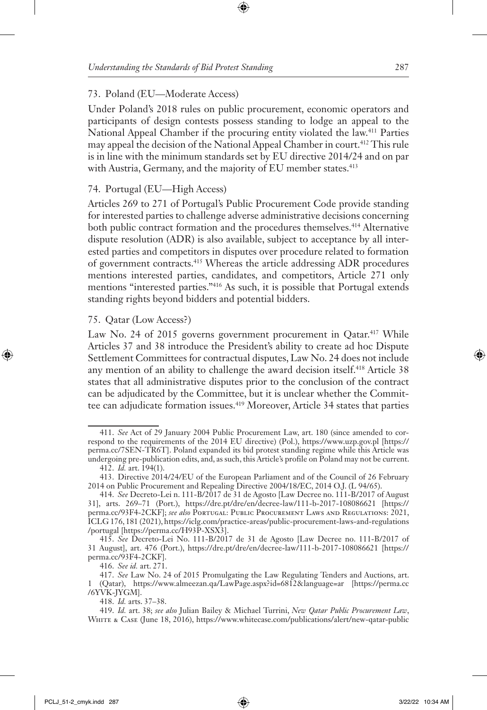### 73. Poland (EU—Moderate Access)

Under Poland's 2018 rules on public procurement, economic operators and participants of design contests possess standing to lodge an appeal to the National Appeal Chamber if the procuring entity violated the law.411 Parties may appeal the decision of the National Appeal Chamber in court.412 This rule is in line with the minimum standards set by EU directive 2014/24 and on par with Austria, Germany, and the majority of EU member states.<sup>413</sup>

### 74. Portugal (EU—High Access)

Articles 269 to 271 of Portugal's Public Procurement Code provide standing for interested parties to challenge adverse administrative decisions concerning both public contract formation and the procedures themselves.<sup>414</sup> Alternative dispute resolution (ADR) is also available, subject to acceptance by all interested parties and competitors in disputes over procedure related to formation of government contracts.415 Whereas the article addressing ADR procedures mentions interested parties, candidates, and competitors, Article 271 only mentions "interested parties."416 As such, it is possible that Portugal extends standing rights beyond bidders and potential bidders.

#### 75. Qatar (Low Access?)

Law No. 24 of 2015 governs government procurement in Qatar.<sup>417</sup> While Articles 37 and 38 introduce the President's ability to create ad hoc Dispute Settlement Committees for contractual disputes, Law No. 24 does not include any mention of an ability to challenge the award decision itself.<sup>418</sup> Article 38 states that all administrative disputes prior to the conclusion of the contract can be adjudicated by the Committee, but it is unclear whether the Committee can adjudicate formation issues.<sup>419</sup> Moreover, Article 34 states that parties

416. *See id.* art. 271.

418. *Id.* arts. 37–38.

<sup>411.</sup> *See* Act of 29 January 2004 Public Procurement Law, art. 180 (since amended to correspond to the requirements of the 2014 EU directive) (Pol.), https://www.uzp.gov.pl [https:// perma.cc/7SEN-TR6T]. Poland expanded its bid protest standing regime while this Article was undergoing pre-publication edits, and, as such, this Article's profile on Poland may not be current. 412. *Id.* art. 194(1).

<sup>413.</sup> Directive 2014/24/EU of the European Parliament and of the Council of 26 February 2014 on Public Procurement and Repealing Directive 2004/18/EC, 2014 O.J. (L 94/65).

<sup>414.</sup> *See* Decreto-Lei n. 111-B/2017 de 31 de Agosto [Law Decree no. 111-B/2017 of August 31], arts. 269–71 (Port.), https://dre.pt/dre/en/decree-law/111-b-2017-108086621 [https:// perma.cc/93F4-2CKF]; *see also* Portugal: Public Procurement Laws and Regulations: 2021, ICLG 176, 181 (2021), https://iclg.com/practice-areas/public-procurement-laws-and-regulations /portugal [https://perma.cc/H93P-XSX3].

<sup>415.</sup> *See* Decreto-Lei No. 111-B/2017 de 31 de Agosto [Law Decree no. 111-B/2017 of 31 August], art. 476 (Port.), https://dre.pt/dre/en/decree-law/111-b-2017-108086621 [https:// perma.cc/93F4-2CKF].

<sup>417.</sup> *See* Law No. 24 of 2015 Promulgating the Law Regulating Tenders and Auctions, art. 1 (Qatar), https://www.almeezan.qa/LawPage.aspx?id=6812&language=ar [https://perma.cc /6YVK-JYGM].

<sup>419.</sup> *Id.* art. 38; *see also* Julian Bailey & Michael Turrini, *New Qatar Public Procurement Law*, White & Case (June 18, 2016), https://www.whitecase.com/publications/alert/new-qatar-public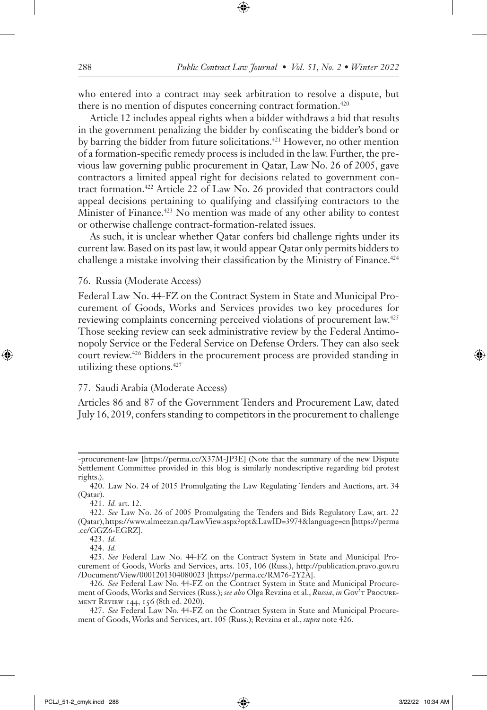who entered into a contract may seek arbitration to resolve a dispute, but there is no mention of disputes concerning contract formation.<sup>420</sup>

Article 12 includes appeal rights when a bidder withdraws a bid that results in the government penalizing the bidder by confiscating the bidder's bond or by barring the bidder from future solicitations.<sup>421</sup> However, no other mention of a formation-specific remedy process is included in the law. Further, the previous law governing public procurement in Qatar, Law No. 26 of 2005, gave contractors a limited appeal right for decisions related to government contract formation.422 Article 22 of Law No. 26 provided that contractors could appeal decisions pertaining to qualifying and classifying contractors to the Minister of Finance.423 No mention was made of any other ability to contest or otherwise challenge contract-formation-related issues.

As such, it is unclear whether Qatar confers bid challenge rights under its current law. Based on its past law, it would appear Qatar only permits bidders to challenge a mistake involving their classification by the Ministry of Finance.<sup>424</sup>

#### 76. Russia (Moderate Access)

Federal Law No. 44-FZ on the Contract System in State and Municipal Procurement of Goods, Works and Services provides two key procedures for reviewing complaints concerning perceived violations of procurement law.425 Those seeking review can seek administrative review by the Federal Antimonopoly Service or the Federal Service on Defense Orders. They can also seek court review.426 Bidders in the procurement process are provided standing in utilizing these options.427

#### 77. Saudi Arabia (Moderate Access)

Articles 86 and 87 of the Government Tenders and Procurement Law, dated July 16, 2019, confers standing to competitors in the procurement to challenge

421. *Id.* art. 12.

424. *Id.*

<sup>-</sup>procurement-law [https://perma.cc/X37M-JP3E] (Note that the summary of the new Dispute Settlement Committee provided in this blog is similarly nondescriptive regarding bid protest rights.).

<sup>420.</sup> Law No. 24 of 2015 Promulgating the Law Regulating Tenders and Auctions, art. 34 (Qatar).

<sup>422.</sup> *See* Law No. 26 of 2005 Promulgating the Tenders and Bids Regulatory Law, art. 22 (Qatar), https://www.almeezan.qa/LawView.aspx?opt&LawID=3974&language=en [https://perma .cc/GGZ6-EGRZ].

<sup>423.</sup> *Id.* 

<sup>425.</sup> *See* Federal Law No. 44-FZ on the Contract System in State and Municipal Procurement of Goods, Works and Services, arts. 105, 106 (Russ.), http://publication.pravo.gov.ru /Document/View/0001201304080023 [https://perma.cc/RM76-2Y2A].

<sup>426.</sup> *See* Federal Law No. 44-FZ on the Contract System in State and Municipal Procurement of Goods, Works and Services (Russ.); *see also* Olga Revzina et al., *Russia*, *in* Gov't Procurement Review 144, 156 (8th ed. 2020).

<sup>427.</sup> *See* Federal Law No. 44-FZ on the Contract System in State and Municipal Procurement of Goods, Works and Services, art. 105 (Russ.); Revzina et al., *supra* note 426.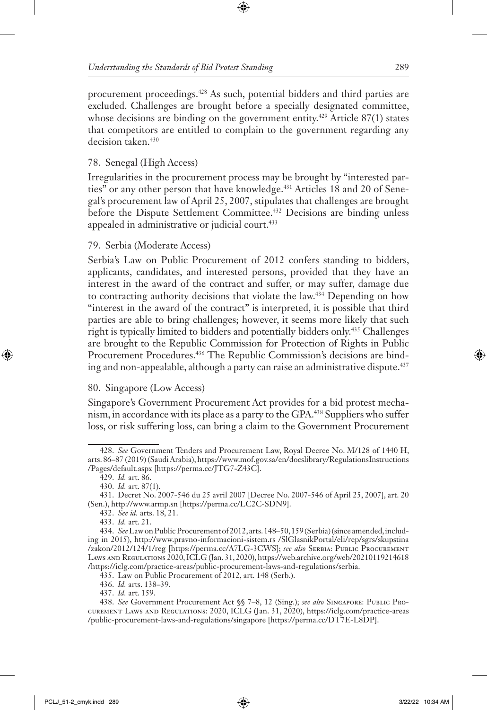procurement proceedings.428 As such, potential bidders and third parties are excluded. Challenges are brought before a specially designated committee, whose decisions are binding on the government entity.<sup>429</sup> Article  $87(1)$  states that competitors are entitled to complain to the government regarding any decision taken.<sup>430</sup>

# 78. Senegal (High Access)

Irregularities in the procurement process may be brought by "interested parties" or any other person that have knowledge.<sup>431</sup> Articles 18 and 20 of Senegal's procurement law of April 25, 2007, stipulates that challenges are brought before the Dispute Settlement Committee.<sup>432</sup> Decisions are binding unless appealed in administrative or judicial court.<sup>433</sup>

# 79. Serbia (Moderate Access)

Serbia's Law on Public Procurement of 2012 confers standing to bidders, applicants, candidates, and interested persons, provided that they have an interest in the award of the contract and suffer, or may suffer, damage due to contracting authority decisions that violate the law.434 Depending on how "interest in the award of the contract" is interpreted, it is possible that third parties are able to bring challenges; however, it seems more likely that such right is typically limited to bidders and potentially bidders only.435 Challenges are brought to the Republic Commission for Protection of Rights in Public Procurement Procedures.436 The Republic Commission's decisions are binding and non-appealable, although a party can raise an administrative dispute.437

# 80. Singapore (Low Access)

Singapore's Government Procurement Act provides for a bid protest mechanism, in accordance with its place as a party to the GPA.438 Suppliers who suffer loss, or risk suffering loss, can bring a claim to the Government Procurement

<sup>428.</sup> *See* Government Tenders and Procurement Law, Royal Decree No. M/128 of 1440 H, arts. 86–87 (2019) (Saudi Arabia), https://www.mof.gov.sa/en/docslibrary/RegulationsInstructions /Pages/default.aspx [https://perma.cc/JTG7-Z43C].

<sup>429.</sup> *Id.* art. 86.

<sup>430.</sup> *Id.* art. 87(1).

<sup>431.</sup> Decret No. 2007-546 du 25 avril 2007 [Decree No. 2007-546 of April 25, 2007], art. 20 (Sen.), http://www.armp.sn [https://perma.cc/LC2C-SDN9].

<sup>432.</sup> *See id.* arts. 18, 21.

<sup>433.</sup> *Id.* art. 21.

<sup>434.</sup> *See* Law on Public Procurement of 2012, arts. 148–50, 159 (Serbia) (since amended, including in 2015), http://www.pravno-informacioni-sistem.rs /SlGlasnikPortal/eli/rep/sgrs/skupstina /zakon/2012/124/1/reg [https://perma.cc/A7LG-3CWS]; *see also* Serbia: Public Procurement Laws and Regulations 2020,ICLG (Jan. 31, 2020), https://web.archive.org/web/20210119214618 /https://iclg.com/practice-areas/public-procurement-laws-and-regulations/serbia.

<sup>435.</sup> Law on Public Procurement of 2012, art. 148 (Serb.).

<sup>436.</sup> *Id.* arts. 138–39.

<sup>437.</sup> *Id.* art. 159.

<sup>438.</sup> *See* Government Procurement Act §§ 7–8, 12 (Sing.); *see also* Singapore: Public Procurement Laws and Regulations: 2020, ICLG (Jan. 31, 2020), https://iclg.com/practice-areas /public-procurement-laws-and-regulations/singapore [https://perma.cc/DT7E-L8DP].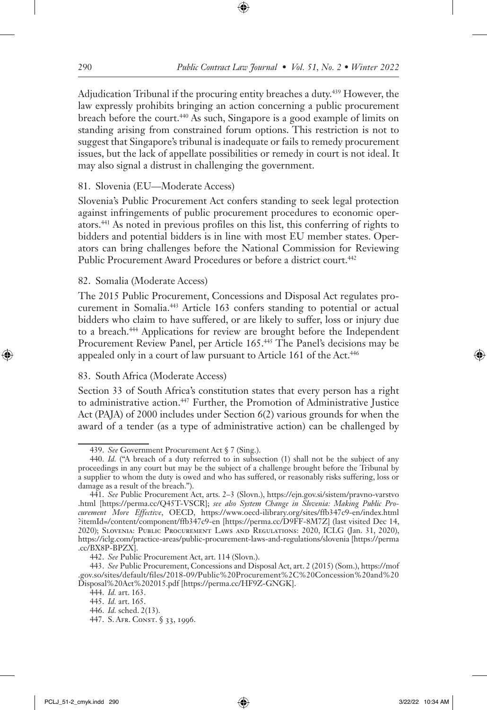Adjudication Tribunal if the procuring entity breaches a duty.439 However, the law expressly prohibits bringing an action concerning a public procurement breach before the court.440 As such, Singapore is a good example of limits on standing arising from constrained forum options. This restriction is not to suggest that Singapore's tribunal is inadequate or fails to remedy procurement issues, but the lack of appellate possibilities or remedy in court is not ideal. It may also signal a distrust in challenging the government.

### 81. Slovenia (EU—Moderate Access)

Slovenia's Public Procurement Act confers standing to seek legal protection against infringements of public procurement procedures to economic operators.441 As noted in previous profiles on this list, this conferring of rights to bidders and potential bidders is in line with most EU member states. Operators can bring challenges before the National Commission for Reviewing Public Procurement Award Procedures or before a district court.<sup>442</sup>

### 82. Somalia (Moderate Access)

The 2015 Public Procurement, Concessions and Disposal Act regulates procurement in Somalia.443 Article 163 confers standing to potential or actual bidders who claim to have suffered, or are likely to suffer, loss or injury due to a breach.444 Applications for review are brought before the Independent Procurement Review Panel, per Article 165.<sup>445</sup> The Panel's decisions may be appealed only in a court of law pursuant to Article 161 of the Act.<sup>446</sup>

# 83. South Africa (Moderate Access)

Section 33 of South Africa's constitution states that every person has a right to administrative action.<sup>447</sup> Further, the Promotion of Administrative Justice Act (PAJA) of 2000 includes under Section 6(2) various grounds for when the award of a tender (as a type of administrative action) can be challenged by

- 446. *Id.* sched. 2(13).
- 447. S. Afr. Const. § 33, 1996.

<sup>439.</sup> *See* Government Procurement Act § 7 (Sing.).

<sup>440.</sup> *Id.* ("A breach of a duty referred to in subsection (1) shall not be the subject of any proceedings in any court but may be the subject of a challenge brought before the Tribunal by a supplier to whom the duty is owed and who has suffered, or reasonably risks suffering, loss or damage as a result of the breach.").

<sup>441.</sup> *See* Public Procurement Act, arts. 2–3 (Slovn.), https://ejn.gov.si/sistem/pravno-varstvo .html [https://perma.cc/Q45T-VSCR]; *see also System Change in Slovenia: Making Public Procurement More Effective*, OECD, https://www.oecd-ilibrary.org/sites/ffb347c9-en/index.html ?itemId=/content/component/ffb347c9-en [https://perma.cc/D9FF-8M7Z] (last visited Dec 14, 2020); Slovenia: Public Procurement Laws and Regulations: 2020, ICLG (Jan. 31, 2020), https://iclg.com/practice-areas/public-procurement-laws-and-regulations/slovenia [https://perma .cc/BX8P-BPZX].

<sup>442.</sup> *See* Public Procurement Act, art. 114 (Slovn.).

<sup>443.</sup> *See* Public Procurement, Concessions and Disposal Act, art. 2 (2015) (Som.), https://mof .gov.so/sites/default/files/2018-09/Public%20Procurement%2C%20Concession%20and%20 Disposal%20Act%202015.pdf [https://perma.cc/HF9Z-GNGK].

<sup>444.</sup> *Id.* art. 163.

<sup>445.</sup> *Id.* art. 165.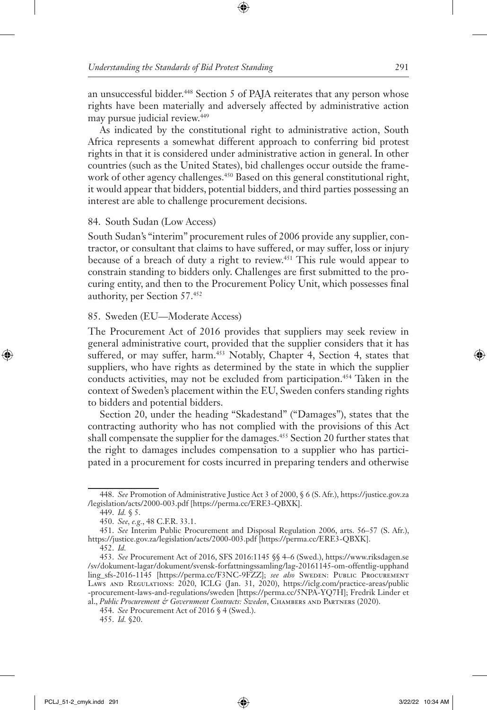an unsuccessful bidder.<sup>448</sup> Section 5 of PAJA reiterates that any person whose rights have been materially and adversely affected by administrative action may pursue judicial review.449

As indicated by the constitutional right to administrative action, South Africa represents a somewhat different approach to conferring bid protest rights in that it is considered under administrative action in general. In other countries (such as the United States), bid challenges occur outside the framework of other agency challenges.<sup>450</sup> Based on this general constitutional right, it would appear that bidders, potential bidders, and third parties possessing an interest are able to challenge procurement decisions.

### 84. South Sudan (Low Access)

South Sudan's "interim" procurement rules of 2006 provide any supplier, contractor, or consultant that claims to have suffered, or may suffer, loss or injury because of a breach of duty a right to review.451 This rule would appear to constrain standing to bidders only. Challenges are first submitted to the procuring entity, and then to the Procurement Policy Unit, which possesses final authority, per Section 57.452

### 85. Sweden (EU—Moderate Access)

The Procurement Act of 2016 provides that suppliers may seek review in general administrative court, provided that the supplier considers that it has suffered, or may suffer, harm.<sup>453</sup> Notably, Chapter 4, Section 4, states that suppliers, who have rights as determined by the state in which the supplier conducts activities, may not be excluded from participation.454 Taken in the context of Sweden's placement within the EU, Sweden confers standing rights to bidders and potential bidders.

Section 20, under the heading "Skadestand" ("Damages"), states that the contracting authority who has not complied with the provisions of this Act shall compensate the supplier for the damages.<sup>455</sup> Section 20 further states that the right to damages includes compensation to a supplier who has participated in a procurement for costs incurred in preparing tenders and otherwise

<sup>448.</sup> *See* Promotion of Administrative Justice Act 3 of 2000, § 6 (S. Afr.), https://justice.gov.za /legislation/acts/2000-003.pdf [https://perma.cc/ERE3-QBXK].

<sup>449.</sup> *Id.* § 5.

<sup>450.</sup> *See, e.g.*, 48 C.F.R. 33.1.

<sup>451.</sup> *See* Interim Public Procurement and Disposal Regulation 2006, arts. 56–57 (S. Afr.), https://justice.gov.za/legislation/acts/2000-003.pdf [https://perma.cc/ERE3-QBXK].

<sup>452.</sup> *Id.*

<sup>453.</sup> *See* Procurement Act of 2016, SFS 2016:1145 §§ 4–6 (Swed.), https://www.riksdagen.se /sv/dokument-lagar/dokument/svensk-forfattningssamling/lag-20161145-om-offentlig-upphand ling\_sfs-2016-1145 [https://perma.cc/F3NC-9FZZ]; *see also* Sweden: Public Procurement Laws and Regulations: 2020, ICLG (Jan. 31, 2020), https://iclg.com/practice-areas/public -procurement-laws-and-regulations/sweden [https://perma.cc/5NPA-YQ7H]; Fredrik Linder et al., *Public Procurement & Government Contracts: Sweden*, Chambers and Partners (2020).

<sup>454.</sup> *See* Procurement Act of 2016 § 4 (Swed.).

<sup>455.</sup> *Id.* §20.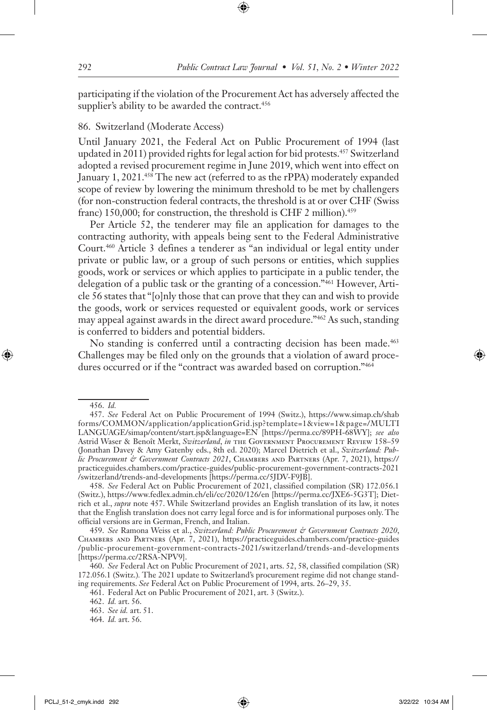participating if the violation of the Procurement Act has adversely affected the supplier's ability to be awarded the contract.<sup>456</sup>

### 86. Switzerland (Moderate Access)

Until January 2021, the Federal Act on Public Procurement of 1994 (last updated in 2011) provided rights for legal action for bid protests.457 Switzerland adopted a revised procurement regime in June 2019, which went into effect on January 1, 2021.<sup>458</sup> The new act (referred to as the rPPA) moderately expanded scope of review by lowering the minimum threshold to be met by challengers (for non-construction federal contracts, the threshold is at or over CHF (Swiss franc) 150,000; for construction, the threshold is CHF 2 million).<sup>459</sup>

Per Article 52, the tenderer may file an application for damages to the contracting authority, with appeals being sent to the Federal Administrative Court.460 Article 3 defines a tenderer as "an individual or legal entity under private or public law, or a group of such persons or entities, which supplies goods, work or services or which applies to participate in a public tender, the delegation of a public task or the granting of a concession."461 However, Article 56 states that "[o]nly those that can prove that they can and wish to provide the goods, work or services requested or equivalent goods, work or services may appeal against awards in the direct award procedure."462 As such, standing is conferred to bidders and potential bidders.

No standing is conferred until a contracting decision has been made.<sup>463</sup> Challenges may be filed only on the grounds that a violation of award procedures occurred or if the "contract was awarded based on corruption."464

<sup>456.</sup> *Id.*

<sup>457.</sup> *See* Federal Act on Public Procurement of 1994 (Switz.), https://www.simap.ch/shab forms/COMMON/application/applicationGrid.jsp?template=1&view=1&page=/MULTI LANGUAGE/simap/content/start.jsp&language=EN [https://perma.cc/89PH-68WY]; *see also* Astrid Waser & Benoît Merkt, *Switzerland*, *in* the Government Procurement Review 158–59 (Jonathan Davey & Amy Gatenby eds., 8th ed. 2020); Marcel Dietrich et al., *Switzerland: Public Procurement & Government Contracts 2021*, Chambers and Partners (Apr. 7, 2021), https:// practiceguides.chambers.com/practice-guides/public-procurement-government-contracts-2021 /switzerland/trends-and-developments [https://perma.cc/5JDV-F9JB].

<sup>458.</sup> *See* Federal Act on Public Procurement of 2021, classified compilation (SR) 172.056.1 (Switz.), https://www.fedlex.admin.ch/eli/cc/2020/126/en [https://perma.cc/JXE6-5G3T]; Dietrich et al., *supra* note 457. While Switzerland provides an English translation of its law, it notes that the English translation does not carry legal force and is for informational purposes only. The official versions are in German, French, and Italian.

<sup>459.</sup> *See* Ramona Weiss et al., *Switzerland: Public Procurement & Government Contracts 2020*, Chambers and Partners (Apr. 7, 2021), https://practiceguides.chambers.com/practice-guides /public-procurement-government-contracts-2021/switzerland/trends-and-developments [https://perma.cc/2RSA-NPV9].

<sup>460.</sup> *See* Federal Act on Public Procurement of 2021, arts. 52, 58, classified compilation (SR) 172.056.1 (Switz.)*.* The 2021 update to Switzerland's procurement regime did not change standing requirements. *See* Federal Act on Public Procurement of 1994, arts. 26–29, 35.

<sup>461.</sup> Federal Act on Public Procurement of 2021, art. 3 (Switz.).

<sup>462.</sup> *Id.* art. 56.

<sup>463.</sup> *See id.* art. 51.

<sup>464.</sup> *Id.* art. 56.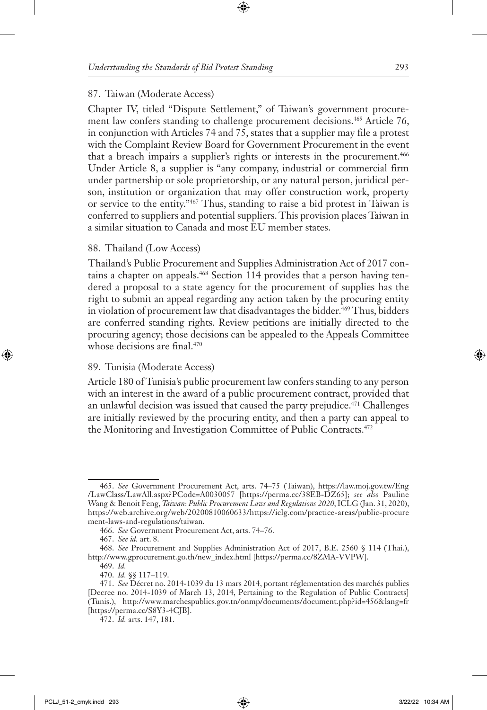#### 87. Taiwan (Moderate Access)

Chapter IV, titled "Dispute Settlement," of Taiwan's government procurement law confers standing to challenge procurement decisions.<sup>465</sup> Article 76, in conjunction with Articles 74 and 75, states that a supplier may file a protest with the Complaint Review Board for Government Procurement in the event that a breach impairs a supplier's rights or interests in the procurement.<sup>466</sup> Under Article 8, a supplier is "any company, industrial or commercial firm under partnership or sole proprietorship, or any natural person, juridical person, institution or organization that may offer construction work, property or service to the entity."467 Thus, standing to raise a bid protest in Taiwan is conferred to suppliers and potential suppliers. This provision places Taiwan in a similar situation to Canada and most EU member states.

#### 88. Thailand (Low Access)

Thailand's Public Procurement and Supplies Administration Act of 2017 contains a chapter on appeals.468 Section 114 provides that a person having tendered a proposal to a state agency for the procurement of supplies has the right to submit an appeal regarding any action taken by the procuring entity in violation of procurement law that disadvantages the bidder.<sup>469</sup> Thus, bidders are conferred standing rights. Review petitions are initially directed to the procuring agency; those decisions can be appealed to the Appeals Committee whose decisions are final.<sup>470</sup>

#### 89. Tunisia (Moderate Access)

Article 180 of Tunisia's public procurement law confers standing to any person with an interest in the award of a public procurement contract, provided that an unlawful decision was issued that caused the party prejudice.<sup>471</sup> Challenges are initially reviewed by the procuring entity, and then a party can appeal to the Monitoring and Investigation Committee of Public Contracts.<sup>472</sup>

<sup>465.</sup> *See* Government Procurement Act, arts. 74–75 (Taiwan), https://law.moj.gov.tw/Eng /LawClass/LawAll.aspx?PCode=A0030057 [https://perma.cc/38EB-DZ65]; *see also* Pauline Wang & Benoit Feng, *Taiwan*: *Public Procurement Laws and Regulations 2020*, ICLG (Jan. 31, 2020), https://web.archive.org/web/20200810060633/https://iclg.com/practice-areas/public-procure ment-laws-and-regulations/taiwan.

<sup>466.</sup> *See* Government Procurement Act, arts. 74–76.

<sup>467.</sup> *See id.* art. 8.

<sup>468.</sup> *See* Procurement and Supplies Administration Act of 2017, B.E. 2560 § 114 (Thai.), http://www.gprocurement.go.th/new\_index.html [https://perma.cc/8ZMA-VVPW].

<sup>469.</sup> *Id.* 470. *Id.* §§ 117–119.

<sup>471.</sup> *See* Décret no. 2014-1039 du 13 mars 2014, portant réglementation des marchés publics [Decree no. 2014-1039 of March 13, 2014, Pertaining to the Regulation of Public Contracts] (Tunis.), http://www.marchespublics.gov.tn/onmp/documents/document.php?id=456&lang=fr [https://perma.cc/S8Y3-4CJB].

<sup>472.</sup> *Id.* arts. 147, 181.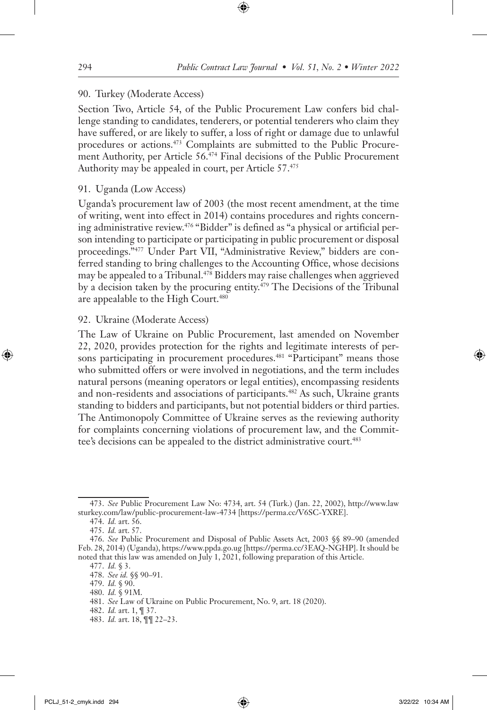### 90. Turkey (Moderate Access)

Section Two, Article 54, of the Public Procurement Law confers bid challenge standing to candidates, tenderers, or potential tenderers who claim they have suffered, or are likely to suffer, a loss of right or damage due to unlawful procedures or actions.<sup>473</sup> Complaints are submitted to the Public Procurement Authority, per Article 56.<sup>474</sup> Final decisions of the Public Procurement Authority may be appealed in court, per Article 57.475

# 91. Uganda (Low Access)

Uganda's procurement law of 2003 (the most recent amendment, at the time of writing, went into effect in 2014) contains procedures and rights concerning administrative review.476 "Bidder" is defined as "a physical or artificial person intending to participate or participating in public procurement or disposal proceedings."477 Under Part VII, "Administrative Review," bidders are conferred standing to bring challenges to the Accounting Office, whose decisions may be appealed to a Tribunal.<sup>478</sup> Bidders may raise challenges when aggrieved by a decision taken by the procuring entity.<sup>479</sup> The Decisions of the Tribunal are appealable to the High Court.<sup>480</sup>

### 92. Ukraine (Moderate Access)

The Law of Ukraine on Public Procurement, last amended on November 22, 2020, provides protection for the rights and legitimate interests of persons participating in procurement procedures.<sup>481</sup> "Participant" means those who submitted offers or were involved in negotiations, and the term includes natural persons (meaning operators or legal entities), encompassing residents and non-residents and associations of participants.482 As such, Ukraine grants standing to bidders and participants, but not potential bidders or third parties. The Antimonopoly Committee of Ukraine serves as the reviewing authority for complaints concerning violations of procurement law, and the Committee's decisions can be appealed to the district administrative court.<sup>483</sup>

<sup>473.</sup> *See* Public Procurement Law No: 4734, art. 54 (Turk.) (Jan. 22, 2002), http://www.law sturkey.com/law/public-procurement-law-4734 [https://perma.cc/V6SC-YXRE].

<sup>474.</sup> *Id.* art. 56.

<sup>475.</sup> *Id.* art. 57.

<sup>476.</sup> *See* Public Procurement and Disposal of Public Assets Act, 2003 §§ 89–90 (amended Feb. 28, 2014) (Uganda), https://www.ppda.go.ug [https://perma.cc/3EAQ-NGHP]. It should be noted that this law was amended on July 1, 2021, following preparation of this Article.

<sup>477.</sup> *Id.* § 3.

<sup>478.</sup> *See id.* §§ 90–91.

<sup>479.</sup> *Id.* § 90.

<sup>480.</sup> *Id.* § 91M.

<sup>481.</sup> *See* Law of Ukraine on Public Procurement, No. 9, art. 18 (2020).

<sup>482.</sup> *Id.* art. 1, ¶ 37.

<sup>483.</sup> *Id.* art. 18, ¶¶ 22–23.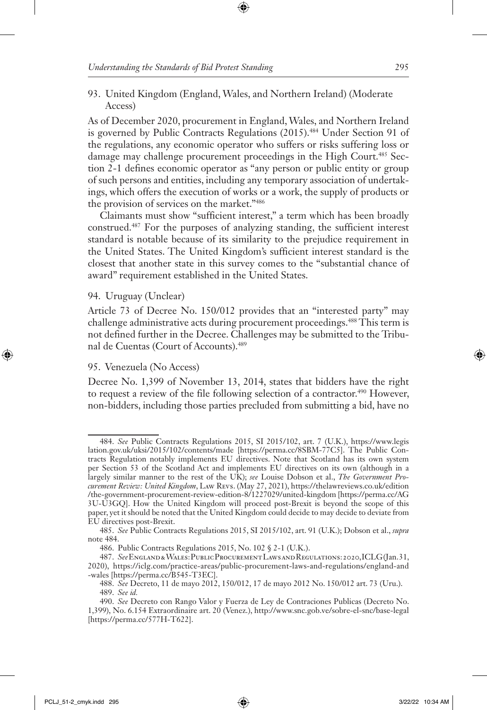93. United Kingdom (England, Wales, and Northern Ireland) (Moderate Access)

As of December 2020, procurement in England, Wales, and Northern Ireland is governed by Public Contracts Regulations (2015).<sup>484</sup> Under Section 91 of the regulations, any economic operator who suffers or risks suffering loss or damage may challenge procurement proceedings in the High Court.<sup>485</sup> Section 2-1 defines economic operator as "any person or public entity or group of such persons and entities, including any temporary association of undertakings, which offers the execution of works or a work, the supply of products or the provision of services on the market."486

Claimants must show "sufficient interest," a term which has been broadly construed.487 For the purposes of analyzing standing, the sufficient interest standard is notable because of its similarity to the prejudice requirement in the United States. The United Kingdom's sufficient interest standard is the closest that another state in this survey comes to the "substantial chance of award" requirement established in the United States.

#### 94. Uruguay (Unclear)

Article 73 of Decree No. 150/012 provides that an "interested party" may challenge administrative acts during procurement proceedings.488 This term is not defined further in the Decree. Challenges may be submitted to the Tribunal de Cuentas (Court of Accounts).489

#### 95. Venezuela (No Access)

Decree No. 1,399 of November 13, 2014, states that bidders have the right to request a review of the file following selection of a contractor.<sup>490</sup> However, non-bidders, including those parties precluded from submitting a bid, have no

<sup>484.</sup> *See* Public Contracts Regulations 2015, SI 2015/102, art. 7 (U.K.), https://www.legis lation.gov.uk/uksi/2015/102/contents/made [https://perma.cc/8SBM-77C5]. The Public Contracts Regulation notably implements EU directives. Note that Scotland has its own system per Section 53 of the Scotland Act and implements EU directives on its own (although in a largely similar manner to the rest of the UK); *see* Louise Dobson et al., *The Government Procurement Review: United Kingdom*, Law Revs. (May 27, 2021), https://thelawreviews.co.uk/edition /the-government-procurement-review-edition-8/1227029/united-kingdom [https://perma.cc/AG 3U-U3GQ]. How the United Kingdom will proceed post-Brexit is beyond the scope of this paper, yet it should be noted that the United Kingdom could decide to may decide to deviate from EU directives post-Brexit.

<sup>485.</sup> *See* Public Contracts Regulations 2015, SI 2015/102, art. 91 (U.K.); Dobson et al., *supra*  note 484.

<sup>486.</sup> Public Contracts Regulations 2015, No. 102 § 2-1 (U.K.).

<sup>487.</sup> *See* England & Wales: Public Procurement Laws and Regulations: 2020, ICLG (Jan. 31, 2020), https://iclg.com/practice-areas/public-procurement-laws-and-regulations/england-and -wales [https://perma.cc/B545-T3EC].

<sup>488.</sup> *See* Decreto, 11 de mayo 2012, 150/012, 17 de mayo 2012 No. 150/012 art. 73 (Uru.). 489. *See id.*

<sup>490.</sup> *See* Decreto con Rango Valor y Fuerza de Ley de Contraciones Publicas (Decreto No. 1,399), No. 6.154 Extraordinaire art. 20 (Venez.), http://www.snc.gob.ve/sobre-el-snc/base-legal [https://perma.cc/577H-T622].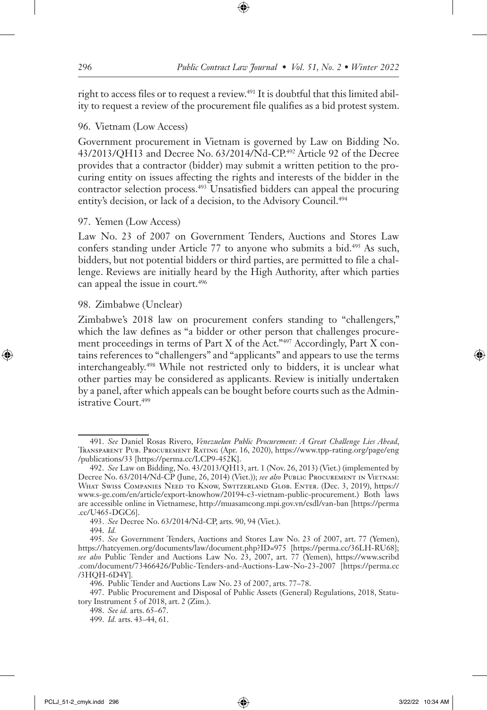right to access files or to request a review.<sup>491</sup> It is doubtful that this limited ability to request a review of the procurement file qualifies as a bid protest system.

# 96. Vietnam (Low Access)

Government procurement in Vietnam is governed by Law on Bidding No. 43/2013/QH13 and Decree No. 63/2014/Nd-CP.492 Article 92 of the Decree provides that a contractor (bidder) may submit a written petition to the procuring entity on issues affecting the rights and interests of the bidder in the contractor selection process.493 Unsatisfied bidders can appeal the procuring entity's decision, or lack of a decision, to the Advisory Council.<sup>494</sup>

# 97. Yemen (Low Access)

Law No. 23 of 2007 on Government Tenders, Auctions and Stores Law confers standing under Article 77 to anyone who submits a bid.<sup>495</sup> As such, bidders, but not potential bidders or third parties, are permitted to file a challenge. Reviews are initially heard by the High Authority, after which parties can appeal the issue in court.496

# 98. Zimbabwe (Unclear)

Zimbabwe's 2018 law on procurement confers standing to "challengers," which the law defines as "a bidder or other person that challenges procurement proceedings in terms of Part X of the Act."497 Accordingly, Part X contains references to "challengers" and "applicants" and appears to use the terms interchangeably.498 While not restricted only to bidders, it is unclear what other parties may be considered as applicants. Review is initially undertaken by a panel, after which appeals can be bought before courts such as the Administrative Court.<sup>499</sup>

<sup>491.</sup> *See* Daniel Rosas Rivero, *Venezuelan Public Procurement: A Great Challenge Lies Ahead*, Transparent Pub. Procurement Rating (Apr. 16, 2020), https://www.tpp-rating.org/page/eng /publications/33 [https://perma.cc/LCP9-452K].

<sup>492.</sup> *See* Law on Bidding, No. 43/2013/QH13, art. 1 (Nov. 26, 2013) (Viet.) (implemented by Decree No. 63/2014/Nd-CP (June, 26, 2014) (Viet.)); *see also* PUBLIC PROCUREMENT IN VIETNAM: What Swiss Companies Need to Know, Switzerland Glob. Enter. (Dec. 3, 2019), https:// www.s-ge.com/en/article/export-knowhow/20194-c3-vietnam-public-procurement.) Both laws are accessible online in Vietnamese, http://muasamcong.mpi.gov.vn/csdl/van-ban [https://perma .cc/U465-DGC6].

<sup>493.</sup> *See* Decree No. 63/2014/Nd-CP, arts. 90, 94 (Viet.).

<sup>494.</sup> *Id.*

<sup>495.</sup> *See* Government Tenders, Auctions and Stores Law No. 23 of 2007, art. 77 (Yemen), https://hatcyemen.org/documents/law/document.php?ID=975 [https://perma.cc/36LH-RU68]; *see also* Public Tender and Auctions Law No. 23, 2007, art. 77 (Yemen), https://www.scribd .com/document/73466426/Public-Tenders-and-Auctions-Law-No-23-2007 [https://perma.cc /3HQH-6D4Y]*.*

<sup>496.</sup> Public Tender and Auctions Law No. 23 of 2007, arts. 77–78.

<sup>497.</sup> Public Procurement and Disposal of Public Assets (General) Regulations, 2018, Statutory Instrument 5 of 2018, art. 2 (Zim.).

<sup>498.</sup> *See id.* arts. 65–67.

<sup>499.</sup> *Id.* arts. 43–44, 61.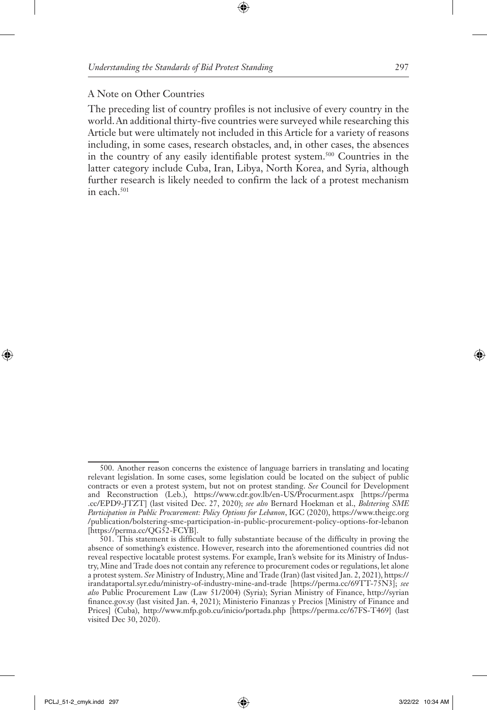#### A Note on Other Countries

The preceding list of country profiles is not inclusive of every country in the world. An additional thirty-five countries were surveyed while researching this Article but were ultimately not included in this Article for a variety of reasons including, in some cases, research obstacles, and, in other cases, the absences in the country of any easily identifiable protest system.500 Countries in the latter category include Cuba, Iran, Libya, North Korea, and Syria, although further research is likely needed to confirm the lack of a protest mechanism in each.501

<sup>500.</sup> Another reason concerns the existence of language barriers in translating and locating relevant legislation. In some cases, some legislation could be located on the subject of public contracts or even a protest system, but not on protest standing. *See* Council for Development and Reconstruction (Leb.), https://www.cdr.gov.lb/en-US/Procurment.aspx [https://perma .cc/EPD9-JTZT] (last visited Dec. 27, 2020); *see also* Bernard Hoekman et al., *Bolstering SME Participation in Public Procurement: Policy Options for Lebanon*, IGC (2020), https://www.theigc.org /publication/bolstering-sme-participation-in-public-procurement-policy-options-for-lebanon [https://perma.cc/QG52-FCYB].

<sup>501.</sup> This statement is difficult to fully substantiate because of the difficulty in proving the absence of something's existence. However, research into the aforementioned countries did not reveal respective locatable protest systems. For example, Iran's website for its Ministry of Industry, Mine and Trade does not contain any reference to procurement codes or regulations, let alone a protest system. *See* Ministry of Industry, Mine and Trade (Iran) (last visited Jan. 2, 2021), https:// irandataportal.syr.edu/ministry-of-industry-mine-and-trade [https://perma.cc/69TT-75N3]; *see also* Public Procurement Law (Law 51/2004) (Syria); Syrian Ministry of Finance, http://syrian finance.gov.sy (last visited Jan. 4, 2021); Ministerio Finanzas y Precios [Ministry of Finance and Prices] (Cuba), http://www.mfp.gob.cu/inicio/portada.php [https://perma.cc/67FS-T469] (last visited Dec 30, 2020).